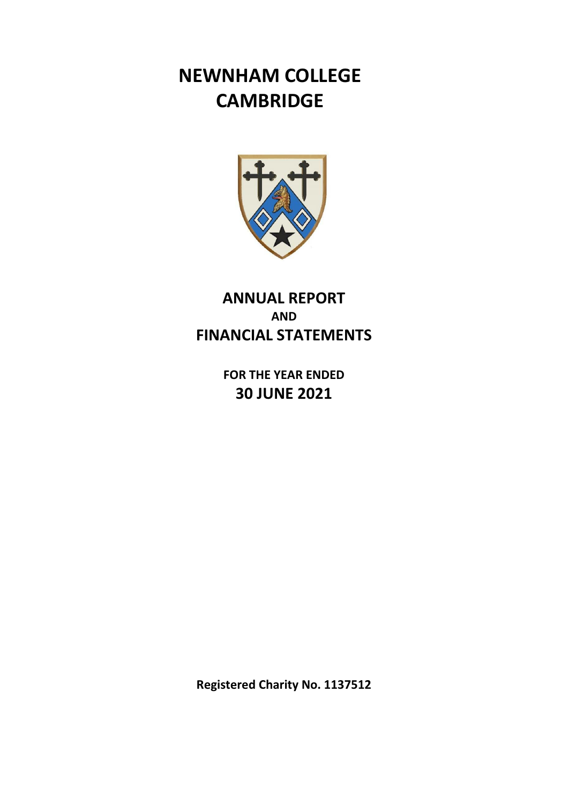# **NEWNHAM COLLEGE CAMBRIDGE**



# **ANNUAL REPORT AND FINANCIAL STATEMENTS**

**FOR THE YEAR ENDED 30 JUNE 2021** 

**Registered Charity No. 1137512**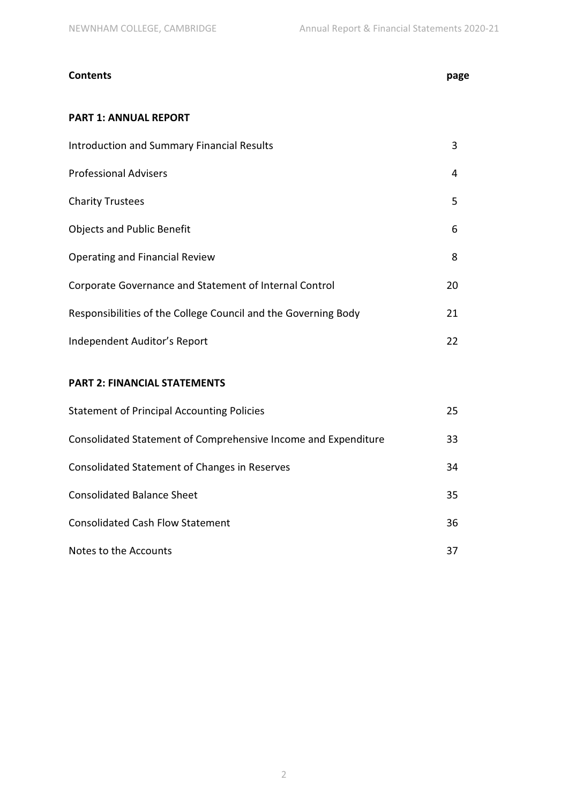# **Contents page**

# **PART 1: ANNUAL REPORT**

| <b>Introduction and Summary Financial Results</b>              | 3  |
|----------------------------------------------------------------|----|
| <b>Professional Advisers</b>                                   | 4  |
| <b>Charity Trustees</b>                                        | 5  |
| <b>Objects and Public Benefit</b>                              | 6  |
| <b>Operating and Financial Review</b>                          | 8  |
| Corporate Governance and Statement of Internal Control         | 20 |
| Responsibilities of the College Council and the Governing Body | 21 |
| Independent Auditor's Report                                   | 22 |

# **PART 2: FINANCIAL STATEMENTS**

| <b>Statement of Principal Accounting Policies</b>              | 25  |
|----------------------------------------------------------------|-----|
| Consolidated Statement of Comprehensive Income and Expenditure | 33  |
| Consolidated Statement of Changes in Reserves                  | 34  |
| <b>Consolidated Balance Sheet</b>                              | 35. |
| <b>Consolidated Cash Flow Statement</b>                        | 36. |
| Notes to the Accounts                                          | 37  |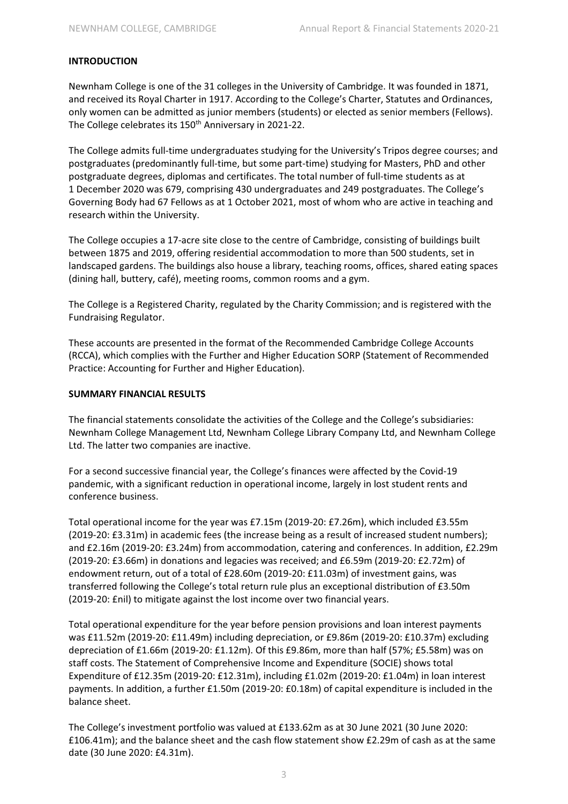#### **INTRODUCTION**

Newnham College is one of the 31 colleges in the University of Cambridge. It was founded in 1871, and received its Royal Charter in 1917. According to the College's Charter, Statutes and Ordinances, only women can be admitted as junior members (students) or elected as senior members (Fellows). The College celebrates its 150<sup>th</sup> Anniversary in 2021-22.

The College admits full-time undergraduates studying for the University's Tripos degree courses; and postgraduates (predominantly full-time, but some part-time) studying for Masters, PhD and other postgraduate degrees, diplomas and certificates. The total number of full-time students as at 1 December 2020 was 679, comprising 430 undergraduates and 249 postgraduates. The College's Governing Body had 67 Fellows as at 1 October 2021, most of whom who are active in teaching and research within the University.

The College occupies a 17-acre site close to the centre of Cambridge, consisting of buildings built between 1875 and 2019, offering residential accommodation to more than 500 students, set in landscaped gardens. The buildings also house a library, teaching rooms, offices, shared eating spaces (dining hall, buttery, café), meeting rooms, common rooms and a gym.

The College is a Registered Charity, regulated by the Charity Commission; and is registered with the Fundraising Regulator.

These accounts are presented in the format of the Recommended Cambridge College Accounts (RCCA), which complies with the Further and Higher Education SORP (Statement of Recommended Practice: Accounting for Further and Higher Education).

#### **SUMMARY FINANCIAL RESULTS**

The financial statements consolidate the activities of the College and the College's subsidiaries: Newnham College Management Ltd, Newnham College Library Company Ltd, and Newnham College Ltd. The latter two companies are inactive.

For a second successive financial year, the College's finances were affected by the Covid-19 pandemic, with a significant reduction in operational income, largely in lost student rents and conference business.

Total operational income for the year was £7.15m (2019-20: £7.26m), which included £3.55m (2019-20: £3.31m) in academic fees (the increase being as a result of increased student numbers); and £2.16m (2019-20: £3.24m) from accommodation, catering and conferences. In addition, £2.29m (2019-20: £3.66m) in donations and legacies was received; and £6.59m (2019-20: £2.72m) of endowment return, out of a total of £28.60m (2019-20: £11.03m) of investment gains, was transferred following the College's total return rule plus an exceptional distribution of £3.50m (2019-20: £nil) to mitigate against the lost income over two financial years.

Total operational expenditure for the year before pension provisions and loan interest payments was £11.52m (2019-20: £11.49m) including depreciation, or £9.86m (2019-20: £10.37m) excluding depreciation of £1.66m (2019-20: £1.12m). Of this £9.86m, more than half (57%; £5.58m) was on staff costs. The Statement of Comprehensive Income and Expenditure (SOCIE) shows total Expenditure of £12.35m (2019-20: £12.31m), including £1.02m (2019-20: £1.04m) in loan interest payments. In addition, a further £1.50m (2019-20: £0.18m) of capital expenditure is included in the balance sheet.

The College's investment portfolio was valued at £133.62m as at 30 June 2021 (30 June 2020: £106.41m); and the balance sheet and the cash flow statement show £2.29m of cash as at the same date (30 June 2020: £4.31m).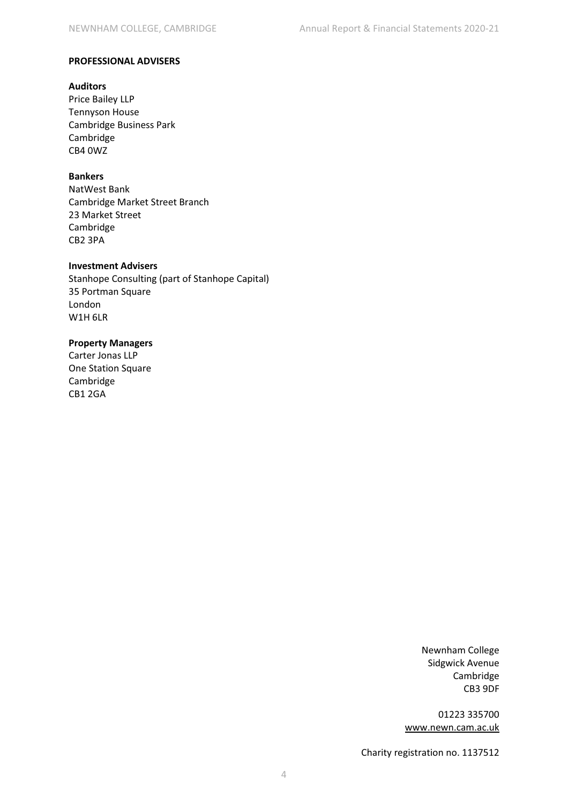#### **PROFESSIONAL ADVISERS**

#### **Auditors**

Price Bailey LLP Tennyson House Cambridge Business Park Cambridge CB4 0WZ

# **Bankers**

NatWest Bank Cambridge Market Street Branch 23 Market Street Cambridge CB2 3PA

#### **Investment Advisers**

Stanhope Consulting (part of Stanhope Capital) 35 Portman Square London W1H 6LR

#### **Property Managers**

Carter Jonas LLP One Station Square Cambridge CB1 2GA

> Newnham College Sidgwick Avenue Cambridge CB3 9DF

01223 335700 www.newn.cam.ac.uk

Charity registration no. 1137512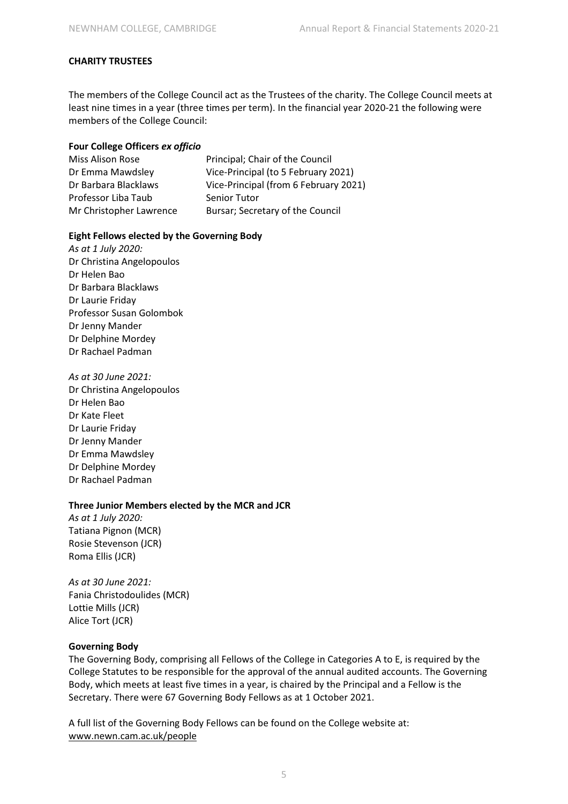# **CHARITY TRUSTEES**

The members of the College Council act as the Trustees of the charity. The College Council meets at least nine times in a year (three times per term). In the financial year 2020-21 the following were members of the College Council:

#### **Four College Officers** *ex officio*

| Miss Alison Rose        | Principal; Chair of the Council       |
|-------------------------|---------------------------------------|
| Dr Emma Mawdsley        | Vice-Principal (to 5 February 2021)   |
| Dr Barbara Blacklaws    | Vice-Principal (from 6 February 2021) |
| Professor Liba Taub     | <b>Senior Tutor</b>                   |
| Mr Christopher Lawrence | Bursar; Secretary of the Council      |

#### **Eight Fellows elected by the Governing Body**

*As at 1 July 2020:*  Dr Christina Angelopoulos Dr Helen Bao Dr Barbara Blacklaws Dr Laurie Friday Professor Susan Golombok Dr Jenny Mander Dr Delphine Mordey Dr Rachael Padman

*As at 30 June 2021:*  Dr Christina Angelopoulos Dr Helen Bao Dr Kate Fleet Dr Laurie Friday Dr Jenny Mander Dr Emma Mawdsley Dr Delphine Mordey Dr Rachael Padman

#### **Three Junior Members elected by the MCR and JCR**

*As at 1 July 2020:*  Tatiana Pignon (MCR) Rosie Stevenson (JCR) Roma Ellis (JCR)

*As at 30 June 2021:*  Fania Christodoulides (MCR) Lottie Mills (JCR) Alice Tort (JCR)

#### **Governing Body**

The Governing Body, comprising all Fellows of the College in Categories A to E, is required by the College Statutes to be responsible for the approval of the annual audited accounts. The Governing Body, which meets at least five times in a year, is chaired by the Principal and a Fellow is the Secretary. There were 67 Governing Body Fellows as at 1 October 2021.

A full list of the Governing Body Fellows can be found on the College website at: www.newn.cam.ac.uk/people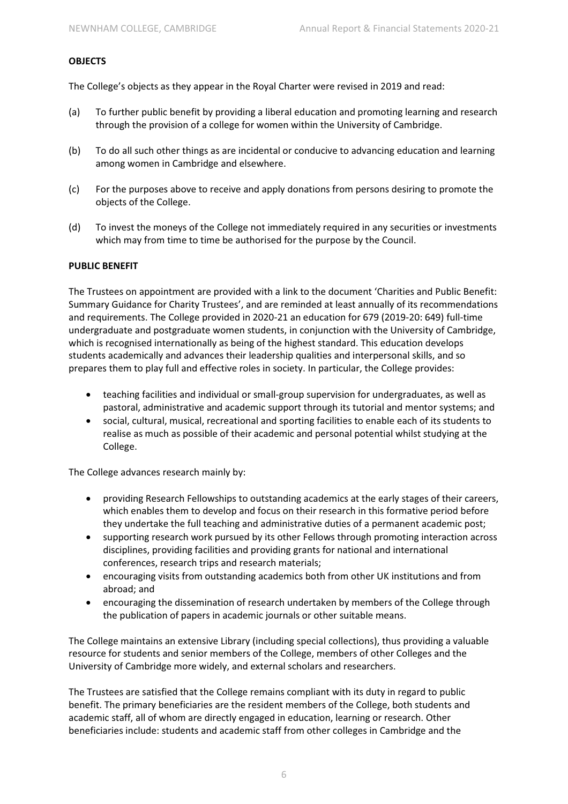#### **OBJECTS**

The College's objects as they appear in the Royal Charter were revised in 2019 and read:

- (a) To further public benefit by providing a liberal education and promoting learning and research through the provision of a college for women within the University of Cambridge.
- (b) To do all such other things as are incidental or conducive to advancing education and learning among women in Cambridge and elsewhere.
- (c) For the purposes above to receive and apply donations from persons desiring to promote the objects of the College.
- (d) To invest the moneys of the College not immediately required in any securities or investments which may from time to time be authorised for the purpose by the Council.

#### **PUBLIC BENEFIT**

The Trustees on appointment are provided with a link to the document 'Charities and Public Benefit: Summary Guidance for Charity Trustees', and are reminded at least annually of its recommendations and requirements. The College provided in 2020-21 an education for 679 (2019-20: 649) full-time undergraduate and postgraduate women students, in conjunction with the University of Cambridge, which is recognised internationally as being of the highest standard. This education develops students academically and advances their leadership qualities and interpersonal skills, and so prepares them to play full and effective roles in society. In particular, the College provides:

- teaching facilities and individual or small-group supervision for undergraduates, as well as pastoral, administrative and academic support through its tutorial and mentor systems; and
- $\bullet$  social, cultural, musical, recreational and sporting facilities to enable each of its students to realise as much as possible of their academic and personal potential whilst studying at the College.

The College advances research mainly by:

- $\bullet$  providing Research Fellowships to outstanding academics at the early stages of their careers, which enables them to develop and focus on their research in this formative period before they undertake the full teaching and administrative duties of a permanent academic post;
- $\bullet$  supporting research work pursued by its other Fellows through promoting interaction across disciplines, providing facilities and providing grants for national and international conferences, research trips and research materials;
- encouraging visits from outstanding academics both from other UK institutions and from abroad; and
- $\bullet$  encouraging the dissemination of research undertaken by members of the College through the publication of papers in academic journals or other suitable means.

The College maintains an extensive Library (including special collections), thus providing a valuable resource for students and senior members of the College, members of other Colleges and the University of Cambridge more widely, and external scholars and researchers.

The Trustees are satisfied that the College remains compliant with its duty in regard to public benefit. The primary beneficiaries are the resident members of the College, both students and academic staff, all of whom are directly engaged in education, learning or research. Other beneficiaries include: students and academic staff from other colleges in Cambridge and the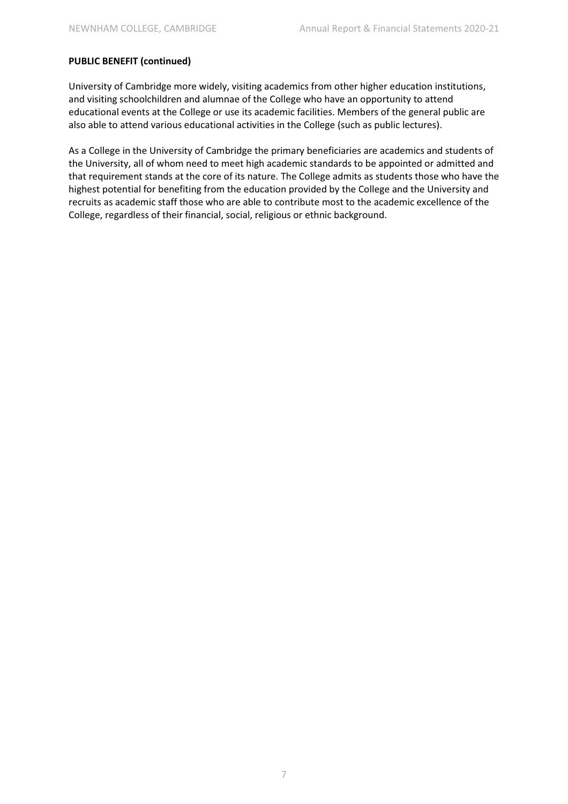# **PUBLIC BENEFIT (continued)**

University of Cambridge more widely, visiting academics from other higher education institutions, and visiting schoolchildren and alumnae of the College who have an opportunity to attend educational events at the College or use its academic facilities. Members of the general public are also able to attend various educational activities in the College (such as public lectures).

As a College in the University of Cambridge the primary beneficiaries are academics and students of the University, all of whom need to meet high academic standards to be appointed or admitted and that requirement stands at the core of its nature. The College admits as students those who have the highest potential for benefiting from the education provided by the College and the University and recruits as academic staff those who are able to contribute most to the academic excellence of the College, regardless of their financial, social, religious or ethnic background.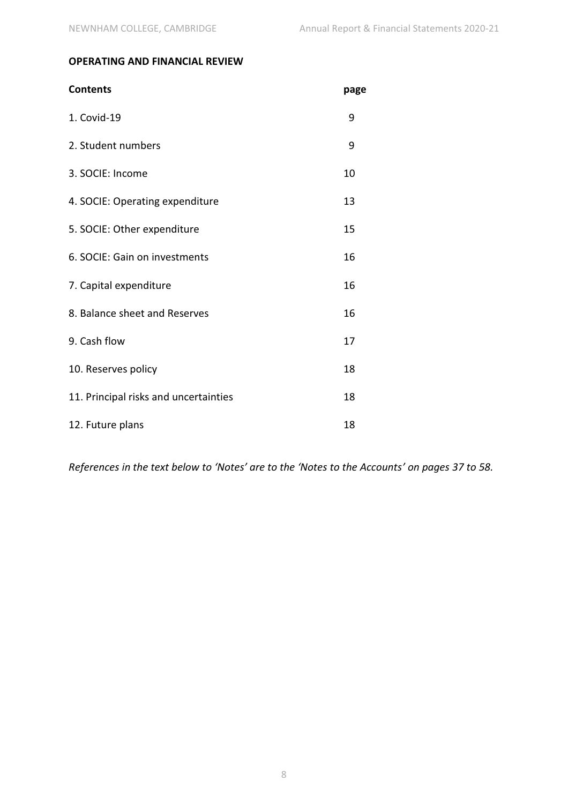# **OPERATING AND FINANCIAL REVIEW**

| <b>Contents</b>                       | page |
|---------------------------------------|------|
| 1. Covid-19                           | 9    |
| 2. Student numbers                    | 9    |
| 3. SOCIE: Income                      | 10   |
| 4. SOCIE: Operating expenditure       | 13   |
| 5. SOCIE: Other expenditure           | 15   |
| 6. SOCIE: Gain on investments         | 16   |
| 7. Capital expenditure                | 16   |
| 8. Balance sheet and Reserves         | 16   |
| 9. Cash flow                          | 17   |
| 10. Reserves policy                   | 18   |
| 11. Principal risks and uncertainties | 18   |
| 12. Future plans                      | 18   |

*References in the text below to 'Notes' are to the 'Notes to the Accounts' on pages 37 to 58.*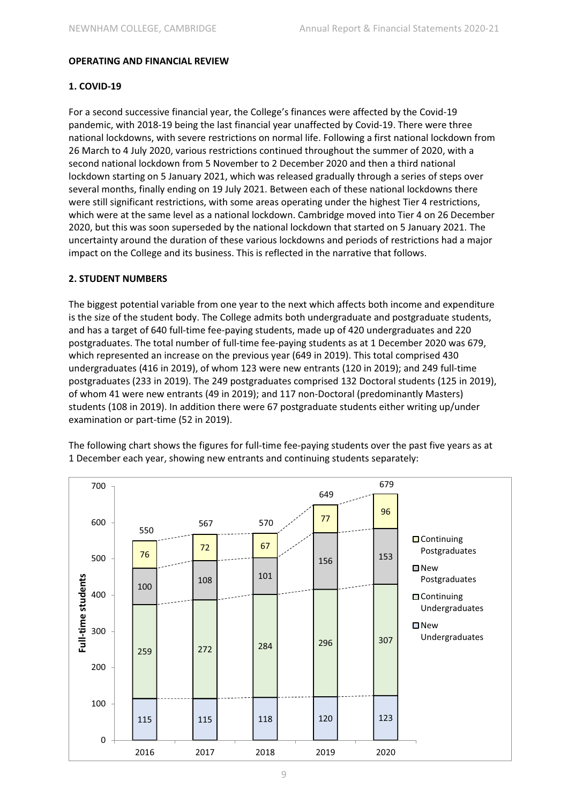#### **OPERATING AND FINANCIAL REVIEW**

#### **1. COVID-19**

For a second successive financial year, the College's finances were affected by the Covid-19 pandemic, with 2018-19 being the last financial year unaffected by Covid-19. There were three national lockdowns, with severe restrictions on normal life. Following a first national lockdown from 26 March to 4 July 2020, various restrictions continued throughout the summer of 2020, with a second national lockdown from 5 November to 2 December 2020 and then a third national lockdown starting on 5 January 2021, which was released gradually through a series of steps over several months, finally ending on 19 July 2021. Between each of these national lockdowns there were still significant restrictions, with some areas operating under the highest Tier 4 restrictions, which were at the same level as a national lockdown. Cambridge moved into Tier 4 on 26 December 2020, but this was soon superseded by the national lockdown that started on 5 January 2021. The uncertainty around the duration of these various lockdowns and periods of restrictions had a major impact on the College and its business. This is reflected in the narrative that follows.

#### **2. STUDENT NUMBERS**

The biggest potential variable from one year to the next which affects both income and expenditure is the size of the student body. The College admits both undergraduate and postgraduate students, and has a target of 640 full-time fee-paying students, made up of 420 undergraduates and 220 postgraduates. The total number of full-time fee-paying students as at 1 December 2020 was 679, which represented an increase on the previous year (649 in 2019). This total comprised 430 undergraduates (416 in 2019), of whom 123 were new entrants (120 in 2019); and 249 full-time postgraduates (233 in 2019). The 249 postgraduates comprised 132 Doctoral students (125 in 2019), of whom 41 were new entrants (49 in 2019); and 117 non-Doctoral (predominantly Masters) students (108 in 2019). In addition there were 67 postgraduate students either writing up/under examination or part-time (52 in 2019).



The following chart shows the figures for full-time fee-paying students over the past five years as at 1 December each year, showing new entrants and continuing students separately: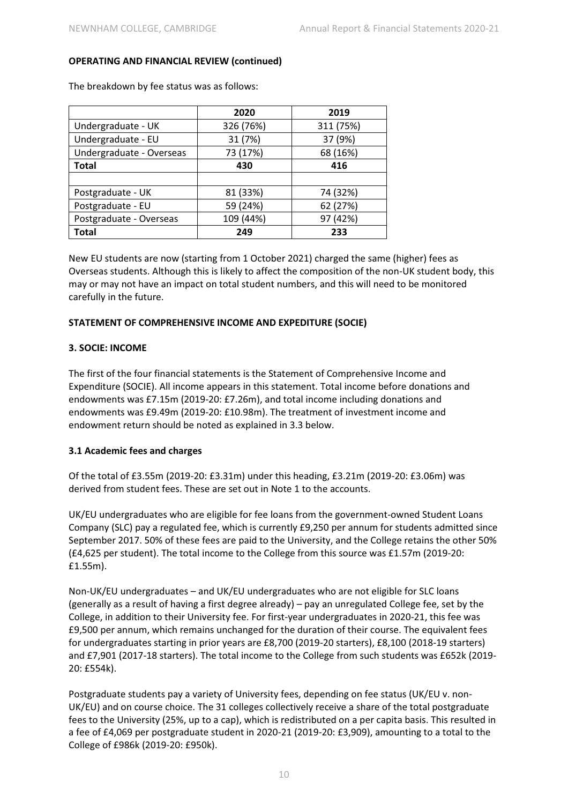|                          | 2020      | 2019      |
|--------------------------|-----------|-----------|
| Undergraduate - UK       | 326 (76%) | 311 (75%) |
| Undergraduate - EU       | 31 (7%)   | 37 (9%)   |
| Undergraduate - Overseas | 73 (17%)  | 68 (16%)  |
| Total                    | 430       | 416       |
|                          |           |           |
| Postgraduate - UK        | 81 (33%)  | 74 (32%)  |
| Postgraduate - EU        | 59 (24%)  | 62 (27%)  |
| Postgraduate - Overseas  | 109 (44%) | 97 (42%)  |
| Total                    | 249       | 233       |

The breakdown by fee status was as follows:

New EU students are now (starting from 1 October 2021) charged the same (higher) fees as Overseas students. Although this is likely to affect the composition of the non-UK student body, this may or may not have an impact on total student numbers, and this will need to be monitored carefully in the future.

#### **STATEMENT OF COMPREHENSIVE INCOME AND EXPEDITURE (SOCIE)**

#### **3. SOCIE: INCOME**

The first of the four financial statements is the Statement of Comprehensive Income and Expenditure (SOCIE). All income appears in this statement. Total income before donations and endowments was £7.15m (2019-20: £7.26m), and total income including donations and endowments was £9.49m (2019-20: £10.98m). The treatment of investment income and endowment return should be noted as explained in 3.3 below.

#### **3.1 Academic fees and charges**

Of the total of £3.55m (2019-20: £3.31m) under this heading, £3.21m (2019-20: £3.06m) was derived from student fees. These are set out in Note 1 to the accounts.

UK/EU undergraduates who are eligible for fee loans from the government-owned Student Loans Company (SLC) pay a regulated fee, which is currently £9,250 per annum for students admitted since September 2017. 50% of these fees are paid to the University, and the College retains the other 50% (£4,625 per student). The total income to the College from this source was £1.57m (2019-20: £1.55m).

Non-UK/EU undergraduates – and UK/EU undergraduates who are not eligible for SLC loans (generally as a result of having a first degree already) – pay an unregulated College fee, set by the College, in addition to their University fee. For first-year undergraduates in 2020-21, this fee was £9,500 per annum, which remains unchanged for the duration of their course. The equivalent fees for undergraduates starting in prior years are £8,700 (2019-20 starters), £8,100 (2018-19 starters) and £7,901 (2017-18 starters). The total income to the College from such students was £652k (2019- 20: £554k).

Postgraduate students pay a variety of University fees, depending on fee status (UK/EU v. non-UK/EU) and on course choice. The 31 colleges collectively receive a share of the total postgraduate fees to the University (25%, up to a cap), which is redistributed on a per capita basis. This resulted in a fee of £4,069 per postgraduate student in 2020-21 (2019-20: £3,909), amounting to a total to the College of £986k (2019-20: £950k).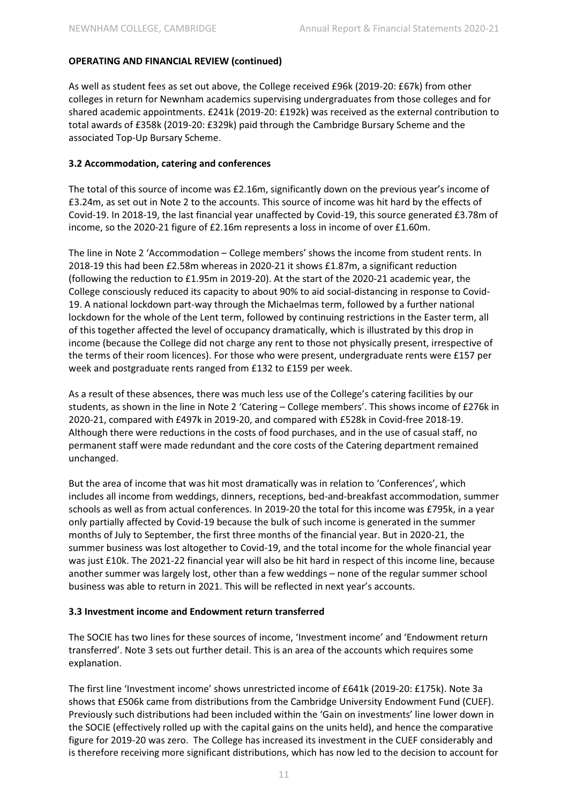As well as student fees as set out above, the College received £96k (2019-20: £67k) from other colleges in return for Newnham academics supervising undergraduates from those colleges and for shared academic appointments. £241k (2019-20: £192k) was received as the external contribution to total awards of £358k (2019-20: £329k) paid through the Cambridge Bursary Scheme and the associated Top-Up Bursary Scheme.

#### **3.2 Accommodation, catering and conferences**

The total of this source of income was £2.16m, significantly down on the previous year's income of £3.24m, as set out in Note 2 to the accounts. This source of income was hit hard by the effects of Covid-19. In 2018-19, the last financial year unaffected by Covid-19, this source generated £3.78m of income, so the 2020-21 figure of £2.16m represents a loss in income of over £1.60m.

The line in Note 2 'Accommodation – College members' shows the income from student rents. In 2018-19 this had been £2.58m whereas in 2020-21 it shows £1.87m, a significant reduction (following the reduction to £1.95m in 2019-20). At the start of the 2020-21 academic year, the College consciously reduced its capacity to about 90% to aid social-distancing in response to Covid-19. A national lockdown part-way through the Michaelmas term, followed by a further national lockdown for the whole of the Lent term, followed by continuing restrictions in the Easter term, all of this together affected the level of occupancy dramatically, which is illustrated by this drop in income (because the College did not charge any rent to those not physically present, irrespective of the terms of their room licences). For those who were present, undergraduate rents were £157 per week and postgraduate rents ranged from £132 to £159 per week.

As a result of these absences, there was much less use of the College's catering facilities by our students, as shown in the line in Note 2 'Catering – College members'. This shows income of £276k in 2020-21, compared with £497k in 2019-20, and compared with £528k in Covid-free 2018-19. Although there were reductions in the costs of food purchases, and in the use of casual staff, no permanent staff were made redundant and the core costs of the Catering department remained unchanged.

But the area of income that was hit most dramatically was in relation to 'Conferences', which includes all income from weddings, dinners, receptions, bed-and-breakfast accommodation, summer schools as well as from actual conferences. In 2019-20 the total for this income was £795k, in a year only partially affected by Covid-19 because the bulk of such income is generated in the summer months of July to September, the first three months of the financial year. But in 2020-21, the summer business was lost altogether to Covid-19, and the total income for the whole financial year was just £10k. The 2021-22 financial year will also be hit hard in respect of this income line, because another summer was largely lost, other than a few weddings – none of the regular summer school business was able to return in 2021. This will be reflected in next year's accounts.

#### **3.3 Investment income and Endowment return transferred**

The SOCIE has two lines for these sources of income, 'Investment income' and 'Endowment return transferred'. Note 3 sets out further detail. This is an area of the accounts which requires some explanation.

The first line 'Investment income' shows unrestricted income of £641k (2019-20: £175k). Note 3a shows that £506k came from distributions from the Cambridge University Endowment Fund (CUEF). Previously such distributions had been included within the 'Gain on investments' line lower down in the SOCIE (effectively rolled up with the capital gains on the units held), and hence the comparative figure for 2019-20 was zero. The College has increased its investment in the CUEF considerably and is therefore receiving more significant distributions, which has now led to the decision to account for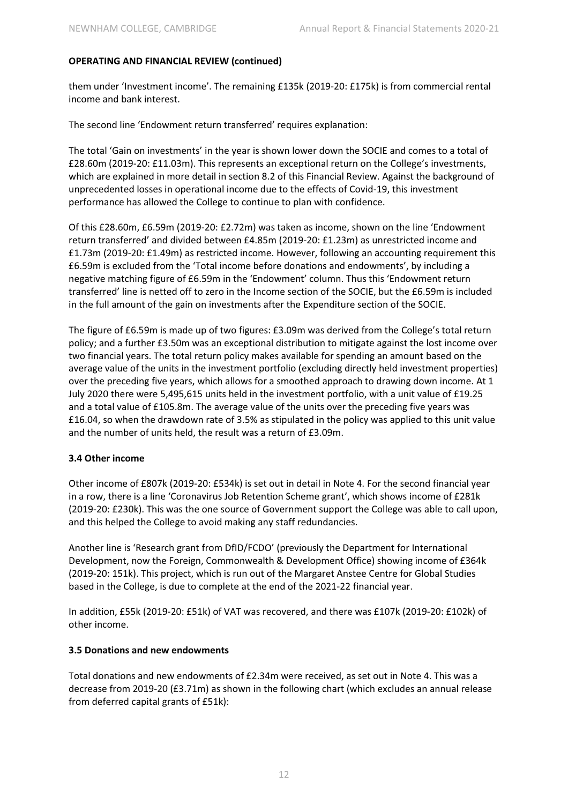them under 'Investment income'. The remaining £135k (2019-20: £175k) is from commercial rental income and bank interest.

The second line 'Endowment return transferred' requires explanation:

The total 'Gain on investments' in the year is shown lower down the SOCIE and comes to a total of £28.60m (2019-20: £11.03m). This represents an exceptional return on the College's investments, which are explained in more detail in section 8.2 of this Financial Review. Against the background of unprecedented losses in operational income due to the effects of Covid-19, this investment performance has allowed the College to continue to plan with confidence.

Of this £28.60m, £6.59m (2019-20: £2.72m) was taken as income, shown on the line 'Endowment return transferred' and divided between £4.85m (2019-20: £1.23m) as unrestricted income and £1.73m (2019-20: £1.49m) as restricted income. However, following an accounting requirement this £6.59m is excluded from the 'Total income before donations and endowments', by including a negative matching figure of £6.59m in the 'Endowment' column. Thus this 'Endowment return transferred' line is netted off to zero in the Income section of the SOCIE, but the £6.59m is included in the full amount of the gain on investments after the Expenditure section of the SOCIE.

The figure of £6.59m is made up of two figures: £3.09m was derived from the College's total return policy; and a further £3.50m was an exceptional distribution to mitigate against the lost income over two financial years. The total return policy makes available for spending an amount based on the average value of the units in the investment portfolio (excluding directly held investment properties) over the preceding five years, which allows for a smoothed approach to drawing down income. At 1 July 2020 there were 5,495,615 units held in the investment portfolio, with a unit value of £19.25 and a total value of £105.8m. The average value of the units over the preceding five years was £16.04, so when the drawdown rate of 3.5% as stipulated in the policy was applied to this unit value and the number of units held, the result was a return of £3.09m.

#### **3.4 Other income**

Other income of £807k (2019-20: £534k) is set out in detail in Note 4. For the second financial year in a row, there is a line 'Coronavirus Job Retention Scheme grant', which shows income of £281k (2019-20: £230k). This was the one source of Government support the College was able to call upon, and this helped the College to avoid making any staff redundancies.

Another line is 'Research grant from DfID/FCDO' (previously the Department for International Development, now the Foreign, Commonwealth & Development Office) showing income of £364k (2019-20: 151k). This project, which is run out of the Margaret Anstee Centre for Global Studies based in the College, is due to complete at the end of the 2021-22 financial year.

In addition, £55k (2019-20: £51k) of VAT was recovered, and there was £107k (2019-20: £102k) of other income.

#### **3.5 Donations and new endowments**

Total donations and new endowments of £2.34m were received, as set out in Note 4. This was a decrease from 2019-20 (£3.71m) as shown in the following chart (which excludes an annual release from deferred capital grants of £51k):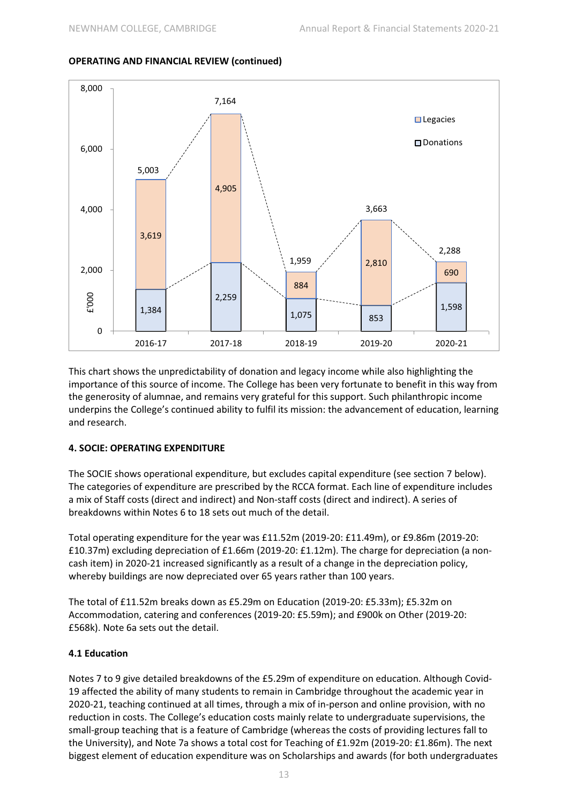#### 1,384 2,259 1,075 853 1,598 3,619 4,905 884 2,810 690 5,003 7,164 1,959 3,663 2,288  $\Omega$ 2,000 4,000 6,000 8,000 2016-17 2017-18 2018-19 2019-20 2020-21 £'000 **□** Legacies Donations

#### **OPERATING AND FINANCIAL REVIEW (continued)**

This chart shows the unpredictability of donation and legacy income while also highlighting the importance of this source of income. The College has been very fortunate to benefit in this way from the generosity of alumnae, and remains very grateful for this support. Such philanthropic income underpins the College's continued ability to fulfil its mission: the advancement of education, learning and research.

#### **4. SOCIE: OPERATING EXPENDITURE**

The SOCIE shows operational expenditure, but excludes capital expenditure (see section 7 below). The categories of expenditure are prescribed by the RCCA format. Each line of expenditure includes a mix of Staff costs (direct and indirect) and Non-staff costs (direct and indirect). A series of breakdowns within Notes 6 to 18 sets out much of the detail.

Total operating expenditure for the year was £11.52m (2019-20: £11.49m), or £9.86m (2019-20: £10.37m) excluding depreciation of £1.66m (2019-20: £1.12m). The charge for depreciation (a noncash item) in 2020-21 increased significantly as a result of a change in the depreciation policy, whereby buildings are now depreciated over 65 years rather than 100 years.

The total of £11.52m breaks down as £5.29m on Education (2019-20: £5.33m); £5.32m on Accommodation, catering and conferences (2019-20: £5.59m); and £900k on Other (2019-20: £568k). Note 6a sets out the detail.

#### **4.1 Education**

Notes 7 to 9 give detailed breakdowns of the £5.29m of expenditure on education. Although Covid-19 affected the ability of many students to remain in Cambridge throughout the academic year in 2020-21, teaching continued at all times, through a mix of in-person and online provision, with no reduction in costs. The College's education costs mainly relate to undergraduate supervisions, the small-group teaching that is a feature of Cambridge (whereas the costs of providing lectures fall to the University), and Note 7a shows a total cost for Teaching of £1.92m (2019-20: £1.86m). The next biggest element of education expenditure was on Scholarships and awards (for both undergraduates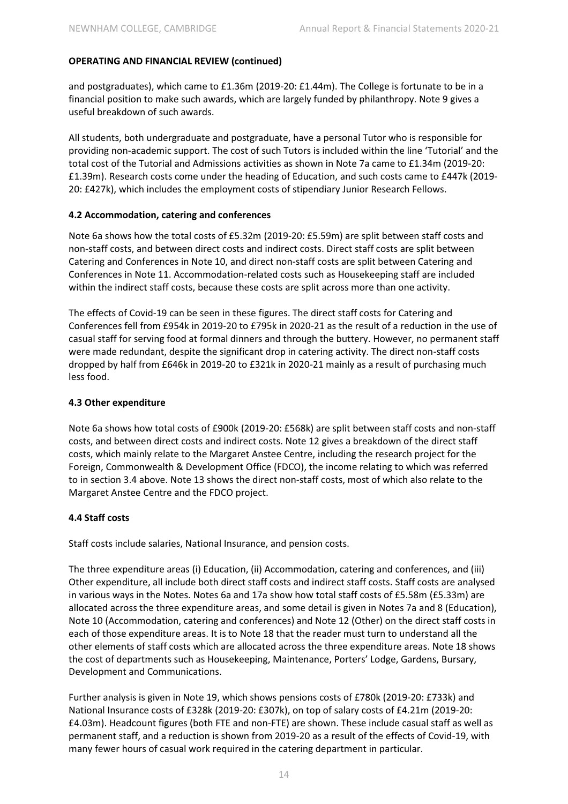and postgraduates), which came to £1.36m (2019-20: £1.44m). The College is fortunate to be in a financial position to make such awards, which are largely funded by philanthropy. Note 9 gives a useful breakdown of such awards.

All students, both undergraduate and postgraduate, have a personal Tutor who is responsible for providing non-academic support. The cost of such Tutors is included within the line 'Tutorial' and the total cost of the Tutorial and Admissions activities as shown in Note 7a came to £1.34m (2019-20: £1.39m). Research costs come under the heading of Education, and such costs came to £447k (2019- 20: £427k), which includes the employment costs of stipendiary Junior Research Fellows.

#### **4.2 Accommodation, catering and conferences**

Note 6a shows how the total costs of £5.32m (2019-20: £5.59m) are split between staff costs and non-staff costs, and between direct costs and indirect costs. Direct staff costs are split between Catering and Conferences in Note 10, and direct non-staff costs are split between Catering and Conferences in Note 11. Accommodation-related costs such as Housekeeping staff are included within the indirect staff costs, because these costs are split across more than one activity.

The effects of Covid-19 can be seen in these figures. The direct staff costs for Catering and Conferences fell from £954k in 2019-20 to £795k in 2020-21 as the result of a reduction in the use of casual staff for serving food at formal dinners and through the buttery. However, no permanent staff were made redundant, despite the significant drop in catering activity. The direct non-staff costs dropped by half from £646k in 2019-20 to £321k in 2020-21 mainly as a result of purchasing much less food.

#### **4.3 Other expenditure**

Note 6a shows how total costs of £900k (2019-20: £568k) are split between staff costs and non-staff costs, and between direct costs and indirect costs. Note 12 gives a breakdown of the direct staff costs, which mainly relate to the Margaret Anstee Centre, including the research project for the Foreign, Commonwealth & Development Office (FDCO), the income relating to which was referred to in section 3.4 above. Note 13 shows the direct non-staff costs, most of which also relate to the Margaret Anstee Centre and the FDCO project.

#### **4.4 Staff costs**

Staff costs include salaries, National Insurance, and pension costs.

The three expenditure areas (i) Education, (ii) Accommodation, catering and conferences, and (iii) Other expenditure, all include both direct staff costs and indirect staff costs. Staff costs are analysed in various ways in the Notes. Notes 6a and 17a show how total staff costs of £5.58m (£5.33m) are allocated across the three expenditure areas, and some detail is given in Notes 7a and 8 (Education), Note 10 (Accommodation, catering and conferences) and Note 12 (Other) on the direct staff costs in each of those expenditure areas. It is to Note 18 that the reader must turn to understand all the other elements of staff costs which are allocated across the three expenditure areas. Note 18 shows the cost of departments such as Housekeeping, Maintenance, Porters' Lodge, Gardens, Bursary, Development and Communications.

Further analysis is given in Note 19, which shows pensions costs of £780k (2019-20: £733k) and National Insurance costs of £328k (2019-20: £307k), on top of salary costs of £4.21m (2019-20: £4.03m). Headcount figures (both FTE and non-FTE) are shown. These include casual staff as well as permanent staff, and a reduction is shown from 2019-20 as a result of the effects of Covid-19, with many fewer hours of casual work required in the catering department in particular.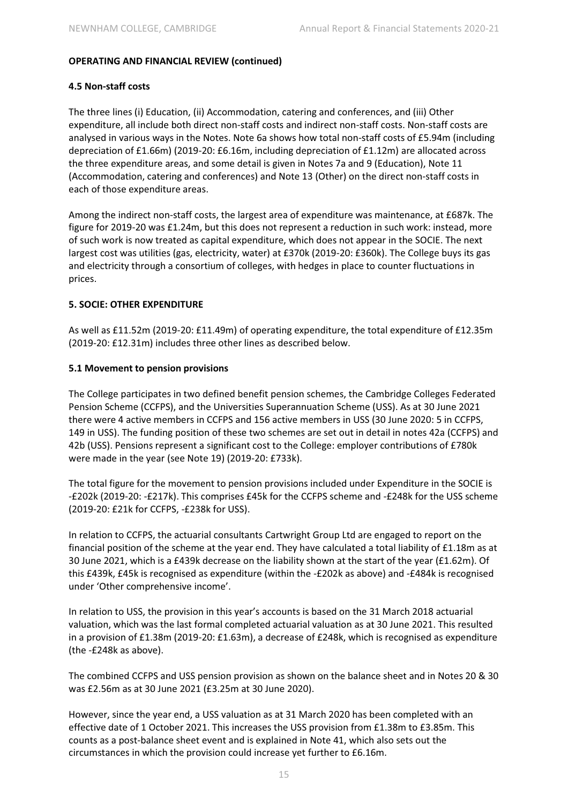#### **4.5 Non-staff costs**

The three lines (i) Education, (ii) Accommodation, catering and conferences, and (iii) Other expenditure, all include both direct non-staff costs and indirect non-staff costs. Non-staff costs are analysed in various ways in the Notes. Note 6a shows how total non-staff costs of £5.94m (including depreciation of £1.66m) (2019-20: £6.16m, including depreciation of £1.12m) are allocated across the three expenditure areas, and some detail is given in Notes 7a and 9 (Education), Note 11 (Accommodation, catering and conferences) and Note 13 (Other) on the direct non-staff costs in each of those expenditure areas.

Among the indirect non-staff costs, the largest area of expenditure was maintenance, at £687k. The figure for 2019-20 was £1.24m, but this does not represent a reduction in such work: instead, more of such work is now treated as capital expenditure, which does not appear in the SOCIE. The next largest cost was utilities (gas, electricity, water) at £370k (2019-20: £360k). The College buys its gas and electricity through a consortium of colleges, with hedges in place to counter fluctuations in prices.

#### **5. SOCIE: OTHER EXPENDITURE**

As well as £11.52m (2019-20: £11.49m) of operating expenditure, the total expenditure of £12.35m (2019-20: £12.31m) includes three other lines as described below.

#### **5.1 Movement to pension provisions**

The College participates in two defined benefit pension schemes, the Cambridge Colleges Federated Pension Scheme (CCFPS), and the Universities Superannuation Scheme (USS). As at 30 June 2021 there were 4 active members in CCFPS and 156 active members in USS (30 June 2020: 5 in CCFPS, 149 in USS). The funding position of these two schemes are set out in detail in notes 42a (CCFPS) and 42b (USS). Pensions represent a significant cost to the College: employer contributions of £780k were made in the year (see Note 19) (2019-20: £733k).

The total figure for the movement to pension provisions included under Expenditure in the SOCIE is -£202k (2019-20: -£217k). This comprises £45k for the CCFPS scheme and -£248k for the USS scheme (2019-20: £21k for CCFPS, -£238k for USS).

In relation to CCFPS, the actuarial consultants Cartwright Group Ltd are engaged to report on the financial position of the scheme at the year end. They have calculated a total liability of £1.18m as at 30 June 2021, which is a £439k decrease on the liability shown at the start of the year (£1.62m). Of this £439k, £45k is recognised as expenditure (within the -£202k as above) and -£484k is recognised under 'Other comprehensive income'.

In relation to USS, the provision in this year's accounts is based on the 31 March 2018 actuarial valuation, which was the last formal completed actuarial valuation as at 30 June 2021. This resulted in a provision of £1.38m (2019-20: £1.63m), a decrease of £248k, which is recognised as expenditure (the -£248k as above).

The combined CCFPS and USS pension provision as shown on the balance sheet and in Notes 20 & 30 was £2.56m as at 30 June 2021 (£3.25m at 30 June 2020).

However, since the year end, a USS valuation as at 31 March 2020 has been completed with an effective date of 1 October 2021. This increases the USS provision from £1.38m to £3.85m. This counts as a post-balance sheet event and is explained in Note 41, which also sets out the circumstances in which the provision could increase yet further to £6.16m.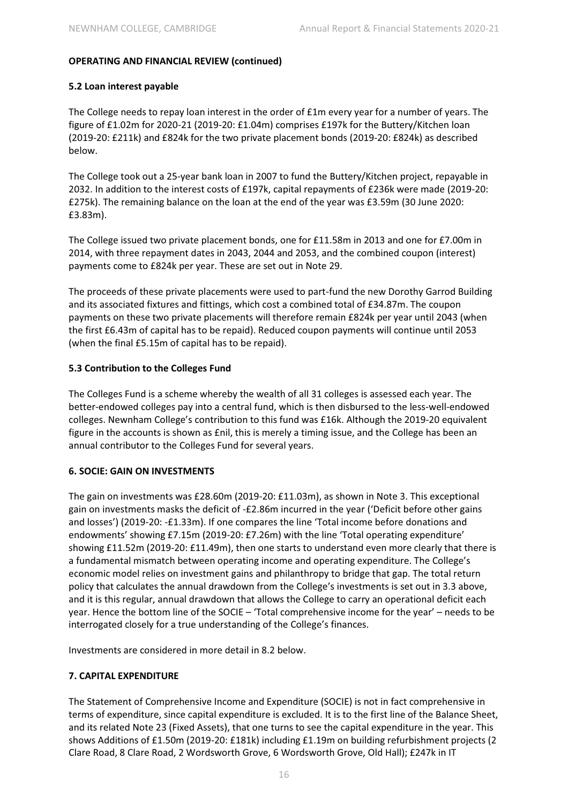#### **5.2 Loan interest payable**

The College needs to repay loan interest in the order of £1m every year for a number of years. The figure of £1.02m for 2020-21 (2019-20: £1.04m) comprises £197k for the Buttery/Kitchen loan (2019-20: £211k) and £824k for the two private placement bonds (2019-20: £824k) as described below.

The College took out a 25-year bank loan in 2007 to fund the Buttery/Kitchen project, repayable in 2032. In addition to the interest costs of £197k, capital repayments of £236k were made (2019-20: £275k). The remaining balance on the loan at the end of the year was £3.59m (30 June 2020: £3.83m).

The College issued two private placement bonds, one for £11.58m in 2013 and one for £7.00m in 2014, with three repayment dates in 2043, 2044 and 2053, and the combined coupon (interest) payments come to £824k per year. These are set out in Note 29.

The proceeds of these private placements were used to part-fund the new Dorothy Garrod Building and its associated fixtures and fittings, which cost a combined total of £34.87m. The coupon payments on these two private placements will therefore remain £824k per year until 2043 (when the first £6.43m of capital has to be repaid). Reduced coupon payments will continue until 2053 (when the final £5.15m of capital has to be repaid).

#### **5.3 Contribution to the Colleges Fund**

The Colleges Fund is a scheme whereby the wealth of all 31 colleges is assessed each year. The better-endowed colleges pay into a central fund, which is then disbursed to the less-well-endowed colleges. Newnham College's contribution to this fund was £16k. Although the 2019-20 equivalent figure in the accounts is shown as £nil, this is merely a timing issue, and the College has been an annual contributor to the Colleges Fund for several years.

#### **6. SOCIE: GAIN ON INVESTMENTS**

The gain on investments was £28.60m (2019-20: £11.03m), as shown in Note 3. This exceptional gain on investments masks the deficit of -£2.86m incurred in the year ('Deficit before other gains and losses') (2019-20: -£1.33m). If one compares the line 'Total income before donations and endowments' showing £7.15m (2019-20: £7.26m) with the line 'Total operating expenditure' showing £11.52m (2019-20: £11.49m), then one starts to understand even more clearly that there is a fundamental mismatch between operating income and operating expenditure. The College's economic model relies on investment gains and philanthropy to bridge that gap. The total return policy that calculates the annual drawdown from the College's investments is set out in 3.3 above, and it is this regular, annual drawdown that allows the College to carry an operational deficit each year. Hence the bottom line of the SOCIE – 'Total comprehensive income for the year' – needs to be interrogated closely for a true understanding of the College's finances.

Investments are considered in more detail in 8.2 below.

# **7. CAPITAL EXPENDITURE**

The Statement of Comprehensive Income and Expenditure (SOCIE) is not in fact comprehensive in terms of expenditure, since capital expenditure is excluded. It is to the first line of the Balance Sheet, and its related Note 23 (Fixed Assets), that one turns to see the capital expenditure in the year. This shows Additions of £1.50m (2019-20: £181k) including £1.19m on building refurbishment projects (2 Clare Road, 8 Clare Road, 2 Wordsworth Grove, 6 Wordsworth Grove, Old Hall); £247k in IT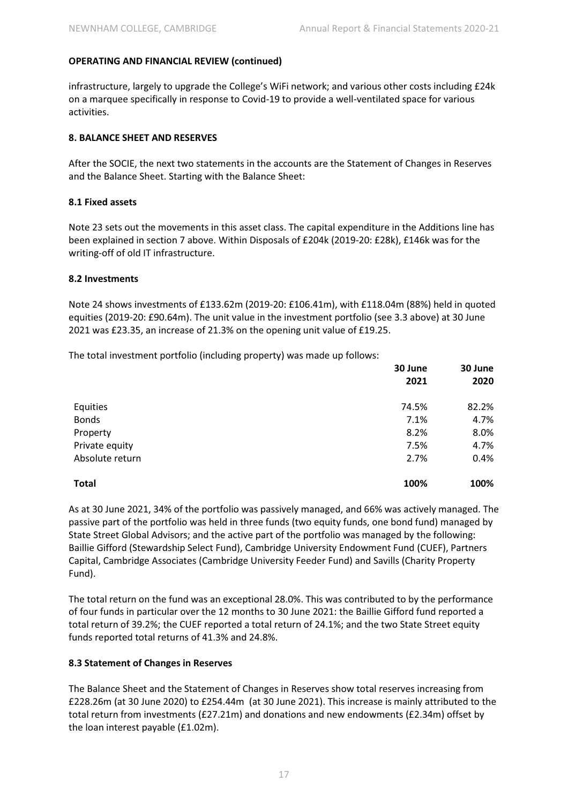infrastructure, largely to upgrade the College's WiFi network; and various other costs including £24k on a marquee specifically in response to Covid-19 to provide a well-ventilated space for various activities.

#### **8. BALANCE SHEET AND RESERVES**

After the SOCIE, the next two statements in the accounts are the Statement of Changes in Reserves and the Balance Sheet. Starting with the Balance Sheet:

#### **8.1 Fixed assets**

Note 23 sets out the movements in this asset class. The capital expenditure in the Additions line has been explained in section 7 above. Within Disposals of £204k (2019-20: £28k), £146k was for the writing-off of old IT infrastructure.

#### **8.2 Investments**

Note 24 shows investments of £133.62m (2019-20: £106.41m), with £118.04m (88%) held in quoted equities (2019-20: £90.64m). The unit value in the investment portfolio (see 3.3 above) at 30 June 2021 was £23.35, an increase of 21.3% on the opening unit value of £19.25.

The total investment portfolio (including property) was made up follows:

|                 | 30 June | 30 June |  |
|-----------------|---------|---------|--|
|                 | 2021    | 2020    |  |
| Equities        | 74.5%   | 82.2%   |  |
| <b>Bonds</b>    | 7.1%    | 4.7%    |  |
| Property        | 8.2%    | 8.0%    |  |
| Private equity  | 7.5%    | 4.7%    |  |
| Absolute return | 2.7%    | 0.4%    |  |
| <b>Total</b>    | 100%    | 100%    |  |

As at 30 June 2021, 34% of the portfolio was passively managed, and 66% was actively managed. The passive part of the portfolio was held in three funds (two equity funds, one bond fund) managed by State Street Global Advisors; and the active part of the portfolio was managed by the following: Baillie Gifford (Stewardship Select Fund), Cambridge University Endowment Fund (CUEF), Partners Capital, Cambridge Associates (Cambridge University Feeder Fund) and Savills (Charity Property Fund).

The total return on the fund was an exceptional 28.0%. This was contributed to by the performance of four funds in particular over the 12 months to 30 June 2021: the Baillie Gifford fund reported a total return of 39.2%; the CUEF reported a total return of 24.1%; and the two State Street equity funds reported total returns of 41.3% and 24.8%.

#### **8.3 Statement of Changes in Reserves**

The Balance Sheet and the Statement of Changes in Reserves show total reserves increasing from £228.26m (at 30 June 2020) to £254.44m (at 30 June 2021). This increase is mainly attributed to the total return from investments (£27.21m) and donations and new endowments (£2.34m) offset by the loan interest payable (£1.02m).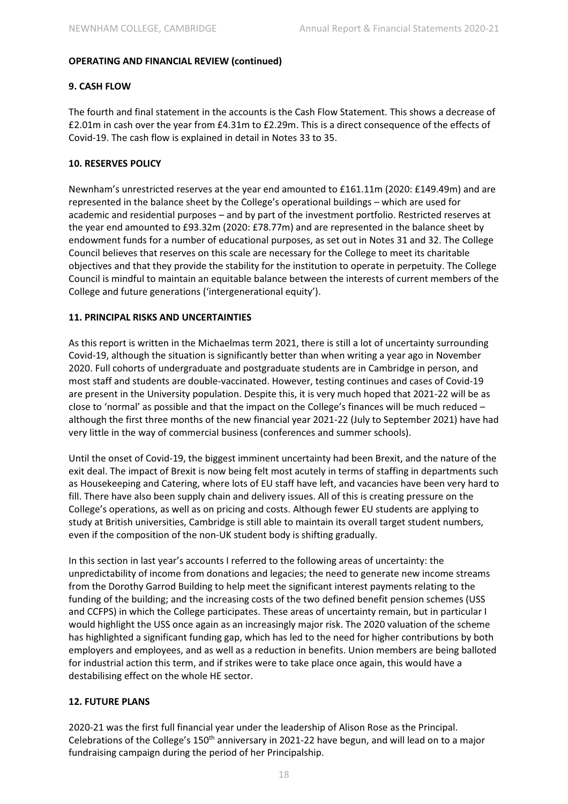## **9. CASH FLOW**

The fourth and final statement in the accounts is the Cash Flow Statement. This shows a decrease of £2.01m in cash over the year from £4.31m to £2.29m. This is a direct consequence of the effects of Covid-19. The cash flow is explained in detail in Notes 33 to 35.

#### **10. RESERVES POLICY**

Newnham's unrestricted reserves at the year end amounted to £161.11m (2020: £149.49m) and are represented in the balance sheet by the College's operational buildings – which are used for academic and residential purposes – and by part of the investment portfolio. Restricted reserves at the year end amounted to £93.32m (2020: £78.77m) and are represented in the balance sheet by endowment funds for a number of educational purposes, as set out in Notes 31 and 32. The College Council believes that reserves on this scale are necessary for the College to meet its charitable objectives and that they provide the stability for the institution to operate in perpetuity. The College Council is mindful to maintain an equitable balance between the interests of current members of the College and future generations ('intergenerational equity').

#### **11. PRINCIPAL RISKS AND UNCERTAINTIES**

As this report is written in the Michaelmas term 2021, there is still a lot of uncertainty surrounding Covid-19, although the situation is significantly better than when writing a year ago in November 2020. Full cohorts of undergraduate and postgraduate students are in Cambridge in person, and most staff and students are double-vaccinated. However, testing continues and cases of Covid-19 are present in the University population. Despite this, it is very much hoped that 2021-22 will be as close to 'normal' as possible and that the impact on the College's finances will be much reduced – although the first three months of the new financial year 2021-22 (July to September 2021) have had very little in the way of commercial business (conferences and summer schools).

Until the onset of Covid-19, the biggest imminent uncertainty had been Brexit, and the nature of the exit deal. The impact of Brexit is now being felt most acutely in terms of staffing in departments such as Housekeeping and Catering, where lots of EU staff have left, and vacancies have been very hard to fill. There have also been supply chain and delivery issues. All of this is creating pressure on the College's operations, as well as on pricing and costs. Although fewer EU students are applying to study at British universities, Cambridge is still able to maintain its overall target student numbers, even if the composition of the non-UK student body is shifting gradually.

In this section in last year's accounts I referred to the following areas of uncertainty: the unpredictability of income from donations and legacies; the need to generate new income streams from the Dorothy Garrod Building to help meet the significant interest payments relating to the funding of the building; and the increasing costs of the two defined benefit pension schemes (USS and CCFPS) in which the College participates. These areas of uncertainty remain, but in particular I would highlight the USS once again as an increasingly major risk. The 2020 valuation of the scheme has highlighted a significant funding gap, which has led to the need for higher contributions by both employers and employees, and as well as a reduction in benefits. Union members are being balloted for industrial action this term, and if strikes were to take place once again, this would have a destabilising effect on the whole HE sector.

# **12. FUTURE PLANS**

2020-21 was the first full financial year under the leadership of Alison Rose as the Principal. Celebrations of the College's 150<sup>th</sup> anniversary in 2021-22 have begun, and will lead on to a major fundraising campaign during the period of her Principalship.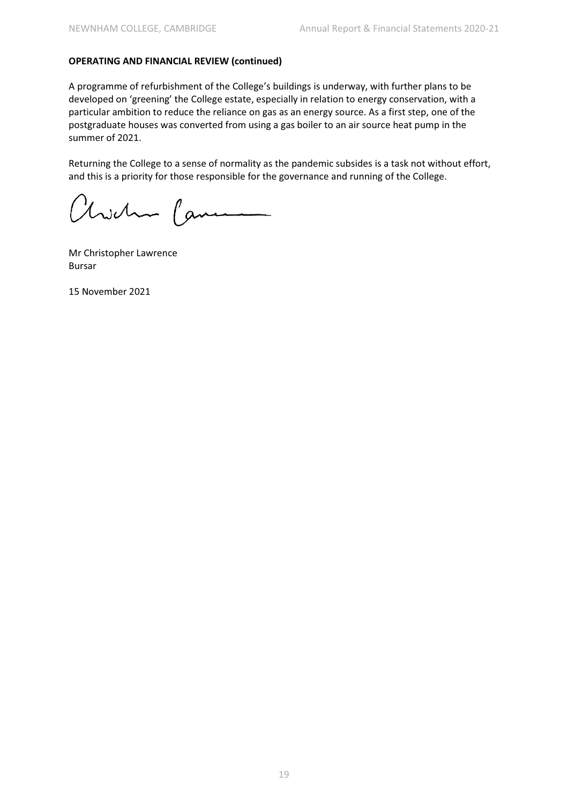A programme of refurbishment of the College's buildings is underway, with further plans to be developed on 'greening' the College estate, especially in relation to energy conservation, with a particular ambition to reduce the reliance on gas as an energy source. As a first step, one of the postgraduate houses was converted from using a gas boiler to an air source heat pump in the summer of 2021.

Returning the College to a sense of normality as the pandemic subsides is a task not without effort, and this is a priority for those responsible for the governance and running of the College.

Kwehn Came

Mr Christopher Lawrence Bursar

15 November 2021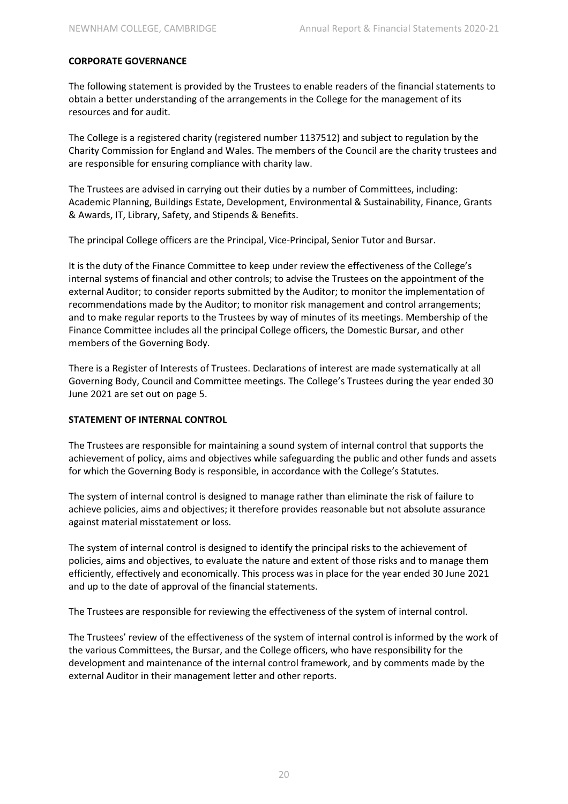#### **CORPORATE GOVERNANCE**

The following statement is provided by the Trustees to enable readers of the financial statements to obtain a better understanding of the arrangements in the College for the management of its resources and for audit.

The College is a registered charity (registered number 1137512) and subject to regulation by the Charity Commission for England and Wales. The members of the Council are the charity trustees and are responsible for ensuring compliance with charity law.

The Trustees are advised in carrying out their duties by a number of Committees, including: Academic Planning, Buildings Estate, Development, Environmental & Sustainability, Finance, Grants & Awards, IT, Library, Safety, and Stipends & Benefits.

The principal College officers are the Principal, Vice-Principal, Senior Tutor and Bursar.

It is the duty of the Finance Committee to keep under review the effectiveness of the College's internal systems of financial and other controls; to advise the Trustees on the appointment of the external Auditor; to consider reports submitted by the Auditor; to monitor the implementation of recommendations made by the Auditor; to monitor risk management and control arrangements; and to make regular reports to the Trustees by way of minutes of its meetings. Membership of the Finance Committee includes all the principal College officers, the Domestic Bursar, and other members of the Governing Body.

There is a Register of Interests of Trustees. Declarations of interest are made systematically at all Governing Body, Council and Committee meetings. The College's Trustees during the year ended 30 June 2021 are set out on page 5.

#### **STATEMENT OF INTERNAL CONTROL**

The Trustees are responsible for maintaining a sound system of internal control that supports the achievement of policy, aims and objectives while safeguarding the public and other funds and assets for which the Governing Body is responsible, in accordance with the College's Statutes.

The system of internal control is designed to manage rather than eliminate the risk of failure to achieve policies, aims and objectives; it therefore provides reasonable but not absolute assurance against material misstatement or loss.

The system of internal control is designed to identify the principal risks to the achievement of policies, aims and objectives, to evaluate the nature and extent of those risks and to manage them efficiently, effectively and economically. This process was in place for the year ended 30 June 2021 and up to the date of approval of the financial statements.

The Trustees are responsible for reviewing the effectiveness of the system of internal control.

The Trustees' review of the effectiveness of the system of internal control is informed by the work of the various Committees, the Bursar, and the College officers, who have responsibility for the development and maintenance of the internal control framework, and by comments made by the external Auditor in their management letter and other reports.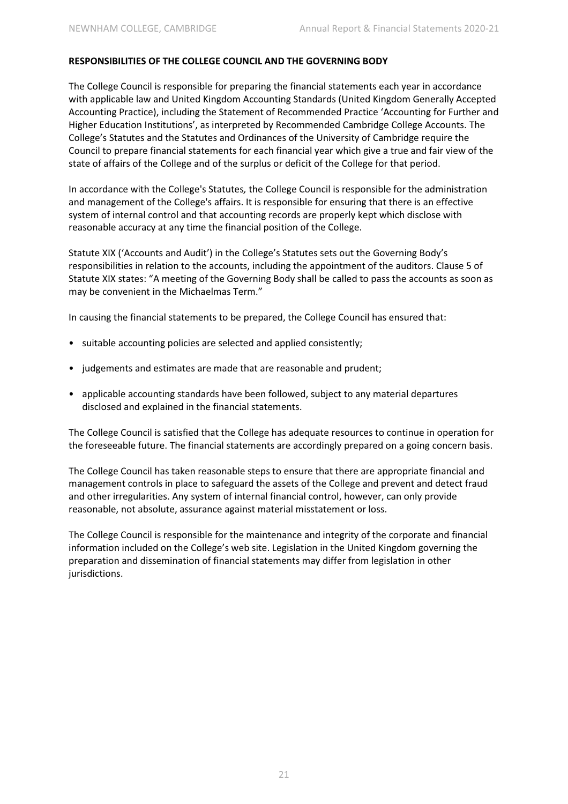#### **RESPONSIBILITIES OF THE COLLEGE COUNCIL AND THE GOVERNING BODY**

The College Council is responsible for preparing the financial statements each year in accordance with applicable law and United Kingdom Accounting Standards (United Kingdom Generally Accepted Accounting Practice), including the Statement of Recommended Practice 'Accounting for Further and Higher Education Institutions', as interpreted by Recommended Cambridge College Accounts. The College's Statutes and the Statutes and Ordinances of the University of Cambridge require the Council to prepare financial statements for each financial year which give a true and fair view of the state of affairs of the College and of the surplus or deficit of the College for that period.

In accordance with the College's Statutes*,* the College Council is responsible for the administration and management of the College's affairs. It is responsible for ensuring that there is an effective system of internal control and that accounting records are properly kept which disclose with reasonable accuracy at any time the financial position of the College.

Statute XIX ('Accounts and Audit') in the College's Statutes sets out the Governing Body's responsibilities in relation to the accounts, including the appointment of the auditors. Clause 5 of Statute XIX states: "A meeting of the Governing Body shall be called to pass the accounts as soon as may be convenient in the Michaelmas Term."

In causing the financial statements to be prepared, the College Council has ensured that:

- suitable accounting policies are selected and applied consistently;
- judgements and estimates are made that are reasonable and prudent;
- applicable accounting standards have been followed, subject to any material departures disclosed and explained in the financial statements.

The College Council is satisfied that the College has adequate resources to continue in operation for the foreseeable future. The financial statements are accordingly prepared on a going concern basis.

The College Council has taken reasonable steps to ensure that there are appropriate financial and management controls in place to safeguard the assets of the College and prevent and detect fraud and other irregularities. Any system of internal financial control, however, can only provide reasonable, not absolute, assurance against material misstatement or loss.

The College Council is responsible for the maintenance and integrity of the corporate and financial information included on the College's web site. Legislation in the United Kingdom governing the preparation and dissemination of financial statements may differ from legislation in other jurisdictions.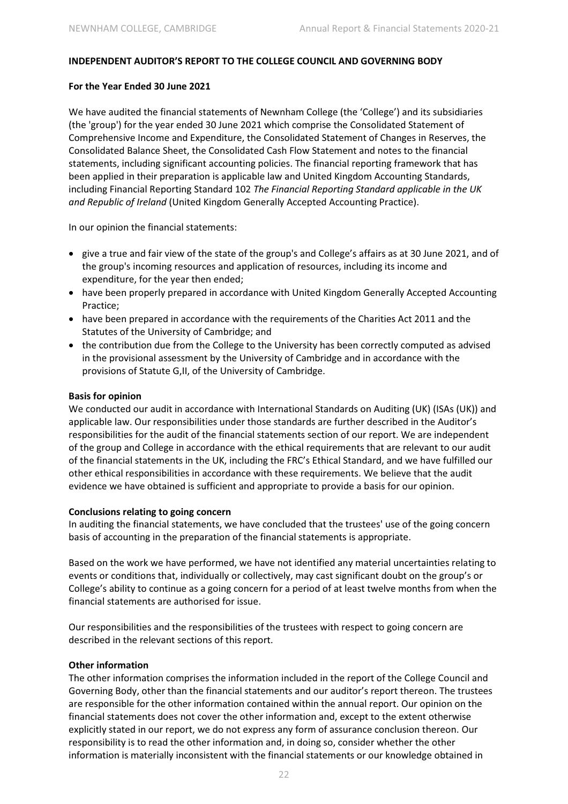#### **INDEPENDENT AUDITOR'S REPORT TO THE COLLEGE COUNCIL AND GOVERNING BODY**

#### **For the Year Ended 30 June 2021**

We have audited the financial statements of Newnham College (the 'College') and its subsidiaries (the 'group') for the year ended 30 June 2021 which comprise the Consolidated Statement of Comprehensive Income and Expenditure, the Consolidated Statement of Changes in Reserves, the Consolidated Balance Sheet, the Consolidated Cash Flow Statement and notes to the financial statements, including significant accounting policies. The financial reporting framework that has been applied in their preparation is applicable law and United Kingdom Accounting Standards, including Financial Reporting Standard 102 *The Financial Reporting Standard applicable in the UK and Republic of Ireland* (United Kingdom Generally Accepted Accounting Practice).

In our opinion the financial statements:

- give a true and fair view of the state of the group's and College's affairs as at 30 June 2021, and of the group's incoming resources and application of resources, including its income and expenditure, for the year then ended;
- have been properly prepared in accordance with United Kingdom Generally Accepted Accounting Practice;
- have been prepared in accordance with the requirements of the Charities Act 2011 and the Statutes of the University of Cambridge; and
- the contribution due from the College to the University has been correctly computed as advised in the provisional assessment by the University of Cambridge and in accordance with the provisions of Statute G,II, of the University of Cambridge.

#### **Basis for opinion**

We conducted our audit in accordance with International Standards on Auditing (UK) (ISAs (UK)) and applicable law. Our responsibilities under those standards are further described in the Auditor's responsibilities for the audit of the financial statements section of our report. We are independent of the group and College in accordance with the ethical requirements that are relevant to our audit of the financial statements in the UK, including the FRC's Ethical Standard, and we have fulfilled our other ethical responsibilities in accordance with these requirements. We believe that the audit evidence we have obtained is sufficient and appropriate to provide a basis for our opinion.

#### **Conclusions relating to going concern**

In auditing the financial statements, we have concluded that the trustees' use of the going concern basis of accounting in the preparation of the financial statements is appropriate.

Based on the work we have performed, we have not identified any material uncertainties relating to events or conditions that, individually or collectively, may cast significant doubt on the group's or College's ability to continue as a going concern for a period of at least twelve months from when the financial statements are authorised for issue.

Our responsibilities and the responsibilities of the trustees with respect to going concern are described in the relevant sections of this report.

#### **Other information**

The other information comprises the information included in the report of the College Council and Governing Body, other than the financial statements and our auditor's report thereon. The trustees are responsible for the other information contained within the annual report. Our opinion on the financial statements does not cover the other information and, except to the extent otherwise explicitly stated in our report, we do not express any form of assurance conclusion thereon. Our responsibility is to read the other information and, in doing so, consider whether the other information is materially inconsistent with the financial statements or our knowledge obtained in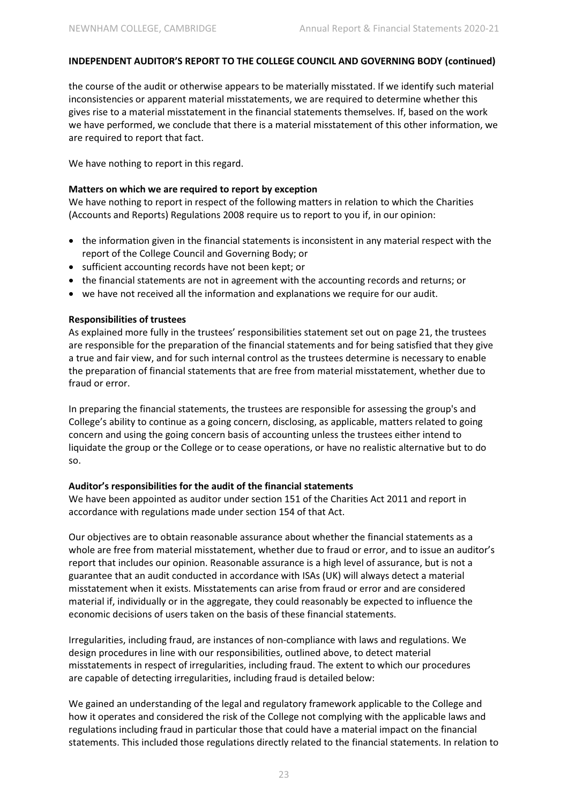#### **INDEPENDENT AUDITOR'S REPORT TO THE COLLEGE COUNCIL AND GOVERNING BODY (continued)**

the course of the audit or otherwise appears to be materially misstated. If we identify such material inconsistencies or apparent material misstatements, we are required to determine whether this gives rise to a material misstatement in the financial statements themselves. If, based on the work we have performed, we conclude that there is a material misstatement of this other information, we are required to report that fact.

We have nothing to report in this regard.

#### **Matters on which we are required to report by exception**

We have nothing to report in respect of the following matters in relation to which the Charities (Accounts and Reports) Regulations 2008 require us to report to you if, in our opinion:

- the information given in the financial statements is inconsistent in any material respect with the report of the College Council and Governing Body; or
- sufficient accounting records have not been kept; or
- the financial statements are not in agreement with the accounting records and returns; or
- we have not received all the information and explanations we require for our audit.

#### **Responsibilities of trustees**

As explained more fully in the trustees' responsibilities statement set out on page 21, the trustees are responsible for the preparation of the financial statements and for being satisfied that they give a true and fair view, and for such internal control as the trustees determine is necessary to enable the preparation of financial statements that are free from material misstatement, whether due to fraud or error.

In preparing the financial statements, the trustees are responsible for assessing the group's and College's ability to continue as a going concern, disclosing, as applicable, matters related to going concern and using the going concern basis of accounting unless the trustees either intend to liquidate the group or the College or to cease operations, or have no realistic alternative but to do so.

#### **Auditor's responsibilities for the audit of the financial statements**

We have been appointed as auditor under section 151 of the Charities Act 2011 and report in accordance with regulations made under section 154 of that Act.

Our objectives are to obtain reasonable assurance about whether the financial statements as a whole are free from material misstatement, whether due to fraud or error, and to issue an auditor's report that includes our opinion. Reasonable assurance is a high level of assurance, but is not a guarantee that an audit conducted in accordance with ISAs (UK) will always detect a material misstatement when it exists. Misstatements can arise from fraud or error and are considered material if, individually or in the aggregate, they could reasonably be expected to influence the economic decisions of users taken on the basis of these financial statements.

Irregularities, including fraud, are instances of non-compliance with laws and regulations. We design procedures in line with our responsibilities, outlined above, to detect material misstatements in respect of irregularities, including fraud. The extent to which our procedures are capable of detecting irregularities, including fraud is detailed below:

We gained an understanding of the legal and regulatory framework applicable to the College and how it operates and considered the risk of the College not complying with the applicable laws and regulations including fraud in particular those that could have a material impact on the financial statements. This included those regulations directly related to the financial statements. In relation to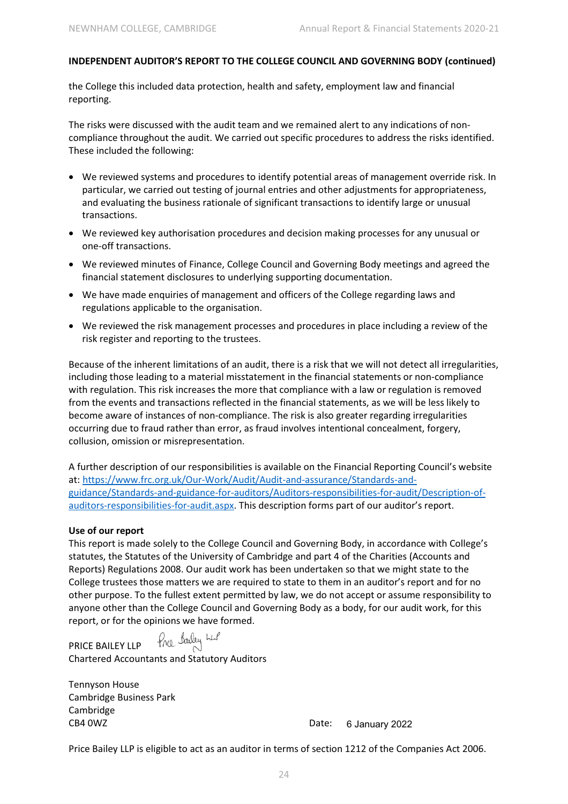## **INDEPENDENT AUDITOR'S REPORT TO THE COLLEGE COUNCIL AND GOVERNING BODY (continued)**

the College this included data protection, health and safety, employment law and financial reporting.

The risks were discussed with the audit team and we remained alert to any indications of noncompliance throughout the audit. We carried out specific procedures to address the risks identified. These included the following:

- We reviewed systems and procedures to identify potential areas of management override risk. In particular, we carried out testing of journal entries and other adjustments for appropriateness, and evaluating the business rationale of significant transactions to identify large or unusual transactions.
- We reviewed key authorisation procedures and decision making processes for any unusual or one-off transactions.
- We reviewed minutes of Finance, College Council and Governing Body meetings and agreed the financial statement disclosures to underlying supporting documentation.
- We have made enquiries of management and officers of the College regarding laws and regulations applicable to the organisation.
- We reviewed the risk management processes and procedures in place including a review of the risk register and reporting to the trustees.

Because of the inherent limitations of an audit, there is a risk that we will not detect all irregularities, including those leading to a material misstatement in the financial statements or non-compliance with regulation. This risk increases the more that compliance with a law or regulation is removed from the events and transactions reflected in the financial statements, as we will be less likely to become aware of instances of non-compliance. The risk is also greater regarding irregularities occurring due to fraud rather than error, as fraud involves intentional concealment, forgery, collusion, omission or misrepresentation.

A further description of our responsibilities is available on the Financial Reporting Council's website at: https://www.frc.org.uk/Our-Work/Audit/Audit-and-assurance/Standards-andguidance/Standards-and-guidance-for-auditors/Auditors-responsibilities-for-audit/Description-ofauditors-responsibilities-for-audit.aspx. This description forms part of our auditor's report.

#### **Use of our report**

This report is made solely to the College Council and Governing Body, in accordance with College's statutes, the Statutes of the University of Cambridge and part 4 of the Charities (Accounts and Reports) Regulations 2008. Our audit work has been undertaken so that we might state to the College trustees those matters we are required to state to them in an auditor's report and for no other purpose. To the fullest extent permitted by law, we do not accept or assume responsibility to anyone other than the College Council and Governing Body as a body, for our audit work, for this report, or for the opinions we have formed.

PRICE BAILEY LLP free balley LLP

Chartered Accountants and Statutory Auditors

Tennyson House Cambridge Business Park Cambridge CB4 0WZ Date:

6 January 2022

Price Bailey LLP is eligible to act as an auditor in terms of section 1212 of the Companies Act 2006.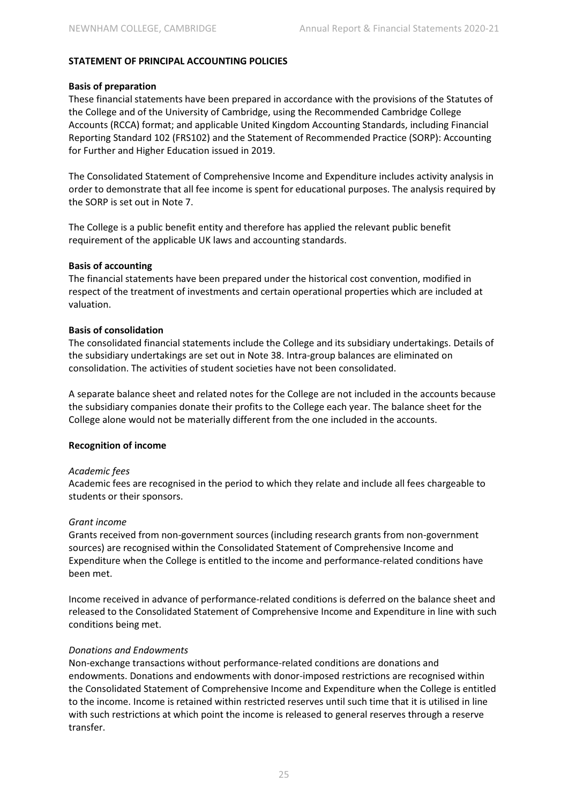#### **STATEMENT OF PRINCIPAL ACCOUNTING POLICIES**

#### **Basis of preparation**

These financial statements have been prepared in accordance with the provisions of the Statutes of the College and of the University of Cambridge, using the Recommended Cambridge College Accounts (RCCA) format; and applicable United Kingdom Accounting Standards, including Financial Reporting Standard 102 (FRS102) and the Statement of Recommended Practice (SORP): Accounting for Further and Higher Education issued in 2019.

The Consolidated Statement of Comprehensive Income and Expenditure includes activity analysis in order to demonstrate that all fee income is spent for educational purposes. The analysis required by the SORP is set out in Note 7.

The College is a public benefit entity and therefore has applied the relevant public benefit requirement of the applicable UK laws and accounting standards.

#### **Basis of accounting**

The financial statements have been prepared under the historical cost convention, modified in respect of the treatment of investments and certain operational properties which are included at valuation.

#### **Basis of consolidation**

The consolidated financial statements include the College and its subsidiary undertakings. Details of the subsidiary undertakings are set out in Note 38. Intra-group balances are eliminated on consolidation. The activities of student societies have not been consolidated.

A separate balance sheet and related notes for the College are not included in the accounts because the subsidiary companies donate their profits to the College each year. The balance sheet for the College alone would not be materially different from the one included in the accounts.

#### **Recognition of income**

#### *Academic fees*

Academic fees are recognised in the period to which they relate and include all fees chargeable to students or their sponsors.

#### *Grant income*

Grants received from non-government sources (including research grants from non-government sources) are recognised within the Consolidated Statement of Comprehensive Income and Expenditure when the College is entitled to the income and performance-related conditions have been met.

Income received in advance of performance-related conditions is deferred on the balance sheet and released to the Consolidated Statement of Comprehensive Income and Expenditure in line with such conditions being met.

#### *Donations and Endowments*

Non-exchange transactions without performance-related conditions are donations and endowments. Donations and endowments with donor-imposed restrictions are recognised within the Consolidated Statement of Comprehensive Income and Expenditure when the College is entitled to the income. Income is retained within restricted reserves until such time that it is utilised in line with such restrictions at which point the income is released to general reserves through a reserve transfer.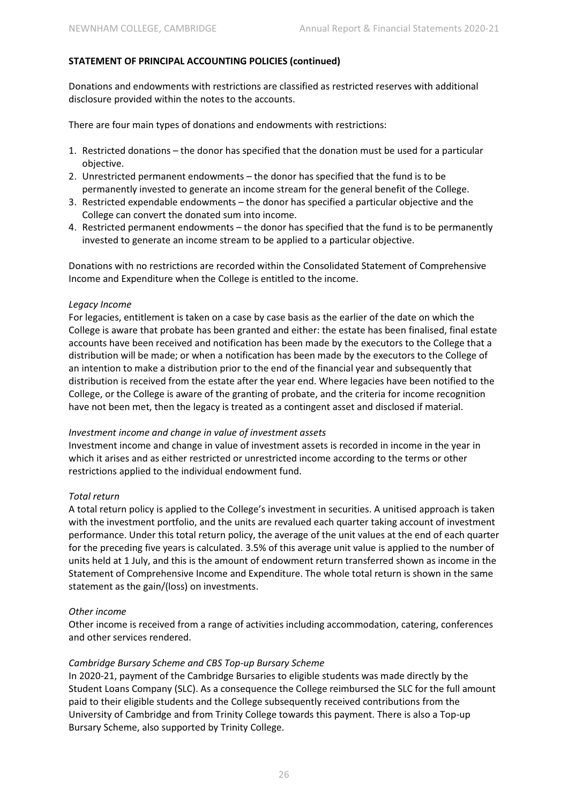Donations and endowments with restrictions are classified as restricted reserves with additional disclosure provided within the notes to the accounts.

There are four main types of donations and endowments with restrictions:

- 1. Restricted donations the donor has specified that the donation must be used for a particular objective.
- 2. Unrestricted permanent endowments the donor has specified that the fund is to be permanently invested to generate an income stream for the general benefit of the College.
- 3. Restricted expendable endowments the donor has specified a particular objective and the College can convert the donated sum into income.
- 4. Restricted permanent endowments the donor has specified that the fund is to be permanently invested to generate an income stream to be applied to a particular objective.

Donations with no restrictions are recorded within the Consolidated Statement of Comprehensive Income and Expenditure when the College is entitled to the income.

#### *Legacy Income*

For legacies, entitlement is taken on a case by case basis as the earlier of the date on which the College is aware that probate has been granted and either: the estate has been finalised, final estate accounts have been received and notification has been made by the executors to the College that a distribution will be made; or when a notification has been made by the executors to the College of an intention to make a distribution prior to the end of the financial year and subsequently that distribution is received from the estate after the year end. Where legacies have been notified to the College, or the College is aware of the granting of probate, and the criteria for income recognition have not been met, then the legacy is treated as a contingent asset and disclosed if material.

#### *Investment income and change in value of investment assets*

Investment income and change in value of investment assets is recorded in income in the year in which it arises and as either restricted or unrestricted income according to the terms or other restrictions applied to the individual endowment fund.

#### *Total return*

A total return policy is applied to the College's investment in securities. A unitised approach is taken with the investment portfolio, and the units are revalued each quarter taking account of investment performance. Under this total return policy, the average of the unit values at the end of each quarter for the preceding five years is calculated. 3.5% of this average unit value is applied to the number of units held at 1 July, and this is the amount of endowment return transferred shown as income in the Statement of Comprehensive Income and Expenditure. The whole total return is shown in the same statement as the gain/(loss) on investments.

#### *Other income*

Other income is received from a range of activities including accommodation, catering, conferences and other services rendered.

#### *Cambridge Bursary Scheme and CBS Top-up Bursary Scheme*

In 2020-21, payment of the Cambridge Bursaries to eligible students was made directly by the Student Loans Company (SLC). As a consequence the College reimbursed the SLC for the full amount paid to their eligible students and the College subsequently received contributions from the University of Cambridge and from Trinity College towards this payment. There is also a Top-up Bursary Scheme, also supported by Trinity College.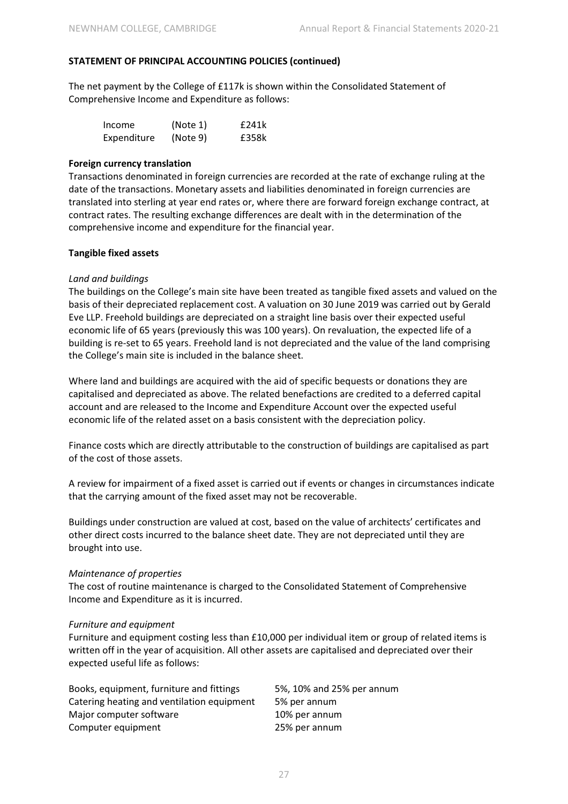The net payment by the College of £117k is shown within the Consolidated Statement of Comprehensive Income and Expenditure as follows:

| Income      | (Note 1) | £241k |
|-------------|----------|-------|
| Expenditure | (Note 9) | £358k |

#### **Foreign currency translation**

Transactions denominated in foreign currencies are recorded at the rate of exchange ruling at the date of the transactions. Monetary assets and liabilities denominated in foreign currencies are translated into sterling at year end rates or, where there are forward foreign exchange contract, at contract rates. The resulting exchange differences are dealt with in the determination of the comprehensive income and expenditure for the financial year.

#### **Tangible fixed assets**

#### *Land and buildings*

The buildings on the College's main site have been treated as tangible fixed assets and valued on the basis of their depreciated replacement cost. A valuation on 30 June 2019 was carried out by Gerald Eve LLP. Freehold buildings are depreciated on a straight line basis over their expected useful economic life of 65 years (previously this was 100 years). On revaluation, the expected life of a building is re-set to 65 years. Freehold land is not depreciated and the value of the land comprising the College's main site is included in the balance sheet.

Where land and buildings are acquired with the aid of specific bequests or donations they are capitalised and depreciated as above. The related benefactions are credited to a deferred capital account and are released to the Income and Expenditure Account over the expected useful economic life of the related asset on a basis consistent with the depreciation policy.

Finance costs which are directly attributable to the construction of buildings are capitalised as part of the cost of those assets.

A review for impairment of a fixed asset is carried out if events or changes in circumstances indicate that the carrying amount of the fixed asset may not be recoverable.

Buildings under construction are valued at cost, based on the value of architects' certificates and other direct costs incurred to the balance sheet date. They are not depreciated until they are brought into use.

#### *Maintenance of properties*

The cost of routine maintenance is charged to the Consolidated Statement of Comprehensive Income and Expenditure as it is incurred.

#### *Furniture and equipment*

Furniture and equipment costing less than £10,000 per individual item or group of related items is written off in the year of acquisition. All other assets are capitalised and depreciated over their expected useful life as follows:

| Books, equipment, furniture and fittings   | 5%, 10% and 25% per annum |
|--------------------------------------------|---------------------------|
| Catering heating and ventilation equipment | 5% per annum              |
| Major computer software                    | 10% per annum             |
| Computer equipment                         | 25% per annum             |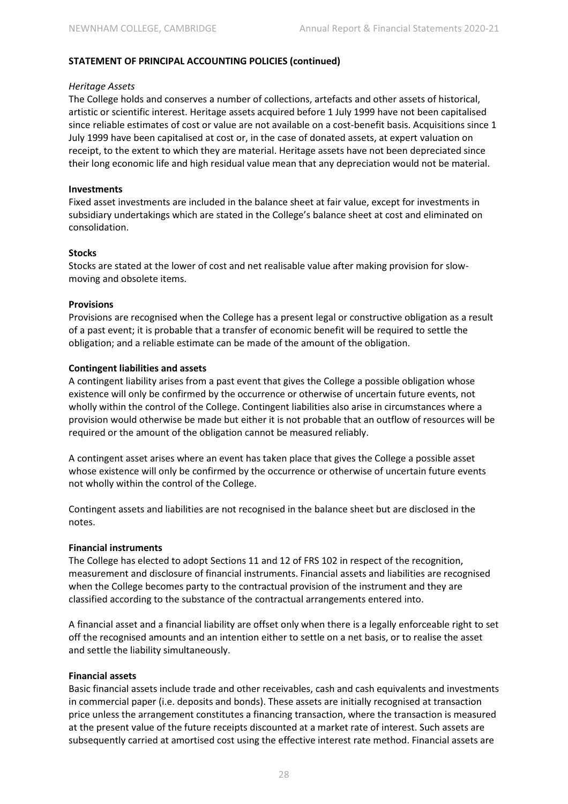#### *Heritage Assets*

The College holds and conserves a number of collections, artefacts and other assets of historical, artistic or scientific interest. Heritage assets acquired before 1 July 1999 have not been capitalised since reliable estimates of cost or value are not available on a cost-benefit basis. Acquisitions since 1 July 1999 have been capitalised at cost or, in the case of donated assets, at expert valuation on receipt, to the extent to which they are material. Heritage assets have not been depreciated since their long economic life and high residual value mean that any depreciation would not be material.

#### **Investments**

Fixed asset investments are included in the balance sheet at fair value, except for investments in subsidiary undertakings which are stated in the College's balance sheet at cost and eliminated on consolidation.

#### **Stocks**

Stocks are stated at the lower of cost and net realisable value after making provision for slowmoving and obsolete items.

#### **Provisions**

Provisions are recognised when the College has a present legal or constructive obligation as a result of a past event; it is probable that a transfer of economic benefit will be required to settle the obligation; and a reliable estimate can be made of the amount of the obligation.

#### **Contingent liabilities and assets**

A contingent liability arises from a past event that gives the College a possible obligation whose existence will only be confirmed by the occurrence or otherwise of uncertain future events, not wholly within the control of the College. Contingent liabilities also arise in circumstances where a provision would otherwise be made but either it is not probable that an outflow of resources will be required or the amount of the obligation cannot be measured reliably.

A contingent asset arises where an event has taken place that gives the College a possible asset whose existence will only be confirmed by the occurrence or otherwise of uncertain future events not wholly within the control of the College.

Contingent assets and liabilities are not recognised in the balance sheet but are disclosed in the notes.

#### **Financial instruments**

The College has elected to adopt Sections 11 and 12 of FRS 102 in respect of the recognition, measurement and disclosure of financial instruments. Financial assets and liabilities are recognised when the College becomes party to the contractual provision of the instrument and they are classified according to the substance of the contractual arrangements entered into.

A financial asset and a financial liability are offset only when there is a legally enforceable right to set off the recognised amounts and an intention either to settle on a net basis, or to realise the asset and settle the liability simultaneously.

#### **Financial assets**

Basic financial assets include trade and other receivables, cash and cash equivalents and investments in commercial paper (i.e. deposits and bonds). These assets are initially recognised at transaction price unless the arrangement constitutes a financing transaction, where the transaction is measured at the present value of the future receipts discounted at a market rate of interest. Such assets are subsequently carried at amortised cost using the effective interest rate method. Financial assets are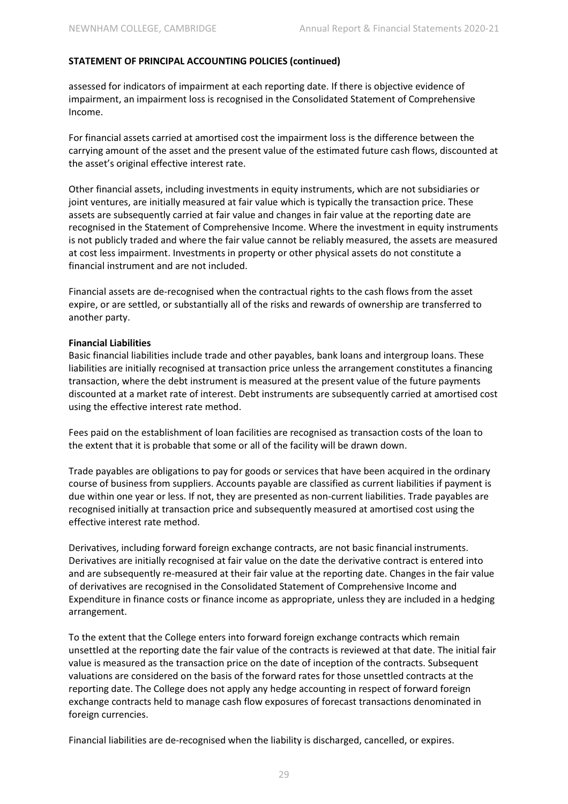assessed for indicators of impairment at each reporting date. If there is objective evidence of impairment, an impairment loss is recognised in the Consolidated Statement of Comprehensive Income.

For financial assets carried at amortised cost the impairment loss is the difference between the carrying amount of the asset and the present value of the estimated future cash flows, discounted at the asset's original effective interest rate.

Other financial assets, including investments in equity instruments, which are not subsidiaries or joint ventures, are initially measured at fair value which is typically the transaction price. These assets are subsequently carried at fair value and changes in fair value at the reporting date are recognised in the Statement of Comprehensive Income. Where the investment in equity instruments is not publicly traded and where the fair value cannot be reliably measured, the assets are measured at cost less impairment. Investments in property or other physical assets do not constitute a financial instrument and are not included.

Financial assets are de-recognised when the contractual rights to the cash flows from the asset expire, or are settled, or substantially all of the risks and rewards of ownership are transferred to another party.

#### **Financial Liabilities**

Basic financial liabilities include trade and other payables, bank loans and intergroup loans. These liabilities are initially recognised at transaction price unless the arrangement constitutes a financing transaction, where the debt instrument is measured at the present value of the future payments discounted at a market rate of interest. Debt instruments are subsequently carried at amortised cost using the effective interest rate method.

Fees paid on the establishment of loan facilities are recognised as transaction costs of the loan to the extent that it is probable that some or all of the facility will be drawn down.

Trade payables are obligations to pay for goods or services that have been acquired in the ordinary course of business from suppliers. Accounts payable are classified as current liabilities if payment is due within one year or less. If not, they are presented as non-current liabilities. Trade payables are recognised initially at transaction price and subsequently measured at amortised cost using the effective interest rate method.

Derivatives, including forward foreign exchange contracts, are not basic financial instruments. Derivatives are initially recognised at fair value on the date the derivative contract is entered into and are subsequently re-measured at their fair value at the reporting date. Changes in the fair value of derivatives are recognised in the Consolidated Statement of Comprehensive Income and Expenditure in finance costs or finance income as appropriate, unless they are included in a hedging arrangement.

To the extent that the College enters into forward foreign exchange contracts which remain unsettled at the reporting date the fair value of the contracts is reviewed at that date. The initial fair value is measured as the transaction price on the date of inception of the contracts. Subsequent valuations are considered on the basis of the forward rates for those unsettled contracts at the reporting date. The College does not apply any hedge accounting in respect of forward foreign exchange contracts held to manage cash flow exposures of forecast transactions denominated in foreign currencies.

Financial liabilities are de-recognised when the liability is discharged, cancelled, or expires.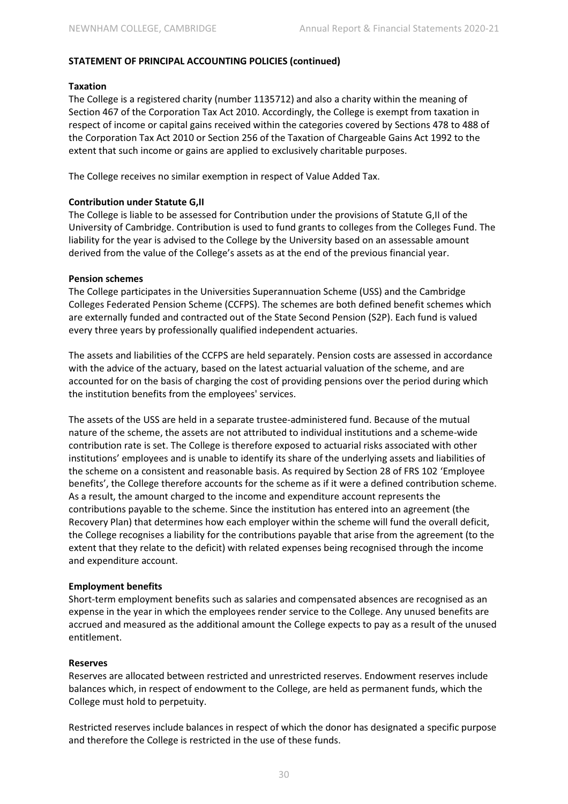#### **Taxation**

The College is a registered charity (number 1135712) and also a charity within the meaning of Section 467 of the Corporation Tax Act 2010. Accordingly, the College is exempt from taxation in respect of income or capital gains received within the categories covered by Sections 478 to 488 of the Corporation Tax Act 2010 or Section 256 of the Taxation of Chargeable Gains Act 1992 to the extent that such income or gains are applied to exclusively charitable purposes.

The College receives no similar exemption in respect of Value Added Tax.

#### **Contribution under Statute G,II**

The College is liable to be assessed for Contribution under the provisions of Statute G,II of the University of Cambridge. Contribution is used to fund grants to colleges from the Colleges Fund. The liability for the year is advised to the College by the University based on an assessable amount derived from the value of the College's assets as at the end of the previous financial year.

#### **Pension schemes**

The College participates in the Universities Superannuation Scheme (USS) and the Cambridge Colleges Federated Pension Scheme (CCFPS). The schemes are both defined benefit schemes which are externally funded and contracted out of the State Second Pension (S2P). Each fund is valued every three years by professionally qualified independent actuaries.

The assets and liabilities of the CCFPS are held separately. Pension costs are assessed in accordance with the advice of the actuary, based on the latest actuarial valuation of the scheme, and are accounted for on the basis of charging the cost of providing pensions over the period during which the institution benefits from the employees' services.

The assets of the USS are held in a separate trustee-administered fund. Because of the mutual nature of the scheme, the assets are not attributed to individual institutions and a scheme-wide contribution rate is set. The College is therefore exposed to actuarial risks associated with other institutions' employees and is unable to identify its share of the underlying assets and liabilities of the scheme on a consistent and reasonable basis. As required by Section 28 of FRS 102 'Employee benefits', the College therefore accounts for the scheme as if it were a defined contribution scheme. As a result, the amount charged to the income and expenditure account represents the contributions payable to the scheme. Since the institution has entered into an agreement (the Recovery Plan) that determines how each employer within the scheme will fund the overall deficit, the College recognises a liability for the contributions payable that arise from the agreement (to the extent that they relate to the deficit) with related expenses being recognised through the income and expenditure account.

#### **Employment benefits**

Short-term employment benefits such as salaries and compensated absences are recognised as an expense in the year in which the employees render service to the College. Any unused benefits are accrued and measured as the additional amount the College expects to pay as a result of the unused entitlement.

#### **Reserves**

Reserves are allocated between restricted and unrestricted reserves. Endowment reserves include balances which, in respect of endowment to the College, are held as permanent funds, which the College must hold to perpetuity.

Restricted reserves include balances in respect of which the donor has designated a specific purpose and therefore the College is restricted in the use of these funds.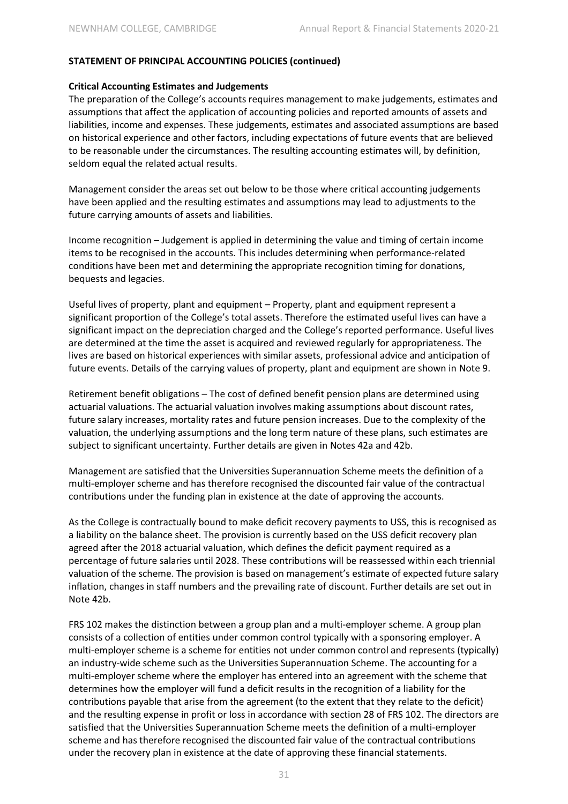#### **Critical Accounting Estimates and Judgements**

The preparation of the College's accounts requires management to make judgements, estimates and assumptions that affect the application of accounting policies and reported amounts of assets and liabilities, income and expenses. These judgements, estimates and associated assumptions are based on historical experience and other factors, including expectations of future events that are believed to be reasonable under the circumstances. The resulting accounting estimates will, by definition, seldom equal the related actual results.

Management consider the areas set out below to be those where critical accounting judgements have been applied and the resulting estimates and assumptions may lead to adjustments to the future carrying amounts of assets and liabilities.

Income recognition – Judgement is applied in determining the value and timing of certain income items to be recognised in the accounts. This includes determining when performance-related conditions have been met and determining the appropriate recognition timing for donations, bequests and legacies.

Useful lives of property, plant and equipment – Property, plant and equipment represent a significant proportion of the College's total assets. Therefore the estimated useful lives can have a significant impact on the depreciation charged and the College's reported performance. Useful lives are determined at the time the asset is acquired and reviewed regularly for appropriateness. The lives are based on historical experiences with similar assets, professional advice and anticipation of future events. Details of the carrying values of property, plant and equipment are shown in Note 9.

Retirement benefit obligations – The cost of defined benefit pension plans are determined using actuarial valuations. The actuarial valuation involves making assumptions about discount rates, future salary increases, mortality rates and future pension increases. Due to the complexity of the valuation, the underlying assumptions and the long term nature of these plans, such estimates are subject to significant uncertainty. Further details are given in Notes 42a and 42b.

Management are satisfied that the Universities Superannuation Scheme meets the definition of a multi-employer scheme and has therefore recognised the discounted fair value of the contractual contributions under the funding plan in existence at the date of approving the accounts.

As the College is contractually bound to make deficit recovery payments to USS, this is recognised as a liability on the balance sheet. The provision is currently based on the USS deficit recovery plan agreed after the 2018 actuarial valuation, which defines the deficit payment required as a percentage of future salaries until 2028. These contributions will be reassessed within each triennial valuation of the scheme. The provision is based on management's estimate of expected future salary inflation, changes in staff numbers and the prevailing rate of discount. Further details are set out in Note 42b.

FRS 102 makes the distinction between a group plan and a multi-employer scheme. A group plan consists of a collection of entities under common control typically with a sponsoring employer. A multi-employer scheme is a scheme for entities not under common control and represents (typically) an industry-wide scheme such as the Universities Superannuation Scheme. The accounting for a multi-employer scheme where the employer has entered into an agreement with the scheme that determines how the employer will fund a deficit results in the recognition of a liability for the contributions payable that arise from the agreement (to the extent that they relate to the deficit) and the resulting expense in profit or loss in accordance with section 28 of FRS 102. The directors are satisfied that the Universities Superannuation Scheme meets the definition of a multi-employer scheme and has therefore recognised the discounted fair value of the contractual contributions under the recovery plan in existence at the date of approving these financial statements.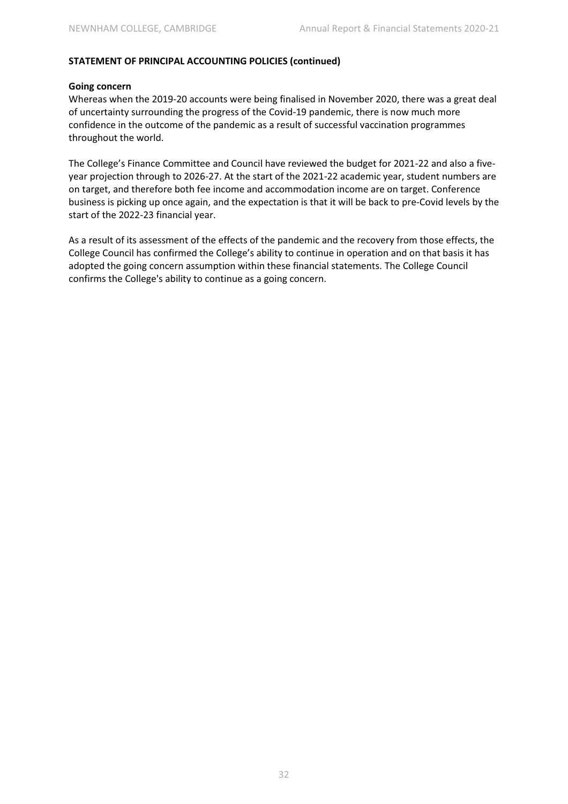#### **Going concern**

Whereas when the 2019-20 accounts were being finalised in November 2020, there was a great deal of uncertainty surrounding the progress of the Covid-19 pandemic, there is now much more confidence in the outcome of the pandemic as a result of successful vaccination programmes throughout the world.

The College's Finance Committee and Council have reviewed the budget for 2021-22 and also a fiveyear projection through to 2026-27. At the start of the 2021-22 academic year, student numbers are on target, and therefore both fee income and accommodation income are on target. Conference business is picking up once again, and the expectation is that it will be back to pre-Covid levels by the start of the 2022-23 financial year.

As a result of its assessment of the effects of the pandemic and the recovery from those effects, the College Council has confirmed the College's ability to continue in operation and on that basis it has adopted the going concern assumption within these financial statements. The College Council confirms the College's ability to continue as a going concern.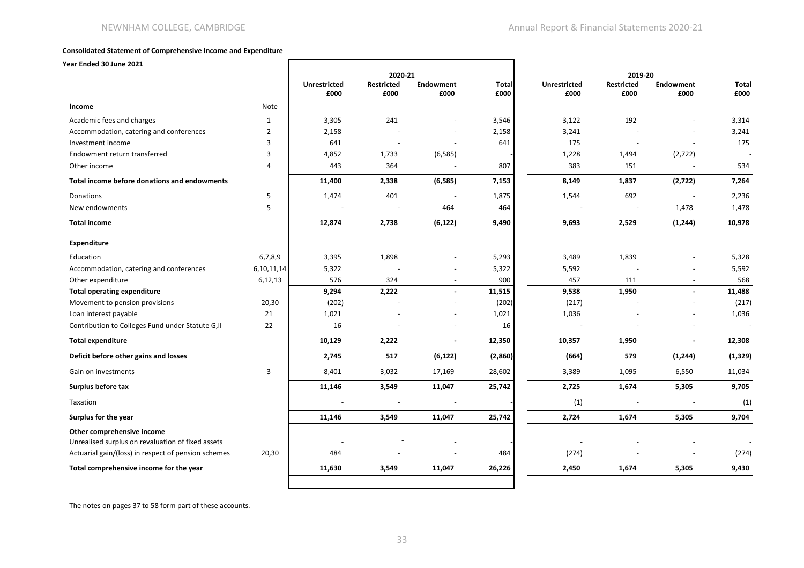#### **Consolidated Statement of Comprehensive Income and Expenditure**

 $\Gamma$ 

**Year Ended 30 June 2021**

|                                                                                 |                | 2020-21                     |                           |                          |                      | 2019-20                     |                           |                          |                      |
|---------------------------------------------------------------------------------|----------------|-----------------------------|---------------------------|--------------------------|----------------------|-----------------------------|---------------------------|--------------------------|----------------------|
|                                                                                 |                | <b>Unrestricted</b><br>£000 | <b>Restricted</b><br>£000 | <b>Endowment</b><br>£000 | <b>Total</b><br>£000 | <b>Unrestricted</b><br>£000 | <b>Restricted</b><br>£000 | <b>Endowment</b><br>£000 | <b>Total</b><br>£000 |
| Income                                                                          | Note           |                             |                           |                          |                      |                             |                           |                          |                      |
| Academic fees and charges                                                       | $\mathbf{1}$   | 3,305                       | 241                       |                          | 3,546                | 3,122                       | 192                       |                          | 3,314                |
| Accommodation, catering and conferences                                         | $\overline{2}$ | 2,158                       |                           |                          | 2,158                | 3,241                       |                           |                          | 3,241                |
| Investment income                                                               | 3              | 641                         |                           |                          | 641                  | 175                         |                           |                          | 175                  |
| Endowment return transferred                                                    | 3              | 4,852                       | 1,733                     | (6, 585)                 |                      | 1,228                       | 1,494                     | (2,722)                  |                      |
| Other income                                                                    | 4              | 443                         | 364                       |                          | 807                  | 383                         | 151                       | $\overline{a}$           | 534                  |
| Total income before donations and endowments                                    |                | 11,400                      | 2,338                     | (6, 585)                 | 7,153                | 8,149                       | 1,837                     | (2,722)                  | 7,264                |
| <b>Donations</b>                                                                | 5              | 1,474                       | 401                       |                          | 1,875                | 1,544                       | 692                       |                          | 2,236                |
| New endowments                                                                  | 5              |                             |                           | 464                      | 464                  |                             |                           | 1,478                    | 1,478                |
| <b>Total income</b>                                                             |                | 12,874                      | 2,738                     | (6, 122)                 | 9,490                | 9,693                       | 2,529                     | (1, 244)                 | 10,978               |
| <b>Expenditure</b>                                                              |                |                             |                           |                          |                      |                             |                           |                          |                      |
| Education                                                                       | 6,7,8,9        | 3,395                       | 1,898                     |                          | 5,293                | 3,489                       | 1,839                     |                          | 5,328                |
| Accommodation, catering and conferences                                         | 6,10,11,14     | 5,322                       |                           |                          | 5,322                | 5,592                       |                           |                          | 5,592                |
| Other expenditure                                                               | 6,12,13        | 576                         | 324                       |                          | 900                  | 457                         | 111                       | $\overline{\phantom{a}}$ | 568                  |
| <b>Total operating expenditure</b>                                              |                | 9,294                       | 2,222                     |                          | 11,515               | 9,538                       | 1,950                     | $\blacksquare$           | 11,488               |
| Movement to pension provisions                                                  | 20,30          | (202)                       |                           |                          | (202)                | (217)                       |                           |                          | (217)                |
| Loan interest payable                                                           | 21             | 1,021                       |                           |                          | 1,021                | 1,036                       |                           |                          | 1,036                |
| Contribution to Colleges Fund under Statute G, II                               | 22             | 16                          |                           |                          | 16                   |                             |                           |                          |                      |
| <b>Total expenditure</b>                                                        |                | 10,129                      | 2,222                     | $\blacksquare$           | 12,350               | 10,357                      | 1,950                     | $\blacksquare$           | 12,308               |
| Deficit before other gains and losses                                           |                | 2,745                       | 517                       | (6, 122)                 | (2,860)              | (664)                       | 579                       | (1, 244)                 | (1, 329)             |
| Gain on investments                                                             | 3              | 8,401                       | 3,032                     | 17,169                   | 28,602               | 3,389                       | 1,095                     | 6,550                    | 11,034               |
| Surplus before tax                                                              |                | 11,146                      | 3,549                     | 11,047                   | 25,742               | 2,725                       | 1,674                     | 5,305                    | 9,705                |
| Taxation                                                                        |                |                             |                           |                          |                      | (1)                         |                           |                          | (1)                  |
| Surplus for the year                                                            |                | 11,146                      | 3,549                     | 11,047                   | 25,742               | 2,724                       | 1,674                     | 5,305                    | 9,704                |
| Other comprehensive income<br>Unrealised surplus on revaluation of fixed assets |                |                             |                           |                          |                      |                             |                           |                          |                      |
| Actuarial gain/(loss) in respect of pension schemes                             | 20,30          | 484                         |                           |                          | 484                  | (274)                       |                           |                          | (274)                |
| Total comprehensive income for the year                                         |                | 11,630                      | 3,549                     | 11,047                   | 26,226               | 2,450                       | 1,674                     | 5,305                    | 9,430                |
|                                                                                 |                |                             |                           |                          |                      |                             |                           |                          |                      |

The notes on pages 37 to 58 form part of these accounts.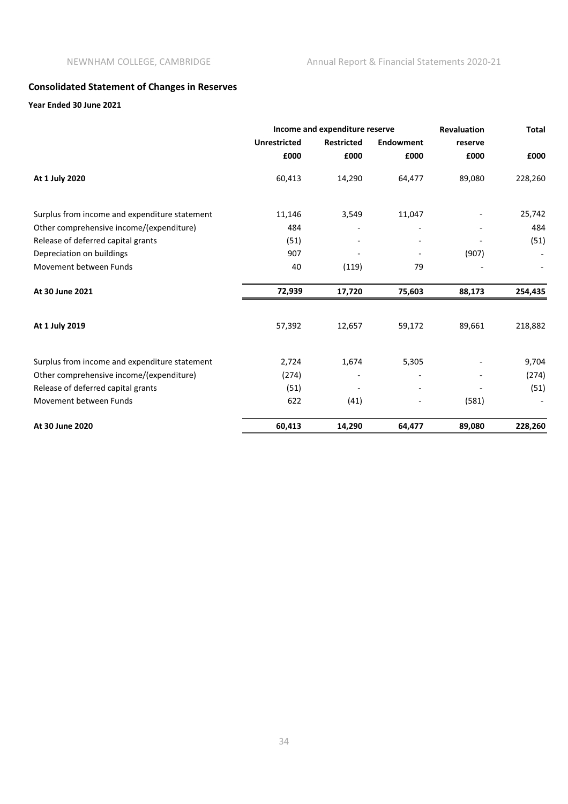# **Consolidated Statement of Changes in Reserves**

#### **Year Ended 30 June 2021**

|                                               |                     | Income and expenditure reserve |                  |         | <b>Total</b> |
|-----------------------------------------------|---------------------|--------------------------------|------------------|---------|--------------|
|                                               | <b>Unrestricted</b> | <b>Restricted</b>              | <b>Endowment</b> | reserve |              |
|                                               | £000                | £000                           | £000             | £000    | £000         |
| At 1 July 2020                                | 60,413              | 14,290                         | 64,477           | 89,080  | 228,260      |
| Surplus from income and expenditure statement | 11,146              | 3,549                          | 11,047           |         | 25,742       |
| Other comprehensive income/(expenditure)      | 484                 |                                |                  |         | 484          |
| Release of deferred capital grants            | (51)                |                                |                  |         | (51)         |
| Depreciation on buildings                     | 907                 |                                |                  | (907)   |              |
| Movement between Funds                        | 40                  | (119)                          | 79               |         |              |
| At 30 June 2021                               | 72,939              | 17,720                         | 75,603           | 88,173  | 254,435      |
| At 1 July 2019                                | 57,392              | 12,657                         | 59,172           | 89,661  | 218,882      |
| Surplus from income and expenditure statement | 2,724               | 1,674                          | 5,305            |         | 9,704        |
| Other comprehensive income/(expenditure)      | (274)               |                                |                  |         | (274)        |
| Release of deferred capital grants            | (51)                |                                |                  |         | (51)         |
| Movement between Funds                        | 622                 | (41)                           |                  | (581)   |              |
| At 30 June 2020                               | 60,413              | 14,290                         | 64,477           | 89,080  | 228,260      |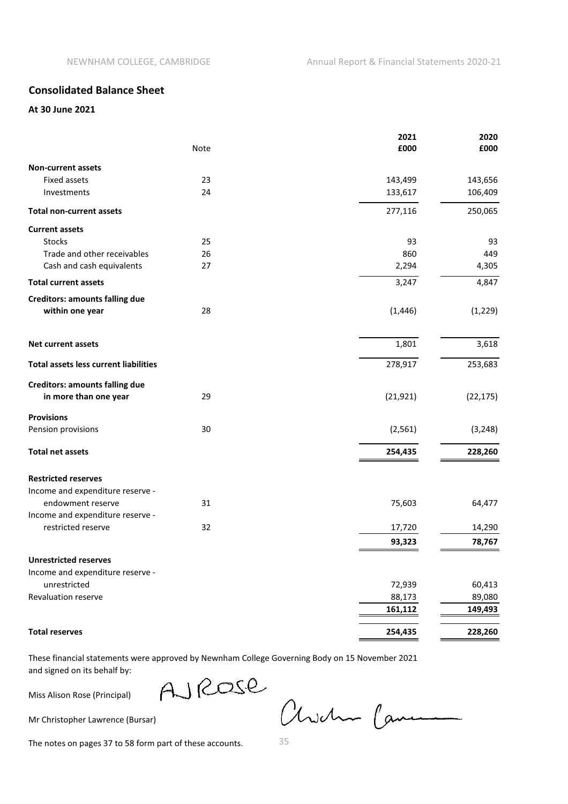# **Consolidated Balance Sheet**

#### **At 30 June 2021**

|                                              | Note | 2021<br>£000 | 2020<br>£000 |
|----------------------------------------------|------|--------------|--------------|
| <b>Non-current assets</b>                    |      |              |              |
| <b>Fixed assets</b>                          | 23   | 143,499      | 143,656      |
| Investments                                  | 24   | 133,617      | 106,409      |
| <b>Total non-current assets</b>              |      | 277,116      | 250,065      |
| <b>Current assets</b>                        |      |              |              |
| <b>Stocks</b>                                | 25   | 93           | 93           |
| Trade and other receivables                  | 26   | 860          | 449          |
| Cash and cash equivalents                    | 27   | 2,294        | 4,305        |
| <b>Total current assets</b>                  |      | 3,247        | 4,847        |
| <b>Creditors: amounts falling due</b>        |      |              |              |
| within one year                              | 28   | (1, 446)     | (1, 229)     |
| <b>Net current assets</b>                    |      | 1,801        | 3,618        |
| <b>Total assets less current liabilities</b> |      | 278,917      | 253,683      |
| <b>Creditors: amounts falling due</b>        |      |              |              |
| in more than one year                        | 29   | (21, 921)    | (22, 175)    |
| <b>Provisions</b>                            |      |              |              |
| Pension provisions                           | 30   | (2, 561)     | (3, 248)     |
| <b>Total net assets</b>                      |      | 254,435      | 228,260      |
| <b>Restricted reserves</b>                   |      |              |              |
| Income and expenditure reserve -             |      |              |              |
| endowment reserve                            | 31   | 75,603       | 64,477       |
| Income and expenditure reserve -             |      |              |              |
| restricted reserve                           | 32   | 17,720       | 14,290       |
|                                              |      | 93,323       | 78,767       |
| <b>Unrestricted reserves</b>                 |      |              |              |
| Income and expenditure reserve -             |      |              |              |
| unrestricted                                 |      | 72,939       | 60,413       |
| Revaluation reserve                          |      | 88,173       | 89,080       |
|                                              |      | 161,112      | 149,493      |
| <b>Total reserves</b>                        |      | 254,435      | 228,260      |

These financial statements were approved by Newnham College Governing Body on 15 November 2021 and signed on its behalf by:

Miss Alison Rose (Principal)

AJROSE

Mr Christopher Lawrence (Bursar)

Awdre Came

The notes on pages 37 to 58 form part of these accounts.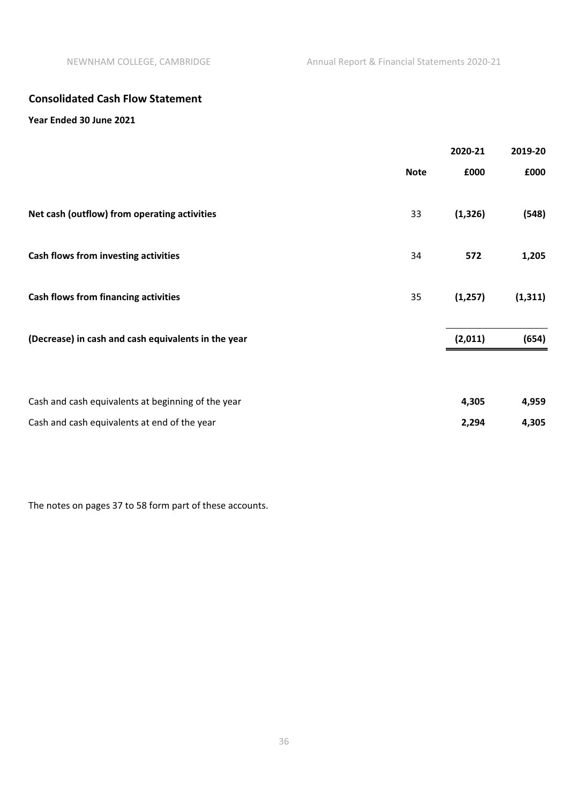# **Consolidated Cash Flow Statement**

# **Year Ended 30 June 2021**

|                                                     |             | 2020-21  | 2019-20  |
|-----------------------------------------------------|-------------|----------|----------|
|                                                     | <b>Note</b> | £000     | £000     |
| Net cash (outflow) from operating activities        | 33          | (1, 326) | (548)    |
| Cash flows from investing activities                | 34          | 572      | 1,205    |
| <b>Cash flows from financing activities</b>         | 35          | (1, 257) | (1, 311) |
| (Decrease) in cash and cash equivalents in the year |             | (2,011)  | (654)    |
|                                                     |             |          |          |
| Cash and cash equivalents at beginning of the year  |             | 4,305    | 4,959    |
| Cash and cash equivalents at end of the year        |             | 2,294    | 4,305    |

The notes on pages 37 to 58 form part of these accounts.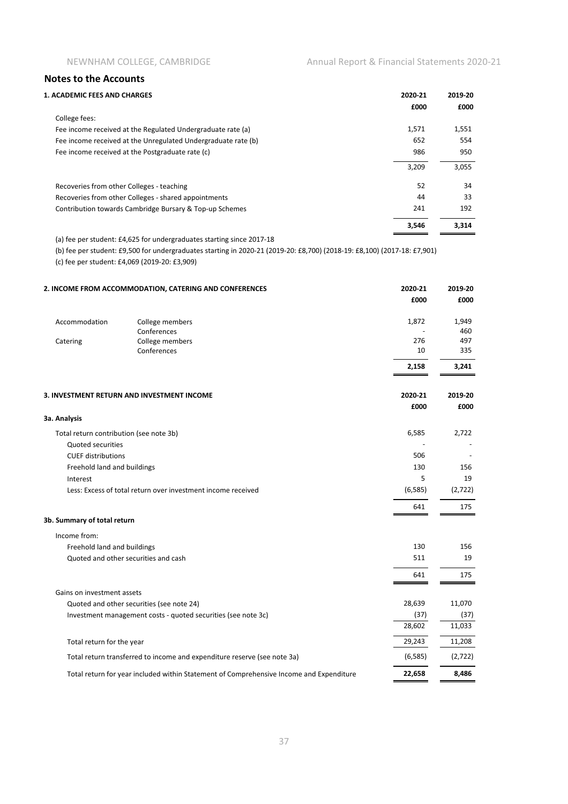| 2020-21 | 2019-20 |
|---------|---------|
| £000    | £000    |
|         |         |
| 1,571   | 1,551   |
| 652     | 554     |
| 986     | 950     |
| 3,209   | 3,055   |
| 52      | 34      |
| 44      | 33      |
| 241     | 192     |
| 3,546   | 3.314   |
|         |         |

(a) fee per student: £4,625 for undergraduates starting since 2017-18

(b) fee per student: £9,500 for undergraduates starting in 2020-21 (2019-20: £8,700) (2018-19: £8,100) (2017-18: £7,901)

(c) fee per student: £4,069 (2019-20: £3,909)

|                                         | 2. INCOME FROM ACCOMMODATION, CATERING AND CONFERENCES                                  | 2020-21<br>£000 | 2019-20<br>£000 |
|-----------------------------------------|-----------------------------------------------------------------------------------------|-----------------|-----------------|
| Accommodation                           | College members<br>Conferences                                                          | 1,872           | 1,949<br>460    |
| Catering                                | College members<br>Conferences                                                          | 276<br>10       | 497<br>335      |
|                                         |                                                                                         | 2,158           | 3,241           |
|                                         | 3. INVESTMENT RETURN AND INVESTMENT INCOME                                              | 2020-21         | 2019-20         |
| 3a. Analysis                            |                                                                                         | £000            | £000            |
| Total return contribution (see note 3b) |                                                                                         | 6,585           | 2,722           |
| <b>Quoted securities</b>                |                                                                                         |                 |                 |
| <b>CUEF distributions</b>               |                                                                                         | 506             |                 |
| Freehold land and buildings             |                                                                                         | 130             | 156             |
| Interest                                |                                                                                         | 5               | 19              |
|                                         | Less: Excess of total return over investment income received                            | (6, 585)        | (2,722)         |
|                                         |                                                                                         | 641             | 175             |
| 3b. Summary of total return             |                                                                                         |                 |                 |
| Income from:                            |                                                                                         |                 |                 |
| Freehold land and buildings             |                                                                                         | 130             | 156             |
|                                         | Quoted and other securities and cash                                                    | 511             | 19              |
|                                         |                                                                                         | 641             | 175             |
| Gains on investment assets              |                                                                                         |                 |                 |
|                                         | Quoted and other securities (see note 24)                                               | 28,639          | 11,070          |
|                                         | Investment management costs - quoted securities (see note 3c)                           | (37)            | (37)            |
|                                         |                                                                                         | 28,602          | 11,033          |
| Total return for the year               |                                                                                         | 29,243          | 11,208          |
|                                         | Total return transferred to income and expenditure reserve (see note 3a)                | (6, 585)        | (2, 722)        |
|                                         | Total return for year included within Statement of Comprehensive Income and Expenditure | 22,658          | 8,486           |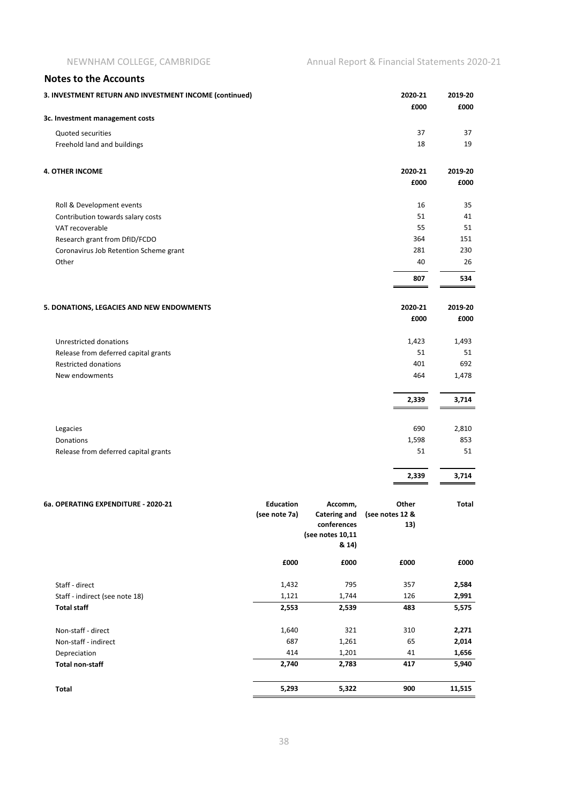| <b>Notes to the Accounts</b>                           |                  |                                |                          |           |
|--------------------------------------------------------|------------------|--------------------------------|--------------------------|-----------|
| 3. INVESTMENT RETURN AND INVESTMENT INCOME (continued) |                  |                                | 2020-21                  | 2019-20   |
|                                                        |                  |                                | £000                     | £000      |
| 3c. Investment management costs                        |                  |                                |                          |           |
| Quoted securities                                      |                  |                                | 37                       | 37        |
| Freehold land and buildings                            |                  |                                | 18                       | 19        |
| <b>4. OTHER INCOME</b>                                 |                  |                                | 2020-21                  | 2019-20   |
|                                                        |                  |                                | £000                     | £000      |
| Roll & Development events                              |                  |                                | 16                       | 35        |
| Contribution towards salary costs                      |                  |                                | 51                       | 41        |
| VAT recoverable                                        |                  |                                | 55                       | 51        |
| Research grant from DfID/FCDO                          |                  |                                | 364                      | 151       |
| Coronavirus Job Retention Scheme grant<br>Other        |                  |                                | 281<br>40                | 230<br>26 |
|                                                        |                  |                                | 807                      | 534       |
|                                                        |                  |                                |                          |           |
| 5. DONATIONS, LEGACIES AND NEW ENDOWMENTS              |                  |                                | 2020-21                  | 2019-20   |
|                                                        |                  |                                | £000                     | £000      |
| Unrestricted donations                                 |                  |                                | 1,423                    | 1,493     |
| Release from deferred capital grants                   |                  |                                | 51                       | 51        |
| <b>Restricted donations</b>                            |                  |                                | 401                      | 692       |
| New endowments                                         |                  |                                | 464                      | 1,478     |
|                                                        |                  |                                | 2,339                    | 3,714     |
|                                                        |                  |                                |                          |           |
| Legacies                                               |                  |                                | 690                      | 2,810     |
| Donations                                              |                  |                                | 1,598                    | 853       |
| Release from deferred capital grants                   |                  |                                | 51                       | 51        |
|                                                        |                  |                                | 2,339                    | 3,714     |
|                                                        |                  |                                |                          |           |
| 6a. OPERATING EXPENDITURE - 2020-21                    | <b>Education</b> | Accomm,<br><b>Catering and</b> | Other<br>(see notes 12 & | Total     |
|                                                        | (see note 7a)    | conferences                    | 13)                      |           |
|                                                        |                  | (see notes 10,11               |                          |           |
|                                                        |                  | & 14)                          |                          |           |
|                                                        | £000             | £000                           | £000                     | £000      |
| Staff - direct                                         | 1,432            | 795                            | 357                      | 2,584     |
| Staff - indirect (see note 18)                         | 1,121            | 1,744                          | 126                      | 2,991     |
| <b>Total staff</b>                                     | 2,553            | 2,539                          | 483                      | 5,575     |
| Non-staff - direct                                     | 1,640            | 321                            | 310                      | 2,271     |
| Non-staff - indirect                                   | 687              | 1,261                          | 65                       | 2,014     |
| Depreciation                                           | 414              | 1,201                          | 41                       | 1,656     |
| <b>Total non-staff</b>                                 | 2,740            | 2,783                          | 417                      | 5,940     |
| <b>Total</b>                                           | 5,293            | 5,322                          | 900                      | 11,515    |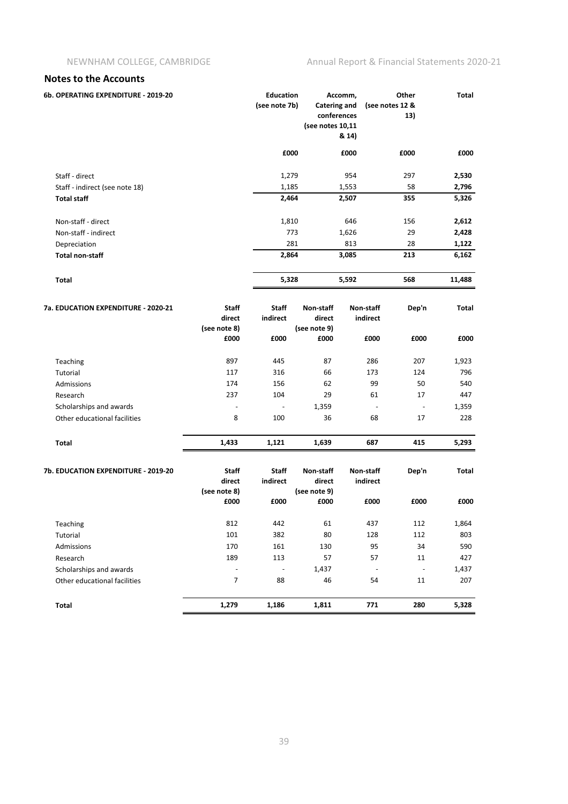| 6b. OPERATING EXPENDITURE - 2019-20                     |                                         | <b>Education</b><br>(see note 7b) | <b>Catering and</b><br>conferences<br>(see notes 10,11 | Accomm,<br>& 14)               | Other<br>(see notes 12 &<br>13) | <b>Total</b>  |
|---------------------------------------------------------|-----------------------------------------|-----------------------------------|--------------------------------------------------------|--------------------------------|---------------------------------|---------------|
|                                                         |                                         | £000                              |                                                        | £000                           | £000                            | £000          |
| Staff - direct                                          |                                         | 1,279                             |                                                        | 954                            | 297                             | 2,530         |
| Staff - indirect (see note 18)                          |                                         | 1,185                             |                                                        | 1,553                          | 58                              | 2,796         |
| <b>Total staff</b>                                      |                                         | 2,464                             |                                                        | 2,507                          | 355                             | 5,326         |
| Non-staff - direct                                      |                                         | 1,810                             |                                                        | 646                            | 156                             | 2,612         |
| Non-staff - indirect                                    |                                         | 773                               |                                                        | 1,626                          | 29                              | 2,428         |
| Depreciation                                            |                                         | 281                               |                                                        | 813                            | 28                              | 1,122         |
| <b>Total non-staff</b>                                  |                                         | 2,864                             |                                                        | 3,085                          | 213                             | 6,162         |
| Total                                                   |                                         | 5,328                             |                                                        | 5,592                          | 568                             | 11,488        |
| 7a. EDUCATION EXPENDITURE - 2020-21                     | Staff<br>direct<br>(see note 8)<br>£000 | Staff<br>indirect<br>£000         | Non-staff<br>direct<br>(see note 9)<br>£000            | Non-staff<br>indirect<br>£000  | Dep'n<br>£000                   | Total<br>£000 |
|                                                         |                                         |                                   |                                                        |                                |                                 |               |
| Teaching                                                | 897                                     | 445                               | 87                                                     | 286                            | 207                             | 1,923         |
| Tutorial                                                | 117                                     | 316                               | 66                                                     | 173<br>99                      | 124                             | 796           |
| Admissions                                              | 174                                     | 156                               | 62<br>29                                               | 61                             | 50<br>17                        | 540           |
| Research                                                | 237                                     | 104                               |                                                        |                                |                                 | 447           |
| Scholarships and awards<br>Other educational facilities | 8                                       | 100                               | 1,359<br>36                                            | $\overline{\phantom{a}}$<br>68 | $\overline{\phantom{a}}$<br>17  | 1,359<br>228  |
|                                                         |                                         |                                   |                                                        |                                |                                 |               |
| Total                                                   | 1,433                                   | 1,121                             | 1,639                                                  | 687                            | 415                             | 5,293         |
| 7b. EDUCATION EXPENDITURE - 2019-20                     | Staff<br>direct<br>(see note 8)         | Staff<br>indirect                 | Non-staff<br>direct<br>(see note 9)                    | Non-staff<br>indirect          | Dep'n                           | Total         |
|                                                         | £000                                    | £000                              | £000                                                   | £000                           | £000                            | £000          |
| Teaching                                                | 812                                     | 442                               | 61                                                     | 437                            | 112                             | 1,864         |
| Tutorial                                                | 101                                     | 382                               | 80                                                     | 128                            | 112                             | 803           |
| Admissions                                              | 170                                     | 161                               | 130                                                    | 95                             | 34                              | 590           |
| Research                                                | 189                                     | 113                               | 57                                                     | 57                             | 11                              | 427           |
| Scholarships and awards                                 |                                         |                                   | 1,437                                                  | $\overline{\phantom{a}}$       | $\overline{\phantom{a}}$        | 1,437         |
| Other educational facilities                            | 7                                       | 88                                | 46                                                     | 54                             | 11                              | 207           |
| Total                                                   | 1,279                                   | 1,186                             | 1,811                                                  | 771                            | 280                             | 5,328         |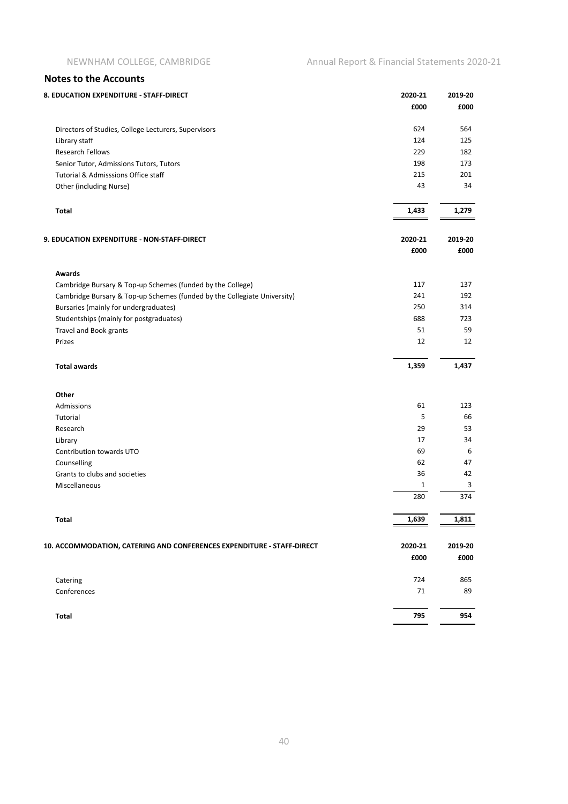| 8. EDUCATION EXPENDITURE - STAFF-DIRECT                                  | 2020-21 | 2019-20 |
|--------------------------------------------------------------------------|---------|---------|
|                                                                          | £000    | £000    |
| Directors of Studies, College Lecturers, Supervisors                     | 624     | 564     |
| Library staff                                                            | 124     | 125     |
| <b>Research Fellows</b>                                                  | 229     | 182     |
| Senior Tutor, Admissions Tutors, Tutors                                  | 198     | 173     |
| Tutorial & Admisssions Office staff                                      | 215     | 201     |
| Other (including Nurse)                                                  | 43      | 34      |
| <b>Total</b>                                                             | 1,433   | 1,279   |
|                                                                          |         |         |
| 9. EDUCATION EXPENDITURE - NON-STAFF-DIRECT                              | 2020-21 | 2019-20 |
|                                                                          | £000    | £000    |
| <b>Awards</b>                                                            |         |         |
| Cambridge Bursary & Top-up Schemes (funded by the College)               | 117     | 137     |
| Cambridge Bursary & Top-up Schemes (funded by the Collegiate University) | 241     | 192     |
| Bursaries (mainly for undergraduates)                                    | 250     | 314     |
| Studentships (mainly for postgraduates)                                  | 688     | 723     |
| <b>Travel and Book grants</b>                                            | 51      | 59      |
| Prizes                                                                   | 12      | 12      |
| <b>Total awards</b>                                                      | 1,359   | 1,437   |
| Other                                                                    |         |         |
| Admissions                                                               | 61      | 123     |
| Tutorial                                                                 | 5       | 66      |
| Research                                                                 | 29      | 53      |
| Library                                                                  | 17      | 34      |
| Contribution towards UTO                                                 | 69      | 6       |
| Counselling                                                              | 62      | 47      |
| Grants to clubs and societies                                            | 36      | 42      |
| Miscellaneous                                                            | 1       | 3       |
|                                                                          | 280     | 374     |
| <b>Total</b>                                                             | 1,639   | 1,811   |
|                                                                          |         |         |
| 10. ACCOMMODATION, CATERING AND CONFERENCES EXPENDITURE - STAFF-DIRECT   | 2020-21 | 2019-20 |
|                                                                          | £000    | £000    |
| Catering                                                                 | 724     | 865     |
| Conferences                                                              | 71      | 89      |
| Total                                                                    | 795     | 954     |
|                                                                          |         |         |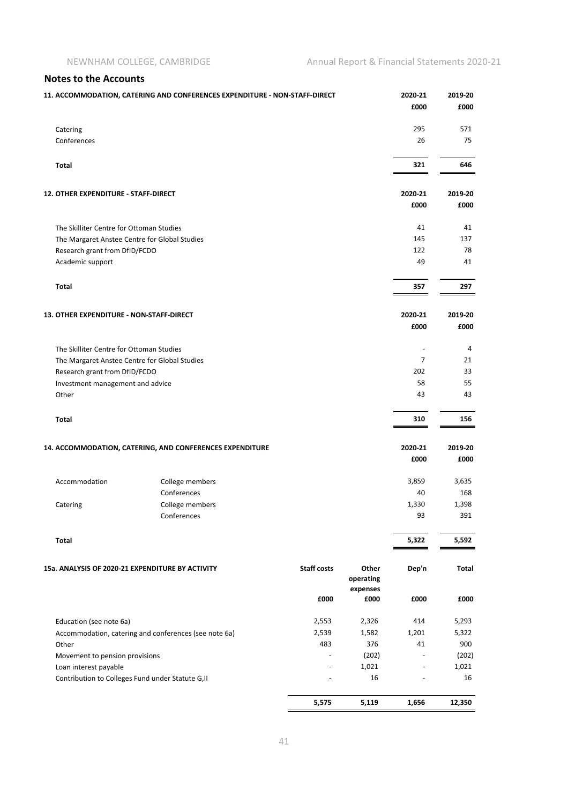|                                               | 11. ACCOMMODATION, CATERING AND CONFERENCES EXPENDITURE - NON-STAFF-DIRECT |                          |                    | 2020-21<br>£000 | 2019-20<br>£000 |
|-----------------------------------------------|----------------------------------------------------------------------------|--------------------------|--------------------|-----------------|-----------------|
| Catering                                      |                                                                            |                          |                    | 295             | 571             |
| Conferences                                   |                                                                            |                          |                    | 26              | 75              |
| Total                                         |                                                                            |                          |                    | 321             | 646             |
| 12. OTHER EXPENDITURE - STAFF-DIRECT          |                                                                            |                          |                    | 2020-21         | 2019-20         |
|                                               |                                                                            |                          |                    | £000            | £000            |
| The Skilliter Centre for Ottoman Studies      |                                                                            |                          |                    | 41              | 41              |
| The Margaret Anstee Centre for Global Studies |                                                                            |                          |                    | 145             | 137             |
| Research grant from DfID/FCDO                 |                                                                            |                          |                    | 122             | 78              |
| Academic support                              |                                                                            |                          |                    | 49              | 41              |
| <b>Total</b>                                  |                                                                            |                          |                    | 357             | 297             |
| 13. OTHER EXPENDITURE - NON-STAFF-DIRECT      |                                                                            |                          |                    | 2020-21         | 2019-20         |
|                                               |                                                                            |                          |                    | £000            | £000            |
| The Skilliter Centre for Ottoman Studies      |                                                                            |                          |                    |                 | 4               |
| The Margaret Anstee Centre for Global Studies |                                                                            |                          |                    | 7               | 21              |
| Research grant from DfID/FCDO                 |                                                                            |                          |                    | 202             | 33              |
| Investment management and advice              |                                                                            |                          |                    | 58              | 55              |
| Other                                         |                                                                            |                          |                    | 43              | 43              |
| Total                                         |                                                                            |                          |                    | 310             | 156             |
|                                               | 14. ACCOMMODATION, CATERING, AND CONFERENCES EXPENDITURE                   |                          |                    | 2020-21         | 2019-20         |
|                                               |                                                                            |                          |                    | £000            | £000            |
| Accommodation                                 | College members                                                            |                          |                    | 3,859           | 3,635           |
|                                               | Conferences                                                                |                          |                    | 40              | 168             |
| Catering                                      | College members                                                            |                          |                    | 1,330           | 1,398           |
|                                               | Conferences                                                                |                          |                    | 93              | 391             |
| Total                                         |                                                                            |                          |                    | 5,322           | 5,592           |
|                                               |                                                                            |                          |                    |                 |                 |
|                                               | 15a. ANALYSIS OF 2020-21 EXPENDITURE BY ACTIVITY                           | <b>Staff costs</b>       | Other<br>operating | Dep'n           | Total           |
|                                               |                                                                            | £000                     | expenses<br>£000   | £000            | £000            |
| Education (see note 6a)                       |                                                                            | 2,553                    | 2,326              | 414             | 5,293           |
|                                               | Accommodation, catering and conferences (see note 6a)                      | 2,539                    | 1,582              | 1,201           | 5,322           |
| Other                                         |                                                                            | 483                      | 376                | 41              | 900             |
| Movement to pension provisions                |                                                                            |                          | (202)              |                 | (202)           |
| Loan interest payable                         |                                                                            | $\overline{\phantom{a}}$ | 1,021              | $\blacksquare$  | 1,021           |
|                                               | Contribution to Colleges Fund under Statute G, II                          |                          | 16                 |                 | 16              |
|                                               |                                                                            | 5,575                    | 5,119              | 1,656           | 12,350          |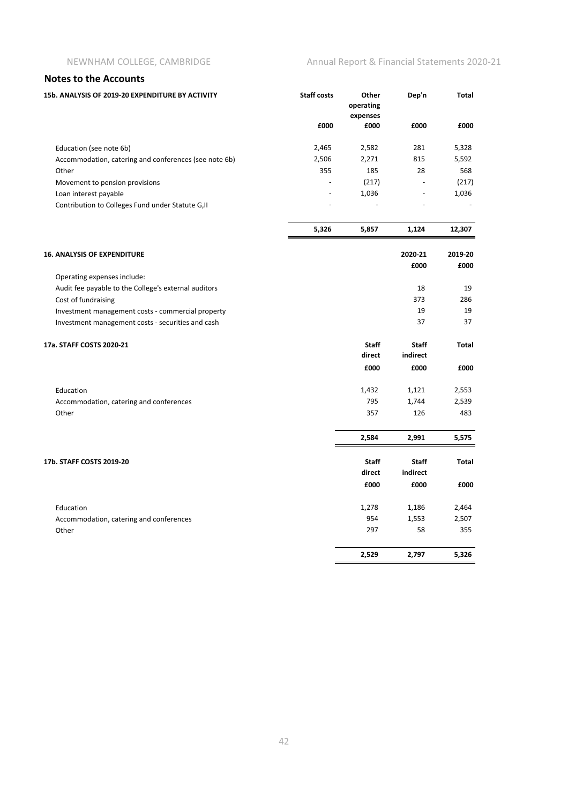#### NEWNHAM COLLEGE, CAMBRIDGE Annual Report & Financial Statements 2020-21

| <b>INDICA TO THE USE OF THE STATE</b>                                                                  |                    |                                |              |              |
|--------------------------------------------------------------------------------------------------------|--------------------|--------------------------------|--------------|--------------|
| 15b. ANALYSIS OF 2019-20 EXPENDITURE BY ACTIVITY                                                       | <b>Staff costs</b> | Other<br>operating<br>expenses | Dep'n        | <b>Total</b> |
|                                                                                                        | £000               | £000                           | £000         | £000         |
| Education (see note 6b)                                                                                | 2,465              | 2,582                          | 281          | 5,328        |
| Accommodation, catering and conferences (see note 6b)                                                  | 2,506              | 2,271                          | 815          | 5,592        |
| Other                                                                                                  | 355                | 185                            | 28           | 568          |
| Movement to pension provisions                                                                         |                    | (217)                          |              | (217)        |
| Loan interest payable                                                                                  |                    | 1,036                          |              | 1,036        |
| Contribution to Colleges Fund under Statute G, II                                                      |                    |                                |              |              |
|                                                                                                        | 5,326              | 5,857                          | 1,124        | 12,307       |
| <b>16. ANALYSIS OF EXPENDITURE</b>                                                                     |                    |                                | 2020-21      | 2019-20      |
|                                                                                                        |                    |                                | £000         | £000         |
| Operating expenses include:                                                                            |                    |                                |              |              |
| Audit fee payable to the College's external auditors                                                   |                    |                                | 18           | 19           |
| Cost of fundraising                                                                                    |                    |                                | 373<br>19    | 286<br>19    |
| Investment management costs - commercial property<br>Investment management costs - securities and cash |                    |                                | 37           | 37           |
| 17a. STAFF COSTS 2020-21                                                                               |                    | <b>Staff</b>                   | <b>Staff</b> | <b>Total</b> |
|                                                                                                        |                    | direct                         | indirect     |              |
|                                                                                                        |                    | £000                           | £000         | £000         |
| Education                                                                                              |                    | 1,432                          | 1,121        | 2,553        |
| Accommodation, catering and conferences                                                                |                    | 795                            | 1,744        | 2,539        |
| Other                                                                                                  |                    | 357                            | 126          | 483          |
|                                                                                                        |                    | 2,584                          | 2,991        | 5,575        |
| 17b. STAFF COSTS 2019-20                                                                               |                    | Staff                          | Staff        | Total        |
|                                                                                                        |                    | direct                         | indirect     |              |
|                                                                                                        |                    | £000                           | £000         | £000         |
| Education                                                                                              |                    | 1,278                          | 1,186        | 2,464        |
| Accommodation, catering and conferences                                                                |                    | 954                            | 1,553        | 2,507        |
| Other                                                                                                  |                    | 297                            | 58           | 355          |
|                                                                                                        |                    | 2,529                          | 2,797        | 5,326        |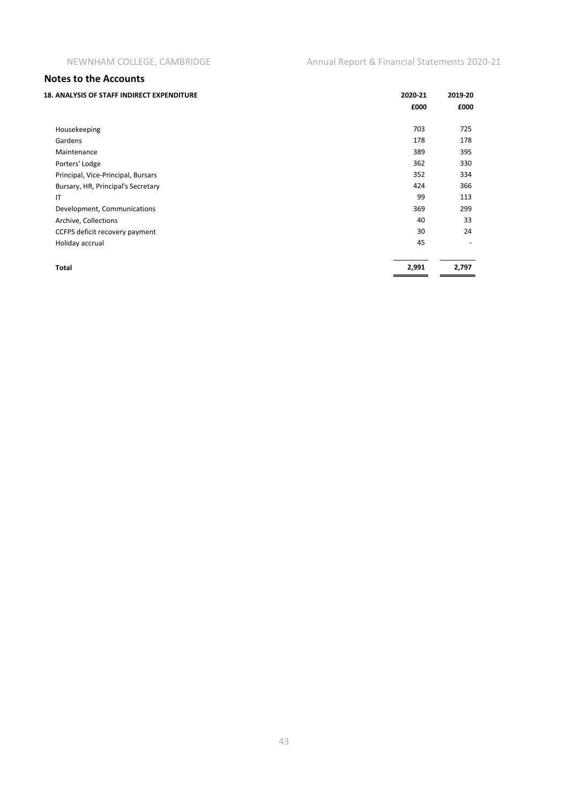| <b>18. ANALYSIS OF STAFF INDIRECT EXPENDITURE</b> | 2020-21 | 2019-20 |
|---------------------------------------------------|---------|---------|
|                                                   | £000    | £000    |
| Housekeeping                                      | 703     | 725     |
| Gardens                                           | 178     | 178     |
| Maintenance                                       | 389     | 395     |
| Porters' Lodge                                    | 362     | 330     |
| Principal, Vice-Principal, Bursars                | 352     | 334     |
| Bursary, HR, Principal's Secretary                | 424     | 366     |
| IT                                                | 99      | 113     |
| Development, Communications                       | 369     | 299     |
| Archive, Collections                              | 40      | 33      |
| CCFPS deficit recovery payment                    | 30      | 24      |
| Holiday accrual                                   | 45      |         |
| <b>Total</b>                                      | 2,991   | 2,797   |
|                                                   |         |         |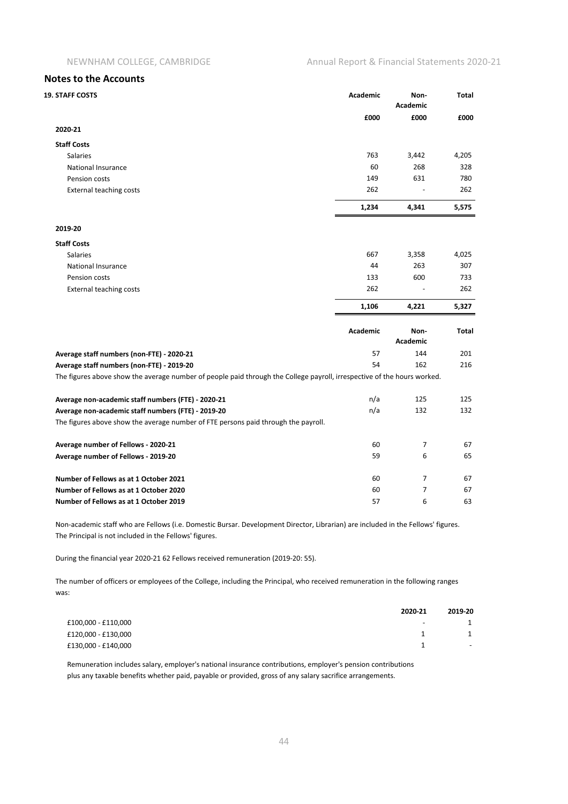| <b>19. STAFF COSTS</b>                                                                                                  | Academic        | Non-<br><b>Academic</b> | <b>Total</b> |
|-------------------------------------------------------------------------------------------------------------------------|-----------------|-------------------------|--------------|
|                                                                                                                         | £000            | £000                    | £000         |
| 2020-21                                                                                                                 |                 |                         |              |
| <b>Staff Costs</b>                                                                                                      |                 |                         |              |
| <b>Salaries</b>                                                                                                         | 763             | 3,442                   | 4,205        |
| National Insurance                                                                                                      | 60              | 268                     | 328          |
| Pension costs                                                                                                           | 149             | 631                     | 780          |
| <b>External teaching costs</b>                                                                                          | 262             |                         | 262          |
|                                                                                                                         | 1,234           | 4,341                   | 5,575        |
| 2019-20                                                                                                                 |                 |                         |              |
| <b>Staff Costs</b>                                                                                                      |                 |                         |              |
| <b>Salaries</b>                                                                                                         | 667             | 3,358                   | 4,025        |
| <b>National Insurance</b>                                                                                               | 44              | 263                     | 307          |
| Pension costs                                                                                                           | 133             | 600                     | 733          |
| <b>External teaching costs</b>                                                                                          | 262             |                         | 262          |
|                                                                                                                         | 1,106           | 4,221                   | 5,327        |
|                                                                                                                         | <b>Academic</b> | Non-<br><b>Academic</b> | <b>Total</b> |
| Average staff numbers (non-FTE) - 2020-21                                                                               | 57              | 144                     | 201          |
| Average staff numbers (non-FTE) - 2019-20                                                                               | 54              | 162                     | 216          |
| The figures above show the average number of people paid through the College payroll, irrespective of the hours worked. |                 |                         |              |
| Average non-academic staff numbers (FTE) - 2020-21                                                                      | n/a             | 125                     | 125          |
| Average non-academic staff numbers (FTE) - 2019-20                                                                      | n/a             | 132                     | 132          |
| The figures above show the average number of FTE persons paid through the payroll.                                      |                 |                         |              |
| Average number of Fellows - 2020-21                                                                                     | 60              | 7                       | 67           |
| Average number of Fellows - 2019-20                                                                                     | 59              | 6                       | 65           |
| Number of Fellows as at 1 October 2021                                                                                  | 60              | $\overline{7}$          | 67           |
| Number of Fellows as at 1 October 2020                                                                                  | 60              | 7                       | 67           |
| Number of Fellows as at 1 October 2019                                                                                  | 57              | 6                       | 63           |

Non-academic staff who are Fellows (i.e. Domestic Bursar. Development Director, Librarian) are included in the Fellows' figures. The Principal is not included in the Fellows' figures.

During the financial year 2020-21 62 Fellows received remuneration (2019-20: 55).

The number of officers or employees of the College, including the Principal, who received remuneration in the following ranges was:

| 2020-21                                         | 2019-20 |
|-------------------------------------------------|---------|
| £100,000 - £110,000<br>$\overline{\phantom{0}}$ |         |
| £120,000 - £130,000                             |         |
| £130,000 - £140,000                             | $\sim$  |

Remuneration includes salary, employer's national insurance contributions, employer's pension contributions plus any taxable benefits whether paid, payable or provided, gross of any salary sacrifice arrangements.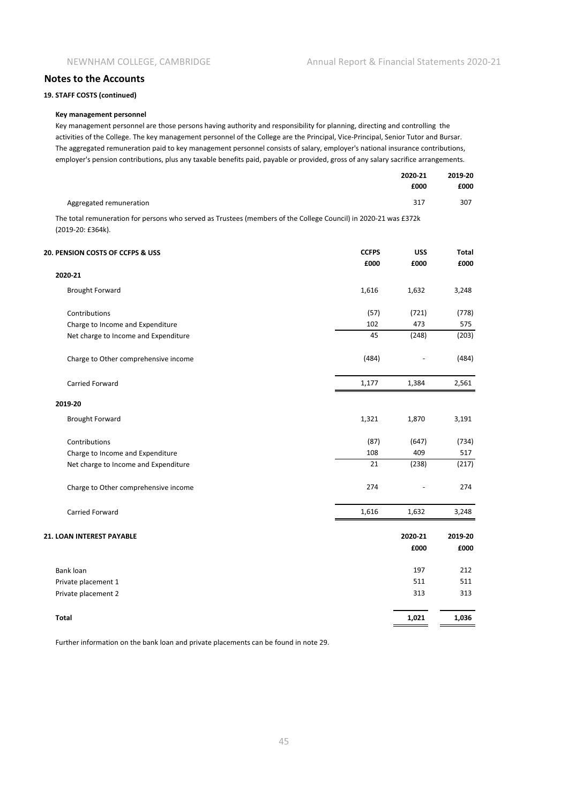**19. STAFF COSTS (continued)**

#### **Key management personnel**

Key management personnel are those persons having authority and responsibility for planning, directing and controlling the activities of the College. The key management personnel of the College are the Principal, Vice-Principal, Senior Tutor and Bursar. The aggregated remuneration paid to key management personnel consists of salary, employer's national insurance contributions, employer's pension contributions, plus any taxable benefits paid, payable or provided, gross of any salary sacrifice arrangements.

|                                                                                                                 | 2020-21<br>£000 | 2019-20<br>£000 |
|-----------------------------------------------------------------------------------------------------------------|-----------------|-----------------|
| Aggregated remuneration                                                                                         | 317             | 307             |
| The total remuneration for persons who served as Trustees (members of the College Council) in 2020-21 was £372k |                 |                 |

The total remuneration for persons who served as Trustees (members of the College Council) in 2020-21 was £372k (2019-20: £364k).

| 20. PENSION COSTS OF CCFPS & USS     | <b>CCFPS</b> | <b>USS</b> | <b>Total</b> |
|--------------------------------------|--------------|------------|--------------|
|                                      | £000         | £000       | £000         |
| 2020-21                              |              |            |              |
| <b>Brought Forward</b>               | 1,616        | 1,632      | 3,248        |
| Contributions                        | (57)         | (721)      | (778)        |
| Charge to Income and Expenditure     | 102          | 473        | 575          |
| Net charge to Income and Expenditure | 45           | (248)      | (203)        |
| Charge to Other comprehensive income | (484)        |            | (484)        |
| Carried Forward                      | 1,177        | 1,384      | 2,561        |
| 2019-20                              |              |            |              |
| <b>Brought Forward</b>               | 1,321        | 1,870      | 3,191        |
| Contributions                        | (87)         | (647)      | (734)        |
| Charge to Income and Expenditure     | 108          | 409        | 517          |
| Net charge to Income and Expenditure | 21           | (238)      | (217)        |
| Charge to Other comprehensive income | 274          |            | 274          |
| Carried Forward                      | 1,616        | 1,632      | 3,248        |
| 21. LOAN INTEREST PAYABLE            |              | 2020-21    | 2019-20      |
|                                      |              | £000       | £000         |
| <b>Bank loan</b>                     |              | 197        | 212          |
| Private placement 1                  |              | 511        | 511          |
| Private placement 2                  |              | 313        | 313          |
| <b>Total</b>                         |              | 1,021      | 1,036        |

Further information on the bank loan and private placements can be found in note 29.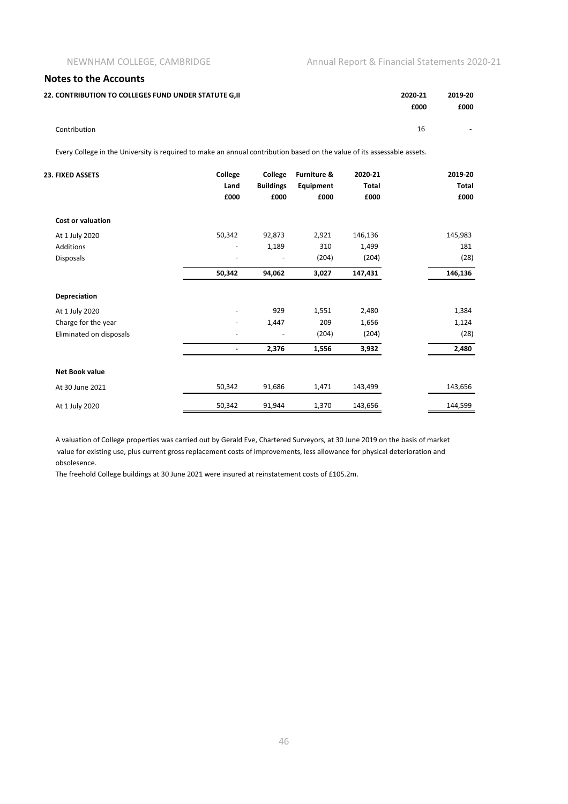16 -

#### **Notes to the Accounts**

Contribution

| 22. CONTRIBUTION TO COLLEGES FUND UNDER STATUTE G.II | 2020-21 | 2019-20 |
|------------------------------------------------------|---------|---------|
|                                                      | £000    | £000    |
|                                                      |         |         |

Every College in the University is required to make an annual contribution based on the value of its assessable assets.

| 23. FIXED ASSETS         | College<br>Land<br>£000  | College<br><b>Buildings</b><br>£000 | Furniture &<br>Equipment<br>£000 | 2020-21<br>Total<br>£000 | 2019-20<br><b>Total</b><br>£000 |
|--------------------------|--------------------------|-------------------------------------|----------------------------------|--------------------------|---------------------------------|
| <b>Cost or valuation</b> |                          |                                     |                                  |                          |                                 |
| At 1 July 2020           | 50,342                   | 92,873                              | 2,921                            | 146,136                  | 145,983                         |
| <b>Additions</b>         |                          | 1,189                               | 310                              | 1,499                    | 181                             |
| <b>Disposals</b>         |                          |                                     | (204)                            | (204)                    | (28)                            |
|                          | 50,342                   | 94,062                              | 3,027                            | 147,431                  | 146,136                         |
| <b>Depreciation</b>      |                          |                                     |                                  |                          |                                 |
| At 1 July 2020           | $\overline{\phantom{a}}$ | 929                                 | 1,551                            | 2,480                    | 1,384                           |
| Charge for the year      |                          | 1,447                               | 209                              | 1,656                    | 1,124                           |
| Eliminated on disposals  |                          |                                     | (204)                            | (204)                    | (28)                            |
|                          | $\blacksquare$           | 2,376                               | 1,556                            | 3,932                    | 2,480                           |
| <b>Net Book value</b>    |                          |                                     |                                  |                          |                                 |
| At 30 June 2021          | 50,342                   | 91,686                              | 1,471                            | 143,499                  | 143,656                         |
| At 1 July 2020           | 50,342                   | 91,944                              | 1,370                            | 143,656                  | 144,599                         |

A valuation of College properties was carried out by Gerald Eve, Chartered Surveyors, at 30 June 2019 on the basis of market value for existing use, plus current gross replacement costs of improvements, less allowance for physical deterioration and obsolesence.

The freehold College buildings at 30 June 2021 were insured at reinstatement costs of £105.2m.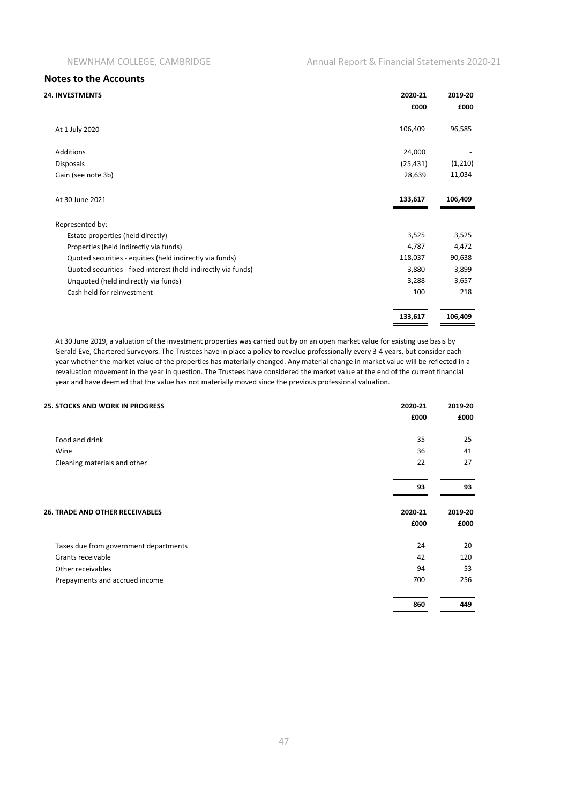| <b>24. INVESTMENTS</b>                                         | 2020-21<br>£000 | 2019-20<br>£000 |
|----------------------------------------------------------------|-----------------|-----------------|
| At 1 July 2020                                                 | 106,409         | 96,585          |
| <b>Additions</b>                                               | 24,000          |                 |
| <b>Disposals</b>                                               | (25, 431)       | (1,210)         |
| Gain (see note 3b)                                             | 28,639          | 11,034          |
| At 30 June 2021                                                | 133,617         | 106,409         |
| Represented by:                                                |                 |                 |
| Estate properties (held directly)                              | 3,525           | 3,525           |
| Properties (held indirectly via funds)                         | 4,787           | 4,472           |
| Quoted securities - equities (held indirectly via funds)       | 118,037         | 90,638          |
| Quoted securities - fixed interest (held indirectly via funds) | 3,880           | 3,899           |
| Unquoted (held indirectly via funds)                           | 3,288           | 3,657           |
| Cash held for reinvestment                                     | 100             | 218             |
|                                                                | 133,617         | 106,409         |

At 30 June 2019, a valuation of the investment properties was carried out by on an open market value for existing use basis by Gerald Eve, Chartered Surveyors. The Trustees have in place a policy to revalue professionally every 3-4 years, but consider each year whether the market value of the properties has materially changed. Any material change in market value will be reflected in a revaluation movement in the year in question. The Trustees have considered the market value at the end of the current financial year and have deemed that the value has not materially moved since the previous professional valuation.

| <b>25. STOCKS AND WORK IN PROGRESS</b> | 2020-21 | 2019-20 |  |
|----------------------------------------|---------|---------|--|
|                                        | £000    | £000    |  |
| Food and drink                         | 35      | 25      |  |
| Wine                                   | 36      | 41      |  |
| Cleaning materials and other           | 22      | 27      |  |
|                                        | 93      | 93      |  |
| <b>26. TRADE AND OTHER RECEIVABLES</b> | 2020-21 | 2019-20 |  |
|                                        | £000    | £000    |  |
| Taxes due from government departments  | 24      | 20      |  |
| Grants receivable                      | 42      | 120     |  |
| Other receivables                      | 94      | 53      |  |
| Prepayments and accrued income         | 700     | 256     |  |
|                                        | 860     | 449     |  |
|                                        |         |         |  |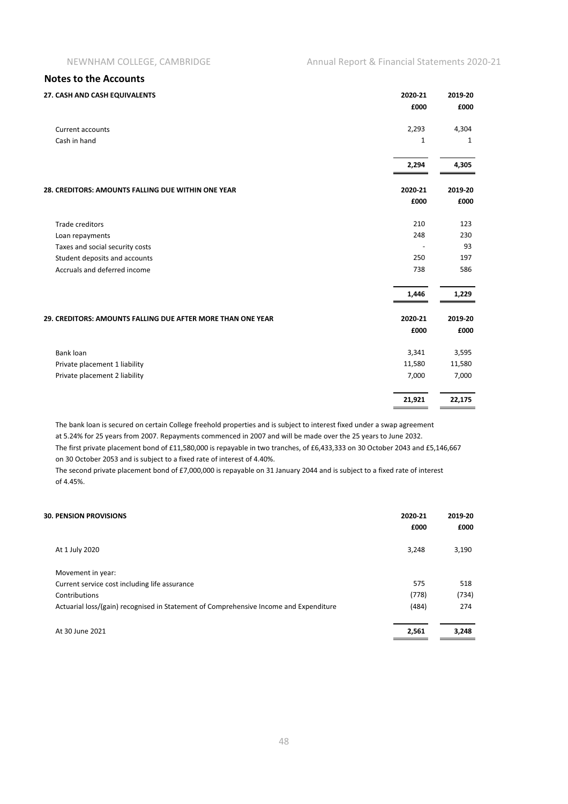| 27. CASH AND CASH EQUIVALENTS                               | 2020-21      | 2019-20      |
|-------------------------------------------------------------|--------------|--------------|
|                                                             | £000         | £000         |
| <b>Current accounts</b>                                     | 2,293        | 4,304        |
| Cash in hand                                                | $\mathbf{1}$ | $\mathbf{1}$ |
|                                                             | 2,294        | 4,305        |
| 28. CREDITORS: AMOUNTS FALLING DUE WITHIN ONE YEAR          | 2020-21      | 2019-20      |
|                                                             | £000         | £000         |
| <b>Trade creditors</b>                                      | 210          | 123          |
| Loan repayments                                             | 248          | 230          |
| Taxes and social security costs                             |              | 93           |
| Student deposits and accounts                               | 250          | 197          |
| Accruals and deferred income                                | 738          | 586          |
|                                                             | 1,446        | 1,229        |
| 29. CREDITORS: AMOUNTS FALLING DUE AFTER MORE THAN ONE YEAR | 2020-21      | 2019-20      |
|                                                             | £000         | £000         |
| Bank loan                                                   | 3,341        | 3,595        |
| Private placement 1 liability                               | 11,580       | 11,580       |
| Private placement 2 liability                               | 7,000        | 7,000        |
|                                                             | 21,921       | 22,175       |

The bank loan is secured on certain College freehold properties and is subject to interest fixed under a swap agreement at 5.24% for 25 years from 2007. Repayments commenced in 2007 and will be made over the 25 years to June 2032.

The first private placement bond of £11,580,000 is repayable in two tranches, of £6,433,333 on 30 October 2043 and £5,146,667 on 30 October 2053 and is subject to a fixed rate of interest of 4.40%.

The second private placement bond of £7,000,000 is repayable on 31 January 2044 and is subject to a fixed rate of interest of 4.45%.

| <b>30. PENSION PROVISIONS</b>                                                         | 2020-21<br>£000 | 2019-20<br>£000 |
|---------------------------------------------------------------------------------------|-----------------|-----------------|
| At 1 July 2020                                                                        | 3,248           | 3,190           |
| Movement in year:                                                                     |                 |                 |
| Current service cost including life assurance                                         | 575             | 518             |
| Contributions                                                                         | (778)           | (734)           |
| Actuarial loss/(gain) recognised in Statement of Comprehensive Income and Expenditure | (484)           | 274             |
| At 30 June 2021                                                                       | 2,561           | 3,248           |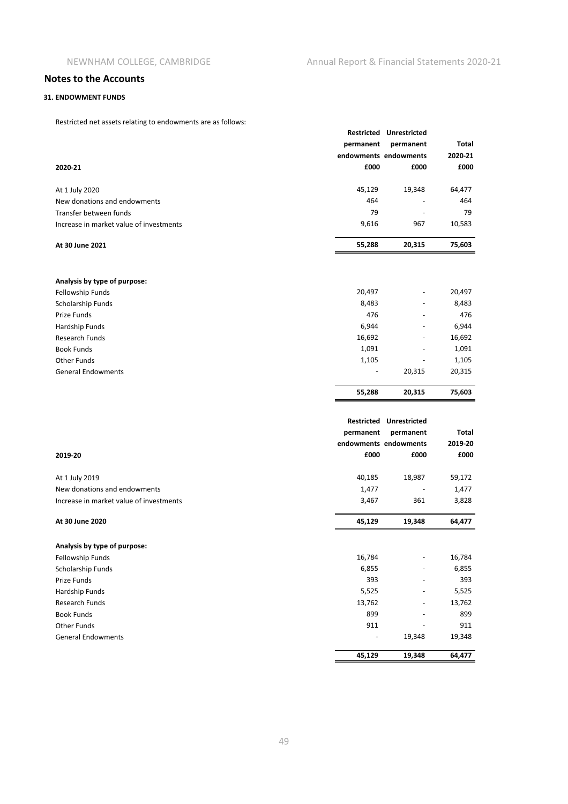#### **31. ENDOWMENT FUNDS**

Restricted net assets relating to endowments are as follows:

| Restricted fieldssets relating to endowments are as rollows.<br>2020-21 | permanent<br>£000               | Restricted Unrestricted<br>permanent<br>endowments endowments<br>£000 | Total<br>2020-21<br>£000 |
|-------------------------------------------------------------------------|---------------------------------|-----------------------------------------------------------------------|--------------------------|
| At 1 July 2020                                                          | 45,129                          | 19,348                                                                | 64,477                   |
| New donations and endowments                                            | 464                             |                                                                       | 464                      |
| Transfer between funds                                                  | 79                              |                                                                       | 79                       |
| Increase in market value of investments                                 | 9,616                           | 967                                                                   | 10,583                   |
| At 30 June 2021                                                         | 55,288                          | 20,315                                                                | 75,603                   |
|                                                                         |                                 |                                                                       |                          |
| Analysis by type of purpose:<br>Fellowship Funds                        | 20,497                          |                                                                       | 20,497                   |
| Scholarship Funds                                                       | 8,483                           |                                                                       | 8,483                    |
| Prize Funds                                                             | 476                             |                                                                       | 476                      |
| Hardship Funds                                                          | 6,944                           |                                                                       | 6,944                    |
| Research Funds                                                          | 16,692                          |                                                                       | 16,692                   |
| <b>Book Funds</b>                                                       | 1,091                           |                                                                       | 1,091                    |
| Other Funds                                                             | 1,105                           |                                                                       | 1,105                    |
| <b>General Endowments</b>                                               |                                 | 20,315                                                                | 20,315                   |
|                                                                         | 55,288                          | 20,315                                                                | 75,603                   |
|                                                                         |                                 |                                                                       |                          |
|                                                                         |                                 | Restricted Unrestricted                                               |                          |
|                                                                         | permanent                       | permanent                                                             | Total                    |
|                                                                         |                                 | endowments endowments                                                 | 2019-20                  |
| 2019-20                                                                 | £000                            | £000                                                                  | £000                     |
| At 1 July 2019                                                          | 40,185                          | 18,987                                                                | 59,172                   |
| New donations and endowments                                            | 1,477                           |                                                                       | 1,477                    |
| Increase in market value of investments                                 | 3,467                           | 361                                                                   | 3,828                    |
| At 30 June 2020                                                         | 45,129                          | 19,348                                                                | 64,477                   |
|                                                                         |                                 |                                                                       |                          |
| Analysis by type of purpose:                                            |                                 |                                                                       |                          |
| Fellowship Funds                                                        | 16,784                          |                                                                       | 16,784                   |
| Scholarship Funds                                                       | 6,855                           |                                                                       | 6,855                    |
| Prize Funds                                                             | 393                             |                                                                       | 393                      |
| Hardship Funds                                                          | 5,525                           |                                                                       | 5,525                    |
| Research Funds                                                          | 13,762                          |                                                                       | 13,762                   |
| <b>Book Funds</b>                                                       | 899                             |                                                                       | 899                      |
| Other Funds<br><b>General Endowments</b>                                | 911<br>$\overline{\phantom{a}}$ | -<br>19,348                                                           | 911<br>19,348            |
|                                                                         |                                 |                                                                       |                          |
|                                                                         | 45,129                          | 19,348                                                                | 64,477                   |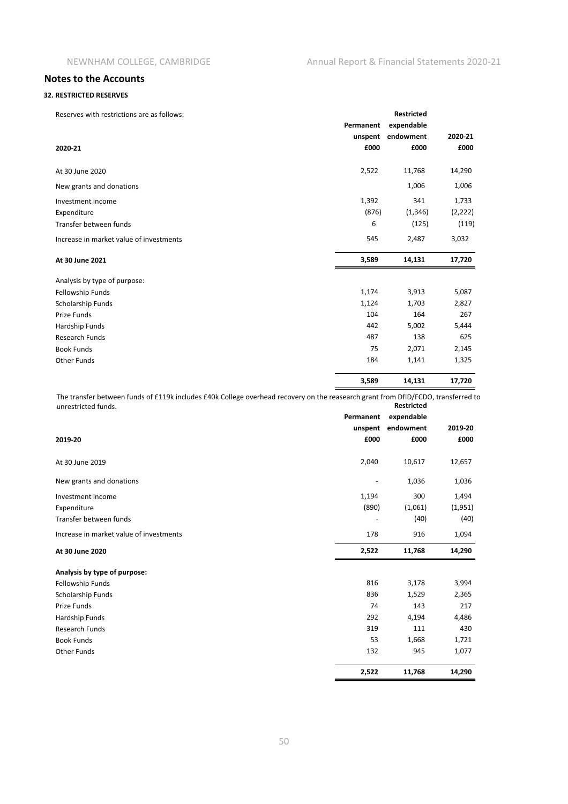#### **32. RESTRICTED RESERVES**

| Reserves with restrictions are as follows: |           | <b>Restricted</b> |          |
|--------------------------------------------|-----------|-------------------|----------|
|                                            | Permanent | expendable        |          |
|                                            | unspent   | endowment         | 2020-21  |
| 2020-21                                    | £000      | £000              | £000     |
| At 30 June 2020                            | 2,522     | 11,768            | 14,290   |
| New grants and donations                   |           | 1,006             | 1,006    |
| Investment income                          | 1,392     | 341               | 1,733    |
| Expenditure                                | (876)     | (1, 346)          | (2, 222) |
| Transfer between funds                     | 6         | (125)             | (119)    |
| Increase in market value of investments    | 545       | 2,487             | 3,032    |
| At 30 June 2021                            | 3,589     | 14,131            | 17,720   |
| Analysis by type of purpose:               |           |                   |          |
| Fellowship Funds                           | 1,174     | 3,913             | 5,087    |
| Scholarship Funds                          | 1,124     | 1,703             | 2,827    |
| Prize Funds                                | 104       | 164               | 267      |
| Hardship Funds                             | 442       | 5,002             | 5,444    |
| <b>Research Funds</b>                      | 487       | 138               | 625      |
| <b>Book Funds</b>                          | 75        | 2,071             | 2,145    |
| <b>Other Funds</b>                         | 184       | 1,141             | 1,325    |
|                                            | 3,589     | 14,131            | 17,720   |

**Restricted** The transfer between funds of £119k includes £40k College overhead recovery on the reasearch grant from DfID/FCDO, transferred to unrestricted funds.

|                                         | Permanent | expendable |         |
|-----------------------------------------|-----------|------------|---------|
|                                         | unspent   | endowment  | 2019-20 |
| 2019-20                                 | £000      | £000       | £000    |
| At 30 June 2019                         | 2,040     | 10,617     | 12,657  |
| New grants and donations                |           | 1,036      | 1,036   |
| Investment income                       | 1,194     | 300        | 1,494   |
| Expenditure                             | (890)     | (1,061)    | (1,951) |
| Transfer between funds                  |           | (40)       | (40)    |
| Increase in market value of investments | 178       | 916        | 1,094   |
| At 30 June 2020                         | 2,522     | 11,768     | 14,290  |
| Analysis by type of purpose:            |           |            |         |
| Fellowship Funds                        | 816       | 3,178      | 3,994   |
| Scholarship Funds                       | 836       | 1,529      | 2,365   |
| Prize Funds                             | 74        | 143        | 217     |
| Hardship Funds                          | 292       | 4,194      | 4,486   |
| <b>Research Funds</b>                   | 319       | 111        | 430     |
| <b>Book Funds</b>                       | 53        | 1,668      | 1,721   |
| <b>Other Funds</b>                      | 132       | 945        | 1,077   |
|                                         | 2,522     | 11,768     | 14,290  |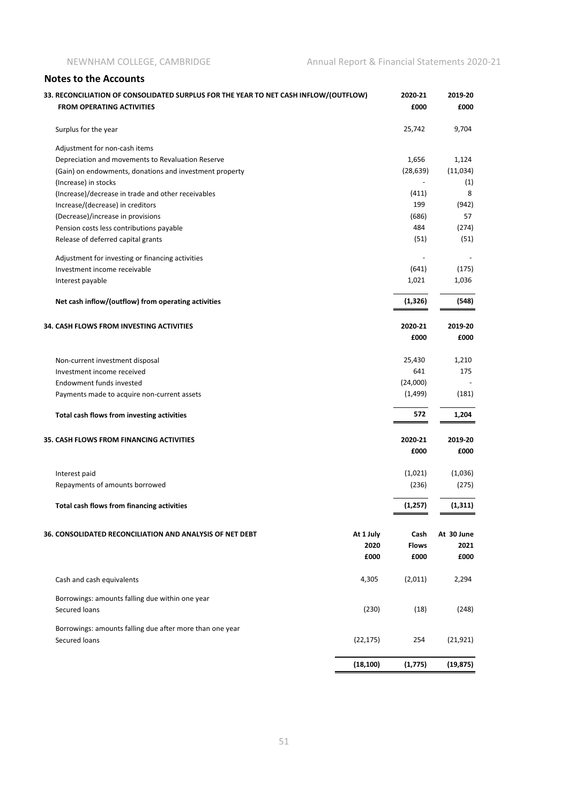| 33. RECONCILIATION OF CONSOLIDATED SURPLUS FOR THE YEAR TO NET CASH INFLOW/(OUTFLOW)<br><b>FROM OPERATING ACTIVITIES</b> |           | 2020-21<br>£000 | 2019-20<br>£000 |
|--------------------------------------------------------------------------------------------------------------------------|-----------|-----------------|-----------------|
| Surplus for the year                                                                                                     |           | 25,742          | 9,704           |
| Adjustment for non-cash items                                                                                            |           |                 |                 |
| Depreciation and movements to Revaluation Reserve                                                                        |           | 1,656           | 1,124           |
| (Gain) on endowments, donations and investment property                                                                  |           | (28, 639)       | (11,034)        |
| (Increase) in stocks                                                                                                     |           |                 | (1)             |
| (Increase)/decrease in trade and other receivables                                                                       |           | (411)           | 8               |
| Increase/(decrease) in creditors                                                                                         |           | 199             | (942)           |
| (Decrease)/increase in provisions                                                                                        |           | (686)           | 57              |
| Pension costs less contributions payable                                                                                 |           | 484             | (274)           |
| Release of deferred capital grants                                                                                       |           | (51)            | (51)            |
| Adjustment for investing or financing activities                                                                         |           |                 |                 |
| Investment income receivable                                                                                             |           | (641)           | (175)           |
| Interest payable                                                                                                         |           | 1,021           | 1,036           |
| Net cash inflow/(outflow) from operating activities                                                                      |           | (1, 326)        | (548)           |
| <b>34. CASH FLOWS FROM INVESTING ACTIVITIES</b>                                                                          |           | 2020-21         | 2019-20         |
|                                                                                                                          |           | £000            | £000            |
| Non-current investment disposal                                                                                          |           | 25,430          | 1,210           |
| Investment income received                                                                                               |           | 641             | 175             |
| Endowment funds invested                                                                                                 |           | (24,000)        |                 |
| Payments made to acquire non-current assets                                                                              |           | (1, 499)        | (181)           |
| Total cash flows from investing activities                                                                               |           | 572             | 1,204           |
| <b>35. CASH FLOWS FROM FINANCING ACTIVITIES</b>                                                                          |           | 2020-21         | 2019-20         |
|                                                                                                                          |           | £000            | £000            |
| Interest paid                                                                                                            |           | (1,021)         | (1,036)         |
| Repayments of amounts borrowed                                                                                           |           | (236)           | (275)           |
| Total cash flows from financing activities                                                                               |           | (1, 257)        | (1, 311)        |
| 36. CONSOLIDATED RECONCILIATION AND ANALYSIS OF NET DEBT                                                                 | At 1 July | Cash            | At 30 June      |
|                                                                                                                          | 2020      | <b>Flows</b>    | 2021            |
|                                                                                                                          | £000      | £000            | £000            |
| Cash and cash equivalents                                                                                                | 4,305     | (2,011)         | 2,294           |
|                                                                                                                          |           |                 |                 |
| Borrowings: amounts falling due within one year<br>Secured loans                                                         | (230)     | (18)            | (248)           |
|                                                                                                                          |           |                 |                 |
| Borrowings: amounts falling due after more than one year<br>Secured loans                                                | (22, 175) | 254             | (21, 921)       |
|                                                                                                                          | (18, 100) | (1, 775)        | (19, 875)       |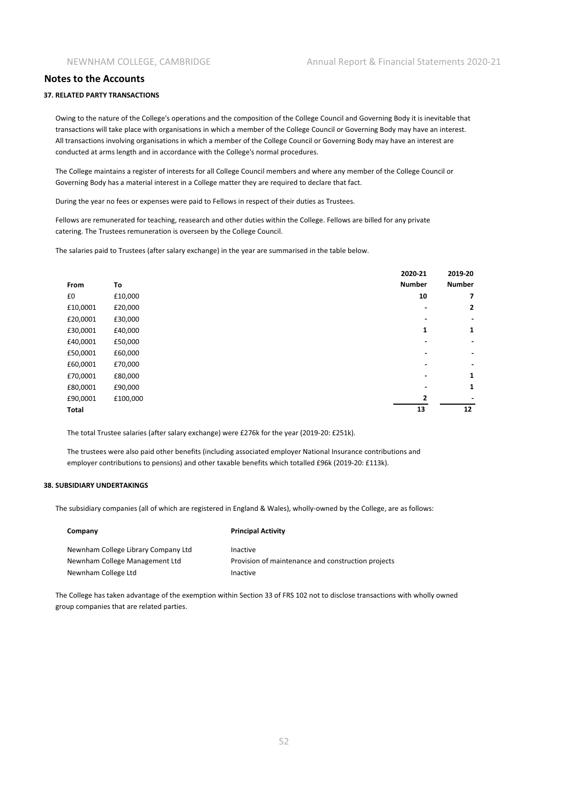#### **37. RELATED PARTY TRANSACTIONS**

Owing to the nature of the College's operations and the composition of the College Council and Governing Body it is inevitable that transactions will take place with organisations in which a member of the College Council or Governing Body may have an interest. All transactions involving organisations in which a member of the College Council or Governing Body may have an interest are conducted at arms length and in accordance with the College's normal procedures.

The College maintains a register of interests for all College Council members and where any member of the College Council or Governing Body has a material interest in a College matter they are required to declare that fact.

During the year no fees or expenses were paid to Fellows in respect of their duties as Trustees.

Fellows are remunerated for teaching, reasearch and other duties within the College. Fellows are billed for any private catering. The Trustees remuneration is overseen by the College Council.

The salaries paid to Trustees (after salary exchange) in the year are summarised in the table below.

|              |          | 2020-21                  | 2019-20       |
|--------------|----------|--------------------------|---------------|
| From         | To       | <b>Number</b>            | <b>Number</b> |
| £0           | £10,000  | 10                       | 7             |
| £10,0001     | £20,000  |                          | 2             |
| £20,0001     | £30,000  | ٠                        |               |
| £30,0001     | £40,000  | 1                        | 1             |
| £40,0001     | £50,000  | $\blacksquare$           |               |
| £50,0001     | £60,000  | $\blacksquare$           | ٠             |
| £60,0001     | £70,000  | $\overline{\phantom{0}}$ | ٠             |
| £70,0001     | £80,000  | ٠                        | 1             |
| £80,0001     | £90,000  | $\overline{\phantom{0}}$ | 1             |
| £90,0001     | £100,000 | 2                        |               |
| <b>Total</b> |          | 13                       | 12            |

The total Trustee salaries (after salary exchange) were £276k for the year (2019-20: £251k).

The trustees were also paid other benefits (including associated employer National Insurance contributions and employer contributions to pensions) and other taxable benefits which totalled £96k (2019-20: £113k).

#### **38. SUBSIDIARY UNDERTAKINGS**

The subsidiary companies (all of which are registered in England & Wales), wholly-owned by the College, are as follows:

| Company                             | <b>Principal Activity</b>                          |
|-------------------------------------|----------------------------------------------------|
| Newnham College Library Company Ltd | Inactive                                           |
| Newnham College Management Ltd      | Provision of maintenance and construction projects |
| Newnham College Ltd                 | Inactive                                           |

The College has taken advantage of the exemption within Section 33 of FRS 102 not to disclose transactions with wholly owned group companies that are related parties.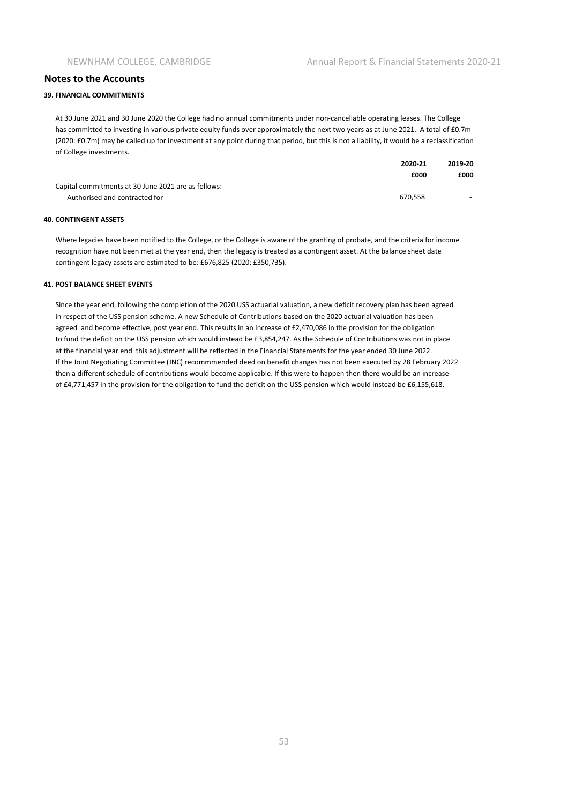#### **39. FINANCIAL COMMITMENTS**

At 30 June 2021 and 30 June 2020 the College had no annual commitments under non-cancellable operating leases. The College has committed to investing in various private equity funds over approximately the next two years as at June 2021. A total of £0.7m (2020: £0.7m) may be called up for investment at any point during that period, but this is not a liability, it would be a reclassification of College investments.

|                                                     | 2020-21 | 2019-20 |
|-----------------------------------------------------|---------|---------|
|                                                     | £000    | £000    |
| Capital commitments at 30 June 2021 are as follows: |         |         |
| Authorised and contracted for                       | 670.558 | $\sim$  |

#### **40. CONTINGENT ASSETS**

Where legacies have been notified to the College, or the College is aware of the granting of probate, and the criteria for income recognition have not been met at the year end, then the legacy is treated as a contingent asset. At the balance sheet date contingent legacy assets are estimated to be: £676,825 (2020: £350,735).

#### **41. POST BALANCE SHEET EVENTS**

Since the year end, following the completion of the 2020 USS actuarial valuation, a new deficit recovery plan has been agreed in respect of the USS pension scheme. A new Schedule of Contributions based on the 2020 actuarial valuation has been agreed and become effective, post year end. This results in an increase of £2,470,086 in the provision for the obligation to fund the deficit on the USS pension which would instead be £3,854,247. As the Schedule of Contributions was not in place at the financial year end this adjustment will be reflected in the Financial Statements for the year ended 30 June 2022. If the Joint Negotiating Committee (JNC) recommmended deed on benefit changes has not been executed by 28 February 2022 then a different schedule of contributions would become applicable. If this were to happen then there would be an increase of £4,771,457 in the provision for the obligation to fund the deficit on the USS pension which would instead be £6,155,618.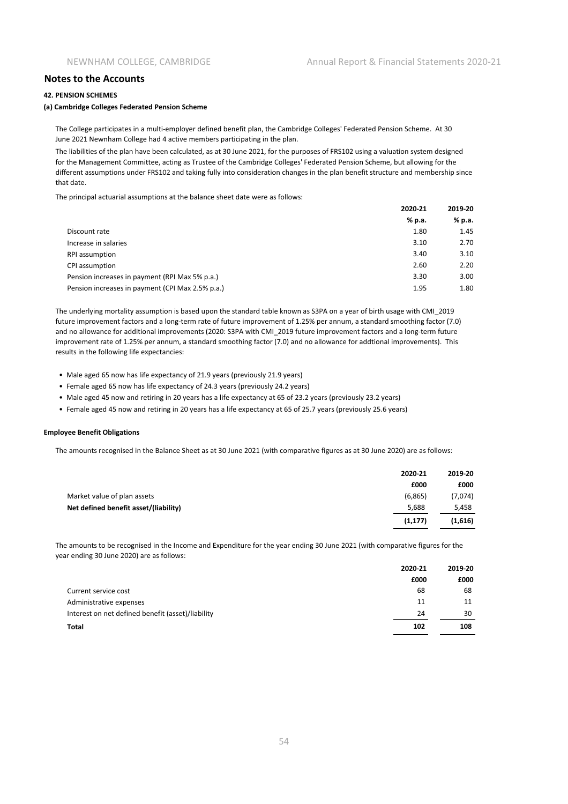#### **42. PENSION SCHEMES**

#### **(a) Cambridge Colleges Federated Pension Scheme**

The College participates in a multi-employer defined benefit plan, the Cambridge Colleges' Federated Pension Scheme. At 30 June 2021 Newnham College had 4 active members participating in the plan.

The liabilities of the plan have been calculated, as at 30 June 2021, for the purposes of FRS102 using a valuation system designed for the Management Committee, acting as Trustee of the Cambridge Colleges' Federated Pension Scheme, but allowing for the different assumptions under FRS102 and taking fully into consideration changes in the plan benefit structure and membership since that date.

The principal actuarial assumptions at the balance sheet date were as follows:

|                                                  | 2020-21 | 2019-20 |
|--------------------------------------------------|---------|---------|
|                                                  | % p.a.  | % p.a.  |
| Discount rate                                    | 1.80    | 1.45    |
| Increase in salaries                             | 3.10    | 2.70    |
| <b>RPI</b> assumption                            | 3.40    | 3.10    |
| CPI assumption                                   | 2.60    | 2.20    |
| Pension increases in payment (RPI Max 5% p.a.)   | 3.30    | 3.00    |
| Pension increases in payment (CPI Max 2.5% p.a.) | 1.95    | 1.80    |

The underlying mortality assumption is based upon the standard table known as S3PA on a year of birth usage with CMI\_2019 future improvement factors and a long-term rate of future improvement of 1.25% per annum, a standard smoothing factor (7.0) and no allowance for additional improvements (2020: S3PA with CMI\_2019 future improvement factors and a long-term future improvement rate of 1.25% per annum, a standard smoothing factor (7.0) and no allowance for addtional improvements). This results in the following life expectancies:

- Male aged 65 now has life expectancy of 21.9 years (previously 21.9 years)
- Female aged 65 now has life expectancy of 24.3 years (previously 24.2 years)
- Male aged 45 now and retiring in 20 years has a life expectancy at 65 of 23.2 years (previously 23.2 years)
- Female aged 45 now and retiring in 20 years has a life expectancy at 65 of 25.7 years (previously 25.6 years)

#### **Employee Benefit Obligations**

The amounts recognised in the Balance Sheet as at 30 June 2021 (with comparative figures as at 30 June 2020) are as follows:

|                                       | 2020-21  | 2019-20 |
|---------------------------------------|----------|---------|
|                                       | £000     | £000    |
| Market value of plan assets           | (6,865)  | (7,074) |
| Net defined benefit asset/(liability) | 5.688    | 5,458   |
|                                       | (1, 177) | (1,616) |

The amounts to be recognised in the Income and Expenditure for the year ending 30 June 2021 (with comparative figures for the year ending 30 June 2020) are as follows:

|                                                   | 2020-21 | 2019-20 |
|---------------------------------------------------|---------|---------|
|                                                   | £000    | £000    |
| Current service cost                              | 68      | 68      |
| Administrative expenses                           | 11      | 11      |
| Interest on net defined benefit (asset)/liability | 24      | 30      |
| <b>Total</b>                                      | 102     | 108     |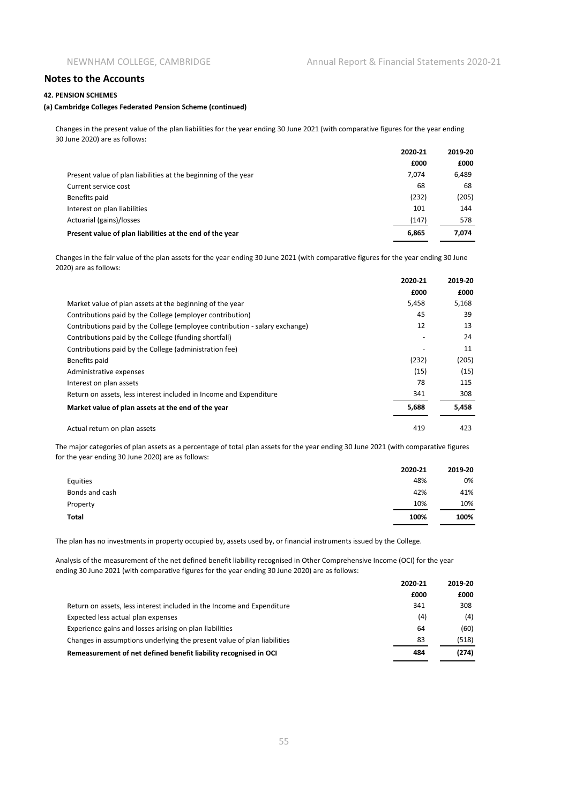#### **42. PENSION SCHEMES**

#### **(a) Cambridge Colleges Federated Pension Scheme (continued)**

Changes in the present value of the plan liabilities for the year ending 30 June 2021 (with comparative figures for the year ending 30 June 2020) are as follows:

|                                                                | 2020-21 | 2019-20 |
|----------------------------------------------------------------|---------|---------|
|                                                                | £000    | £000    |
| Present value of plan liabilities at the beginning of the year | 7.074   | 6,489   |
| Current service cost                                           | 68      | 68      |
| Benefits paid                                                  | (232)   | (205)   |
| Interest on plan liabilities                                   | 101     | 144     |
| Actuarial (gains)/losses                                       | (147)   | 578     |
| Present value of plan liabilities at the end of the year       | 6,865   | 7,074   |

Changes in the fair value of the plan assets for the year ending 30 June 2021 (with comparative figures for the year ending 30 June 2020) are as follows:

|                                                                             | 2020-21 | 2019-20 |
|-----------------------------------------------------------------------------|---------|---------|
|                                                                             | £000    | £000    |
| Market value of plan assets at the beginning of the year                    | 5,458   | 5,168   |
| Contributions paid by the College (employer contribution)                   | 45      | 39      |
| Contributions paid by the College (employee contribution - salary exchange) | 12      | 13      |
| Contributions paid by the College (funding shortfall)                       |         | 24      |
| Contributions paid by the College (administration fee)                      |         | 11      |
| Benefits paid                                                               | (232)   | (205)   |
| Administrative expenses                                                     | (15)    | (15)    |
| Interest on plan assets                                                     | 78      | 115     |
| Return on assets, less interest included in Income and Expenditure          | 341     | 308     |
| Market value of plan assets at the end of the year                          | 5,688   | 5,458   |
| Actual return on plan assets                                                | 419     | 423     |

The major categories of plan assets as a percentage of total plan assets for the year ending 30 June 2021 (with comparative figures for the year ending 30 June 2020) are as follows:

|                | 2020-21 | 2019-20 |
|----------------|---------|---------|
| Equities       | 48%     | 0%      |
| Bonds and cash | 42%     | 41%     |
| Property       | 10%     | 10%     |
| Total          | 100%    | 100%    |

The plan has no investments in property occupied by, assets used by, or financial instruments issued by the College.

Analysis of the measurement of the net defined benefit liability recognised in Other Comprehensive Income (OCI) for the year ending 30 June 2021 (with comparative figures for the year ending 30 June 2020) are as follows:

|                                                                         | 2020-21 | 2019-20 |
|-------------------------------------------------------------------------|---------|---------|
|                                                                         | £000    | £000    |
| Return on assets, less interest included in the Income and Expenditure  | 341     | 308     |
| Expected less actual plan expenses                                      | (4)     | (4)     |
| Experience gains and losses arising on plan liabilities                 | 64      | (60)    |
| Changes in assumptions underlying the present value of plan liabilities | 83      | (518)   |
| Remeasurement of net defined benefit liability recognised in OCI        | 484     | (274)   |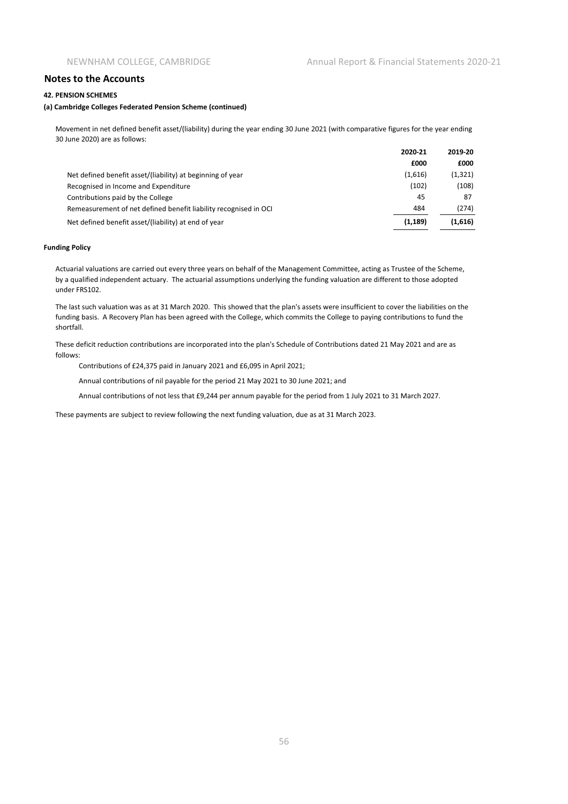#### **42. PENSION SCHEMES**

#### **(a) Cambridge Colleges Federated Pension Scheme (continued)**

Movement in net defined benefit asset/(liability) during the year ending 30 June 2021 (with comparative figures for the year ending 30 June 2020) are as follows:

|                                                                  | 2020-21  | 2019-20 |
|------------------------------------------------------------------|----------|---------|
|                                                                  | £000     | £000    |
| Net defined benefit asset/(liability) at beginning of year       | (1,616)  | (1,321) |
| Recognised in Income and Expenditure                             | (102)    | (108)   |
| Contributions paid by the College                                | 45       | 87      |
| Remeasurement of net defined benefit liability recognised in OCI | 484      | (274)   |
| Net defined benefit asset/(liability) at end of year             | (1, 189) | (1,616) |

#### **Funding Policy**

Actuarial valuations are carried out every three years on behalf of the Management Committee, acting as Trustee of the Scheme, by a qualified independent actuary. The actuarial assumptions underlying the funding valuation are different to those adopted under FRS102.

The last such valuation was as at 31 March 2020. This showed that the plan's assets were insufficient to cover the liabilities on the funding basis. A Recovery Plan has been agreed with the College, which commits the College to paying contributions to fund the shortfall.

These deficit reduction contributions are incorporated into the plan's Schedule of Contributions dated 21 May 2021 and are as follows:

Contributions of £24,375 paid in January 2021 and £6,095 in April 2021;

Annual contributions of nil payable for the period 21 May 2021 to 30 June 2021; and

Annual contributions of not less that £9,244 per annum payable for the period from 1 July 2021 to 31 March 2027.

These payments are subject to review following the next funding valuation, due as at 31 March 2023.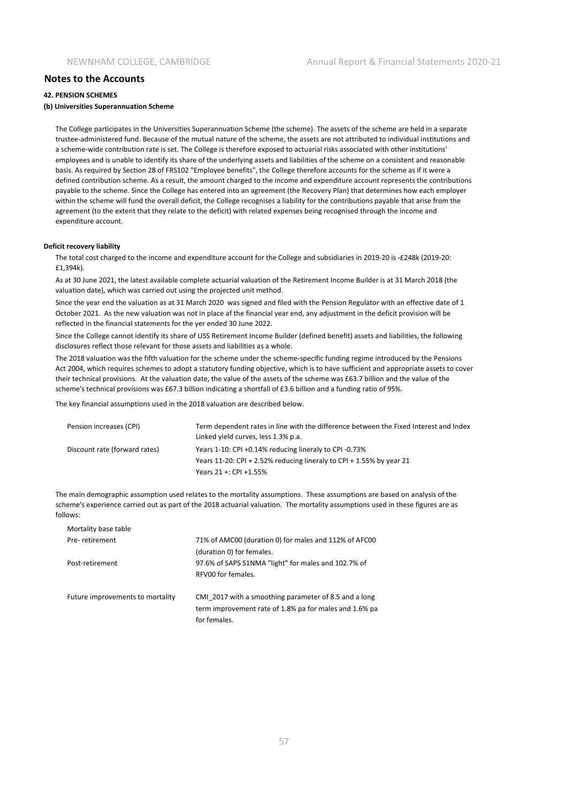#### **42. PENSION SCHEMES**

#### **(b) Universities Superannuation Scheme**

The College participates in the Universities Superannuation Scheme (the scheme). The assets of the scheme are held in a separate trustee-administered fund. Because of the mutual nature of the scheme, the assets are not attributed to individual institutions and a scheme-wide contribution rate is set. The College is therefore exposed to actuarial risks associated with other institutions' employees and is unable to identify its share of the underlying assets and liabilities of the scheme on a consistent and reasonable basis. As required by Section 28 of FRS102 "Employee benefits", the College therefore accounts for the scheme as if it were a defined contribution scheme. As a result, the amount charged to the income and expenditure account represents the contributions payable to the scheme. Since the College has entered into an agreement (the Recovery Plan) that determines how each employer within the scheme will fund the overall deficit, the College recognises a liability for the contributions payable that arise from the agreement (to the extent that they relate to the deficit) with related expenses being recognised through the income and expenditure account.

#### **Deficit recovery liability**

The total cost charged to the income and expenditure account for the College and subsidiaries in 2019-20 is -£248k (2019-20: £1,394k).

As at 30 June 2021, the latest available complete actuarial valuation of the Retirement Income Builder is at 31 March 2018 (the valuation date), which was carried out using the projected unit method.

Since the year end the valuation as at 31 March 2020 was signed and filed with the Pension Regulator with an effective date of 1 October 2021. As the new valuation was not in place af the financial year end, any adjustment in the deficit provision will be reflected in the financial statements for the yer ended 30 June 2022.

Since the College cannot identify its share of USS Retirement Income Builder (defined benefit) assets and liabilities, the following disclosures reflect those relevant for those assets and liabilities as a whole.

The 2018 valuation was the fifth valuation for the scheme under the scheme-specific funding regime introduced by the Pensions Act 2004, which requires schemes to adopt a statutory funding objective, which is to have sufficient and appropriate assets to cover their technical provisions. At the valuation date, the value of the assets of the scheme was £63.7 billion and the value of the scheme's technical provisions was £67.3 billion indicating a shortfall of £3.6 billion and a funding ratio of 95%.

The key financial assumptions used in the 2018 valuation are described below.

| Pension increases (CPI)       | Term dependent rates in line with the difference between the Fixed Interest and Index<br>Linked yield curves, less 1.3% p.a. |
|-------------------------------|------------------------------------------------------------------------------------------------------------------------------|
| Discount rate (forward rates) | Years 1-10: CPI +0.14% reducing lineraly to CPI -0.73%                                                                       |
|                               | Years 11-20: CPI + 2.52% reducing lineraly to CPI + 1.55% by year 21                                                         |
|                               | Years 21 +: CPI +1.55%                                                                                                       |

The main demographic assumption used relates to the mortality assumptions. These assumptions are based on analysis of the scheme's experience carried out as part of the 2018 actuarial valuation. The mortality assumptions used in these figures are as follows:

| Mortality base table             |                                                                                                                                 |
|----------------------------------|---------------------------------------------------------------------------------------------------------------------------------|
| Pre-retirement                   | 71% of AMC00 (duration 0) for males and 112% of AFC00                                                                           |
|                                  | (duration 0) for females.                                                                                                       |
| Post-retirement                  | 97.6% of SAPS S1NMA "light" for males and 102.7% of                                                                             |
|                                  | RFV00 for females.                                                                                                              |
| Future improvements to mortality | CMI 2017 with a smoothing parameter of 8.5 and a long<br>term improvement rate of 1.8% pa for males and 1.6% pa<br>for females. |